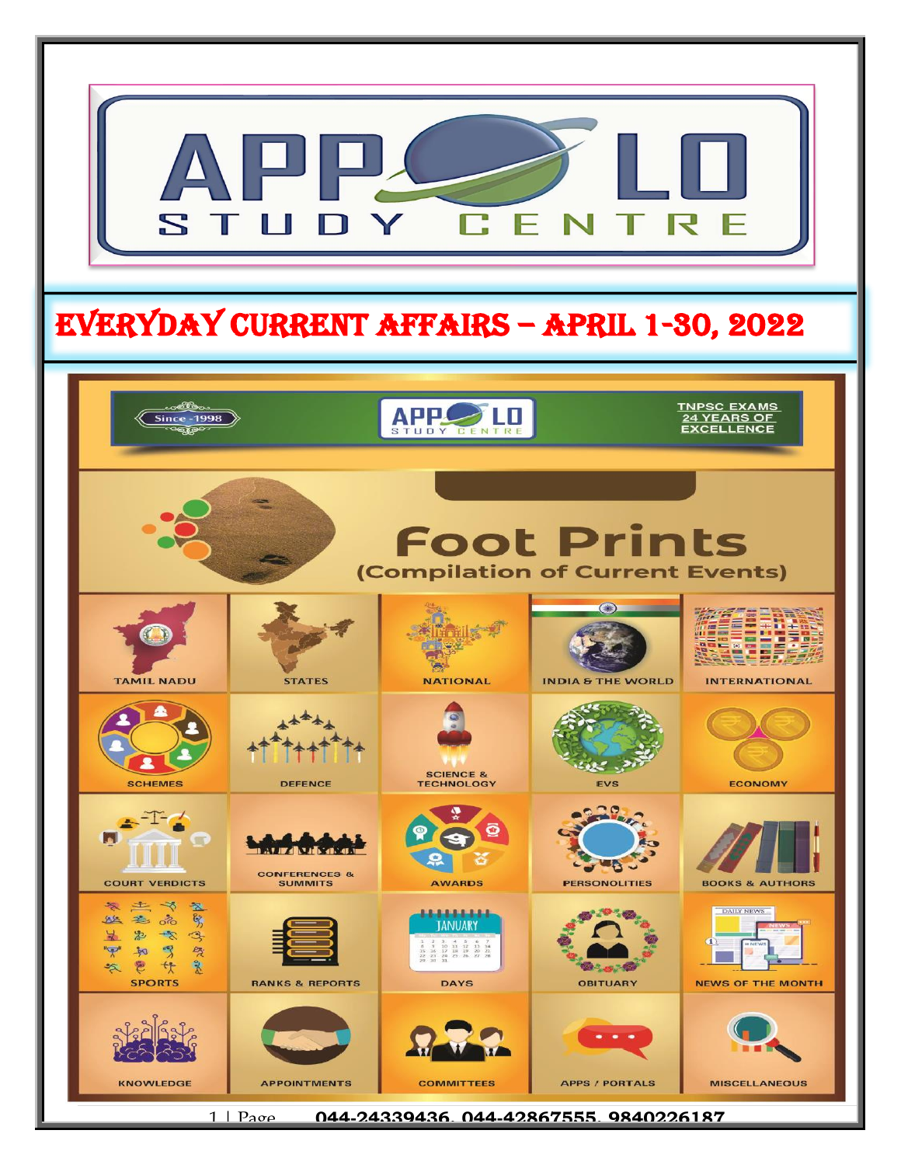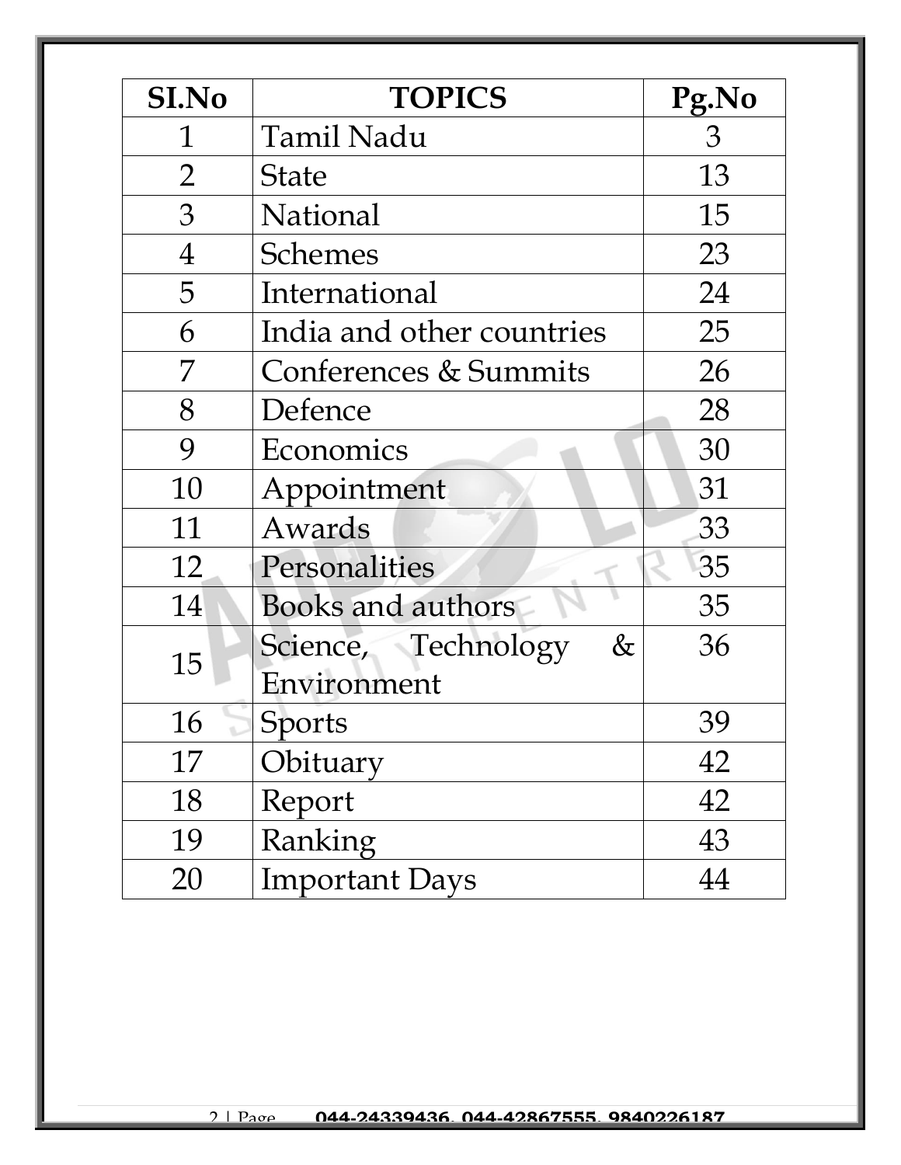| <b>SI.No</b>   | <b>TOPICS</b>                    | Pg.No          |
|----------------|----------------------------------|----------------|
| 1              | <b>Tamil Nadu</b>                | $\mathfrak{Z}$ |
| $\overline{2}$ | <b>State</b>                     | 13             |
| 3              | National                         | 15             |
| $\overline{4}$ | <b>Schemes</b>                   | 23             |
| 5              | International                    | 24             |
| 6              | India and other countries        | 25             |
| 7              | <b>Conferences &amp; Summits</b> | 26             |
| 8              | Defence                          | 28             |
| 9              | Economics                        | 30             |
| 10             | Appointment                      | 31             |
| 11             | Awards                           | 33             |
| 12             | Personalities                    | 35             |
| 14             | <b>Books and authors</b>         | 35             |
| 15             | Science, Technology<br>&         | 36             |
|                | Environment                      |                |
| 16             | Sports                           | 39             |
| 17             | Obituary                         | 42             |
| 18             | Report                           | 42             |
| 19             | Ranking                          | 43             |
| 20             | <b>Important Days</b>            | 44             |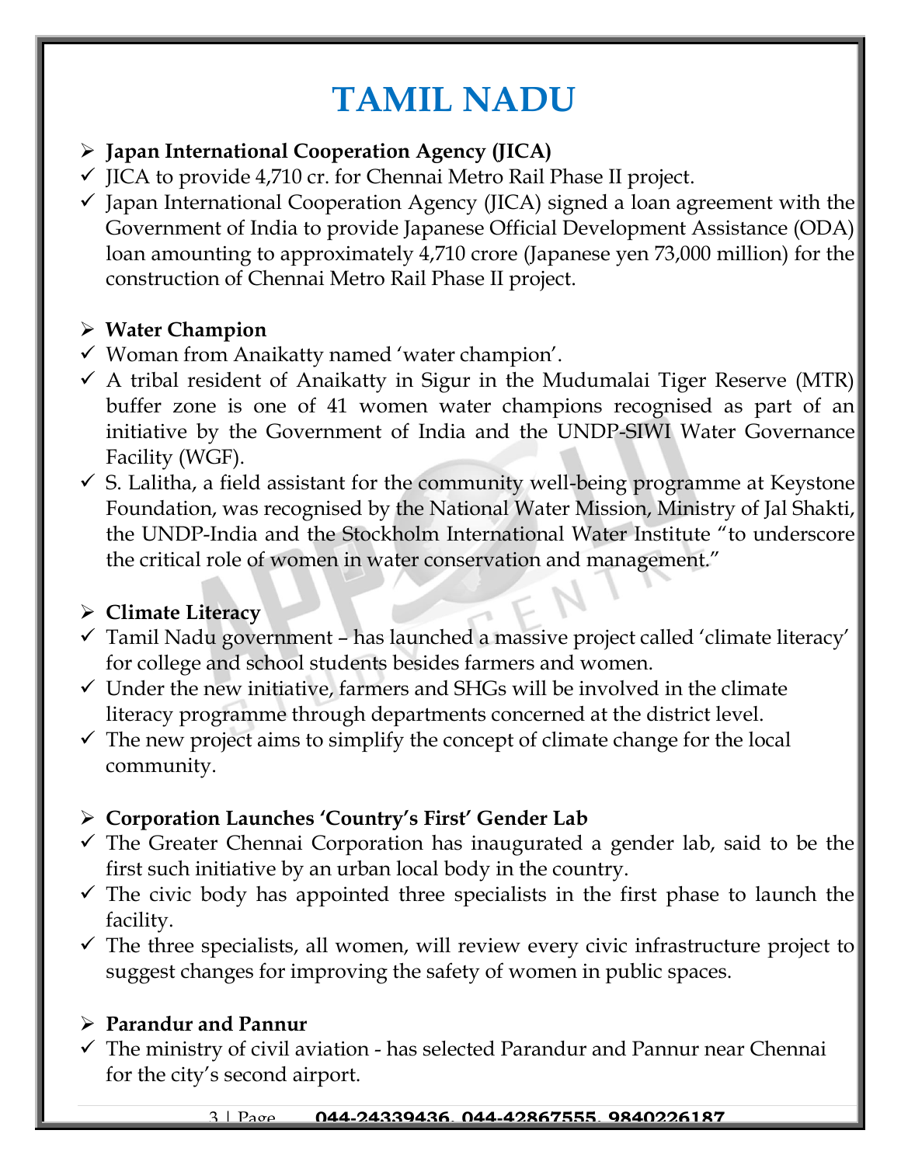# **TAMIL NADU**

#### ➢ **Japan International Cooperation Agency (JICA)**

- $\checkmark$  JICA to provide 4,710 cr. for Chennai Metro Rail Phase II project.
- $\checkmark$  Japan International Cooperation Agency (JICA) signed a loan agreement with the Government of India to provide Japanese Official Development Assistance (ODA) loan amounting to approximately 4,710 crore (Japanese yen 73,000 million) for the construction of Chennai Metro Rail Phase II project.

### ➢ **Water Champion**

- ✓ Woman from Anaikatty named 'water champion'.
- $\checkmark$  A tribal resident of Anaikatty in Sigur in the Mudumalai Tiger Reserve (MTR) buffer zone is one of 41 women water champions recognised as part of an initiative by the Government of India and the UNDP-SIWI Water Governance Facility (WGF).
- $\checkmark$  S. Lalitha, a field assistant for the community well-being programme at Keystone Foundation, was recognised by the National Water Mission, Ministry of Jal Shakti, the UNDP-India and the Stockholm International Water Institute "to underscore the critical role of women in water conservation and management."

### ➢ **Climate Literacy**

- ✓ Tamil Nadu government has launched a massive project called 'climate literacy' for college and school students besides farmers and women.
- $\checkmark$  Under the new initiative, farmers and SHGs will be involved in the climate literacy programme through departments concerned at the district level.
- $\checkmark$  The new project aims to simplify the concept of climate change for the local community.

### ➢ **Corporation Launches 'Country's First' Gender Lab**

- $\checkmark$  The Greater Chennai Corporation has inaugurated a gender lab, said to be the first such initiative by an urban local body in the country.
- $\checkmark$  The civic body has appointed three specialists in the first phase to launch the facility.
- $\checkmark$  The three specialists, all women, will review every civic infrastructure project to suggest changes for improving the safety of women in public spaces.

#### ➢ **Parandur and Pannur**

 $\checkmark$  The ministry of civil aviation - has selected Parandur and Pannur near Chennai for the city's second airport.

#### 3 | Page **044-24339436, 044-42867555, 9840226187**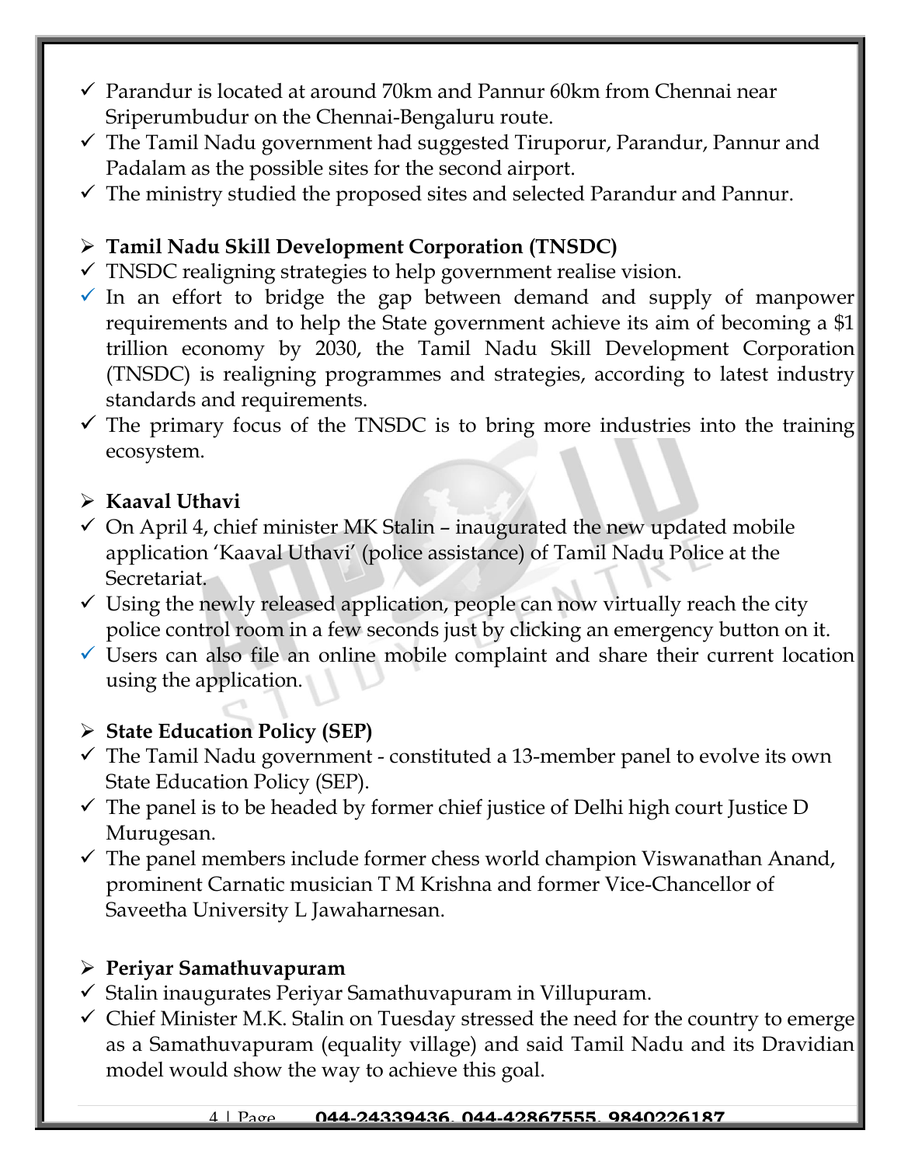- $\checkmark$  Parandur is located at around 70km and Pannur 60km from Chennai near Sriperumbudur on the Chennai-Bengaluru route.
- ✓ The Tamil Nadu government had suggested Tiruporur, Parandur, Pannur and Padalam as the possible sites for the second airport.
- $\checkmark$  The ministry studied the proposed sites and selected Parandur and Pannur.

### ➢ **Tamil Nadu Skill Development Corporation (TNSDC)**

- $\checkmark$  TNSDC realigning strategies to help government realise vision.
- $\checkmark$  In an effort to bridge the gap between demand and supply of manpower requirements and to help the State government achieve its aim of becoming a \$1 trillion economy by 2030, the Tamil Nadu Skill Development Corporation (TNSDC) is realigning programmes and strategies, according to latest industry standards and requirements.
- $\checkmark$  The primary focus of the TNSDC is to bring more industries into the training ecosystem.

### ➢ **Kaaval Uthavi**

- $\checkmark$  On April 4, chief minister MK Stalin inaugurated the new updated mobile application 'Kaaval Uthavi' (police assistance) of Tamil Nadu Police at the Secretariat.
- $\checkmark$  Using the newly released application, people can now virtually reach the city police control room in a few seconds just by clicking an emergency button on it.
- $\checkmark$  Users can also file an online mobile complaint and share their current location using the application.

### ➢ **State Education Policy (SEP)**

- $\checkmark$  The Tamil Nadu government constituted a 13-member panel to evolve its own State Education Policy (SEP).
- $\checkmark$  The panel is to be headed by former chief justice of Delhi high court Justice D Murugesan.
- $\checkmark$  The panel members include former chess world champion Viswanathan Anand, prominent Carnatic musician T M Krishna and former Vice-Chancellor of Saveetha University L Jawaharnesan.

### ➢ **Periyar Samathuvapuram**

- $\checkmark$  Stalin inaugurates Periyar Samathuvapuram in Villupuram.
- $\checkmark$  Chief Minister M.K. Stalin on Tuesday stressed the need for the country to emerge as a Samathuvapuram (equality village) and said Tamil Nadu and its Dravidian model would show the way to achieve this goal.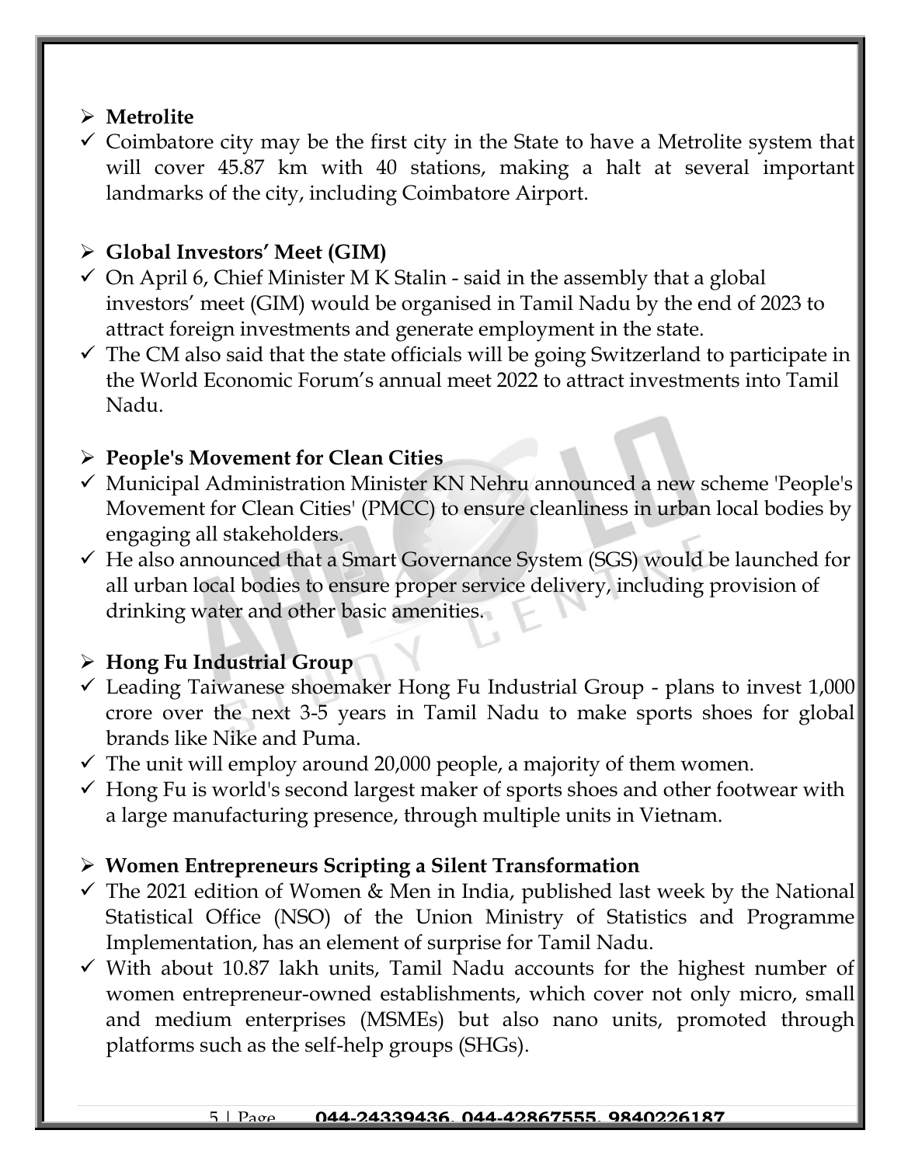### ➢ **Metrolite**

 $\checkmark$  Coimbatore city may be the first city in the State to have a Metrolite system that will cover 45.87 km with 40 stations, making a halt at several important landmarks of the city, including Coimbatore Airport.

### ➢ **Global Investors' Meet (GIM)**

- $\checkmark$  On April 6, Chief Minister M K Stalin said in the assembly that a global investors' meet (GIM) would be organised in Tamil Nadu by the end of 2023 to attract foreign investments and generate employment in the state.
- $\checkmark$  The CM also said that the state officials will be going Switzerland to participate in the World Economic Forum's annual meet 2022 to attract investments into Tamil Nadu.

#### ➢ **People's Movement for Clean Cities**

- ✓ Municipal Administration Minister KN Nehru announced a new scheme 'People's Movement for Clean Cities' (PMCC) to ensure cleanliness in urban local bodies by engaging all stakeholders.
- $\checkmark$  He also announced that a Smart Governance System (SGS) would be launched for all urban local bodies to ensure proper service delivery, including provision of drinking water and other basic amenities.

### ➢ **Hong Fu Industrial Group**

- $\checkmark$  Leading Taiwanese shoemaker Hong Fu Industrial Group plans to invest 1,000 crore over the next 3-5 years in Tamil Nadu to make sports shoes for global brands like Nike and Puma.
- $\checkmark$  The unit will employ around 20,000 people, a majority of them women.
- $\checkmark$  Hong Fu is world's second largest maker of sports shoes and other footwear with a large manufacturing presence, through multiple units in Vietnam.

### ➢ **Women Entrepreneurs Scripting a Silent Transformation**

- $\checkmark$  The 2021 edition of Women & Men in India, published last week by the National Statistical Office (NSO) of the Union Ministry of Statistics and Programme Implementation, has an element of surprise for Tamil Nadu.
- $\checkmark$  With about 10.87 lakh units, Tamil Nadu accounts for the highest number of women entrepreneur-owned establishments, which cover not only micro, small and medium enterprises (MSMEs) but also nano units, promoted through platforms such as the self-help groups (SHGs).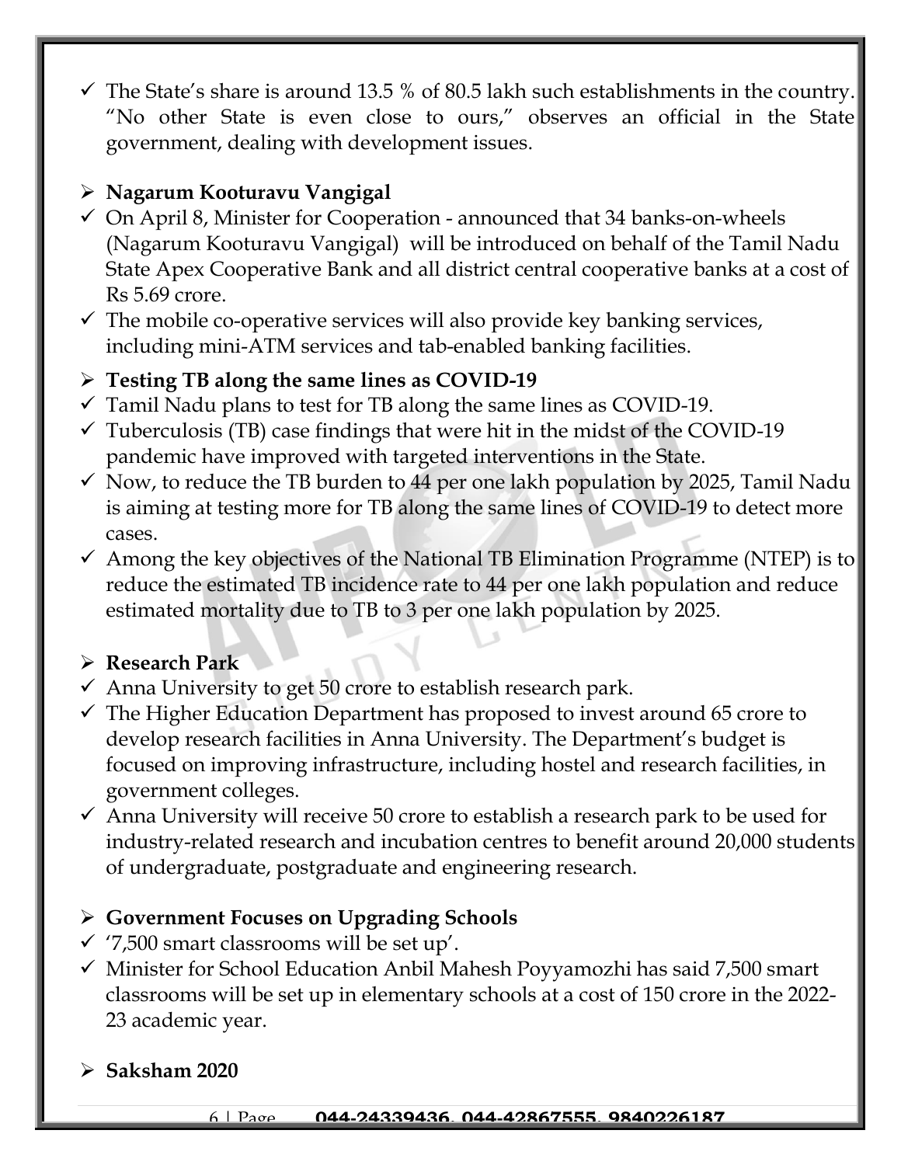$\checkmark$  The State's share is around 13.5 % of 80.5 lakh such establishments in the country. "No other State is even close to ours," observes an official in the State government, dealing with development issues.

# ➢ **Nagarum Kooturavu Vangigal**

- $\checkmark$  On April 8, Minister for Cooperation announced that 34 banks-on-wheels (Nagarum Kooturavu Vangigal) will be introduced on behalf of the Tamil Nadu State Apex Cooperative Bank and all district central cooperative banks at a cost of Rs 5.69 crore.
- $\checkmark$  The mobile co-operative services will also provide key banking services, including mini-ATM services and tab-enabled banking facilities.

# ➢ **Testing TB along the same lines as COVID-19**

- $\checkmark$  Tamil Nadu plans to test for TB along the same lines as COVID-19.
- $\checkmark$  Tuberculosis (TB) case findings that were hit in the midst of the COVID-19 pandemic have improved with targeted interventions in the State.
- $\checkmark$  Now, to reduce the TB burden to 44 per one lakh population by 2025, Tamil Nadu is aiming at testing more for TB along the same lines of COVID-19 to detect more cases.
- $\checkmark$  Among the key objectives of the National TB Elimination Programme (NTEP) is to reduce the estimated TB incidence rate to 44 per one lakh population and reduce estimated mortality due to TB to 3 per one lakh population by 2025.

### ➢ **Research Park**

- $\checkmark$  Anna University to get 50 crore to establish research park.
- $\checkmark$  The Higher Education Department has proposed to invest around 65 crore to develop research facilities in Anna University. The Department's budget is focused on improving infrastructure, including hostel and research facilities, in government colleges.
- $\checkmark$  Anna University will receive 50 crore to establish a research park to be used for industry-related research and incubation centres to benefit around 20,000 students of undergraduate, postgraduate and engineering research.

### ➢ **Government Focuses on Upgrading Schools**

- $\checkmark$  '7,500 smart classrooms will be set up'.
- $\checkmark$  Minister for School Education Anbil Mahesh Poyyamozhi has said 7,500 smart classrooms will be set up in elementary schools at a cost of 150 crore in the 2022- 23 academic year.
- ➢ **Saksham 2020**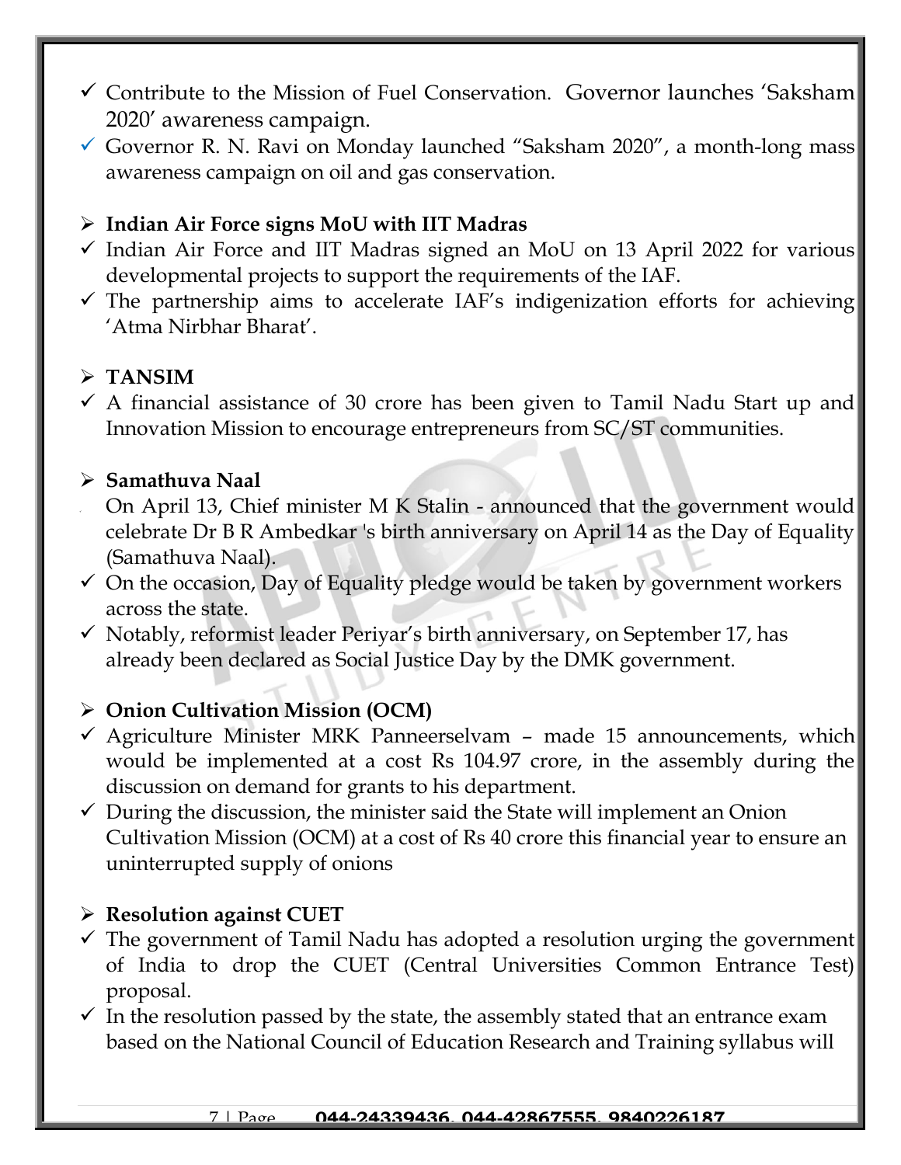- $\checkmark$  Contribute to the Mission of Fuel Conservation. Governor launches 'Saksham 2020' awareness campaign.
- $\checkmark$  Governor R. N. Ravi on Monday launched "Saksham 2020", a month-long mass awareness campaign on oil and gas conservation.

### ➢ **Indian Air Force signs MoU with IIT Madras**

- $\checkmark$  Indian Air Force and IIT Madras signed an MoU on 13 April 2022 for various developmental projects to support the requirements of the IAF.
- $\checkmark$  The partnership aims to accelerate IAF's indigenization efforts for achieving 'Atma Nirbhar Bharat'.

#### ➢ **TANSIM**

 $\checkmark$  A financial assistance of 30 crore has been given to Tamil Nadu Start up and Innovation Mission to encourage entrepreneurs from SC/ST communities.

#### ➢ **Samathuva Naal**

- On April 13, Chief minister M K Stalin announced that the government would celebrate Dr B R Ambedkar 's birth anniversary on April 14 as the Day of Equality (Samathuva Naal).
- $\checkmark$  On the occasion, Day of Equality pledge would be taken by government workers across the state.
- $\checkmark$  Notably, reformist leader Periyar's birth anniversary, on September 17, has already been declared as Social Justice Day by the DMK government.

#### ➢ **Onion Cultivation Mission (OCM)**

- $\checkmark$  Agriculture Minister MRK Panneerselvam made 15 announcements, which would be implemented at a cost Rs 104.97 crore, in the assembly during the discussion on demand for grants to his department.
- $\checkmark$  During the discussion, the minister said the State will implement an Onion Cultivation Mission (OCM) at a cost of Rs 40 crore this financial year to ensure an uninterrupted supply of onions

#### ➢ **Resolution against CUET**

- $\checkmark$  The government of Tamil Nadu has adopted a resolution urging the government of India to drop the CUET (Central Universities Common Entrance Test) proposal.
- $\checkmark$  In the resolution passed by the state, the assembly stated that an entrance exam based on the National Council of Education Research and Training syllabus will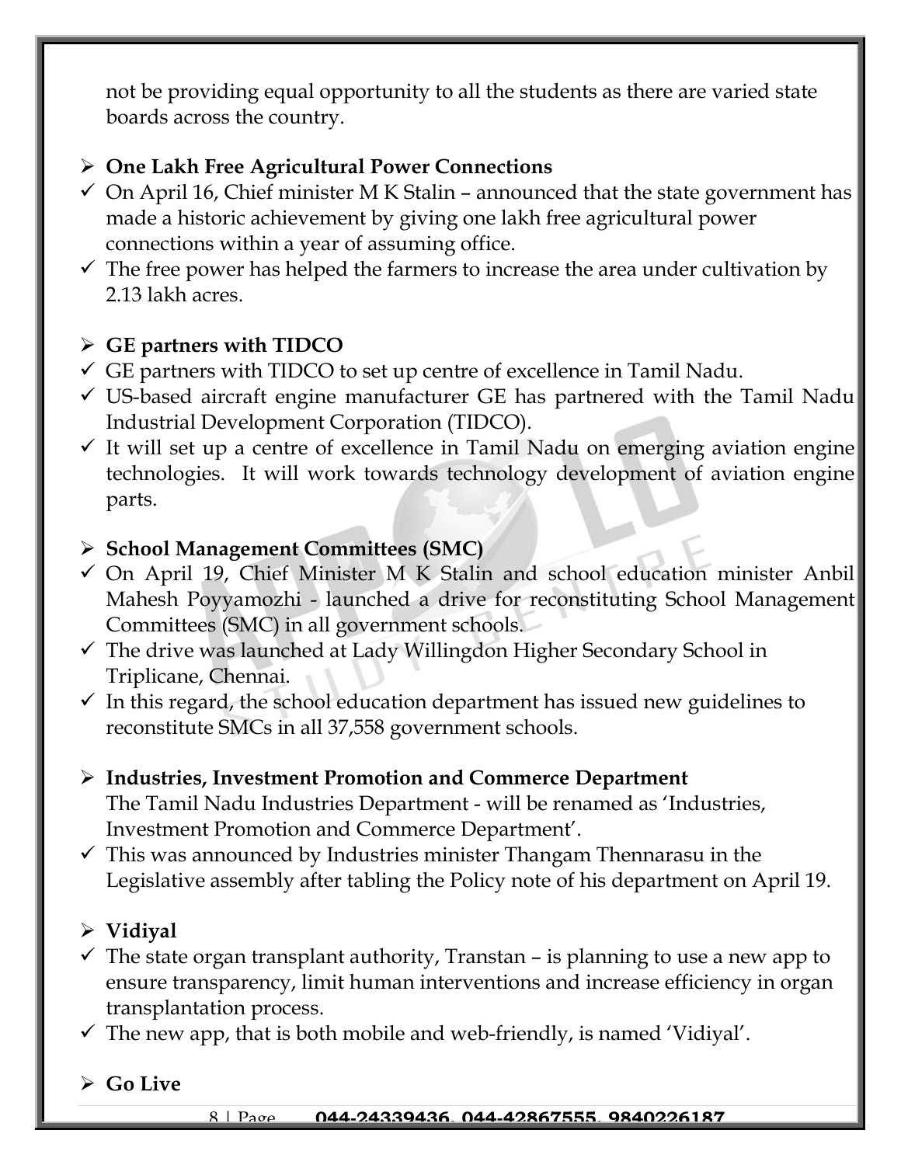not be providing equal opportunity to all the students as there are varied state boards across the country.

### ➢ **One Lakh Free Agricultural Power Connections**

- $\checkmark$  On April 16, Chief minister M K Stalin announced that the state government has made a historic achievement by giving one lakh free agricultural power connections within a year of assuming office.
- $\checkmark$  The free power has helped the farmers to increase the area under cultivation by 2.13 lakh acres.

### ➢ **GE partners with TIDCO**

- $\checkmark$  GE partners with TIDCO to set up centre of excellence in Tamil Nadu.
- $\checkmark$  US-based aircraft engine manufacturer GE has partnered with the Tamil Nadu Industrial Development Corporation (TIDCO).
- $\checkmark$  It will set up a centre of excellence in Tamil Nadu on emerging aviation engine technologies. It will work towards technology development of aviation engine parts.

#### ➢ **School Management Committees (SMC)**

- ✓ On April 19, Chief Minister M K Stalin and school education minister Anbil Mahesh Poyyamozhi - launched a drive for reconstituting School Management Committees (SMC) in all government schools.
- ✓ The drive was launched at Lady Willingdon Higher Secondary School in Triplicane, Chennai.
- $\checkmark$  In this regard, the school education department has issued new guidelines to reconstitute SMCs in all 37,558 government schools.

#### ➢ **Industries, Investment Promotion and Commerce Department** The Tamil Nadu Industries Department - will be renamed as 'Industries, Investment Promotion and Commerce Department'.

 $\checkmark$  This was announced by Industries minister Thangam Thennarasu in the Legislative assembly after tabling the Policy note of his department on April 19.

### ➢ **Vidiyal**

- $\checkmark$  The state organ transplant authority, Transtan is planning to use a new app to ensure transparency, limit human interventions and increase efficiency in organ transplantation process.
- $\checkmark$  The new app, that is both mobile and web-friendly, is named 'Vidiyal'.
- ➢ **Go Live**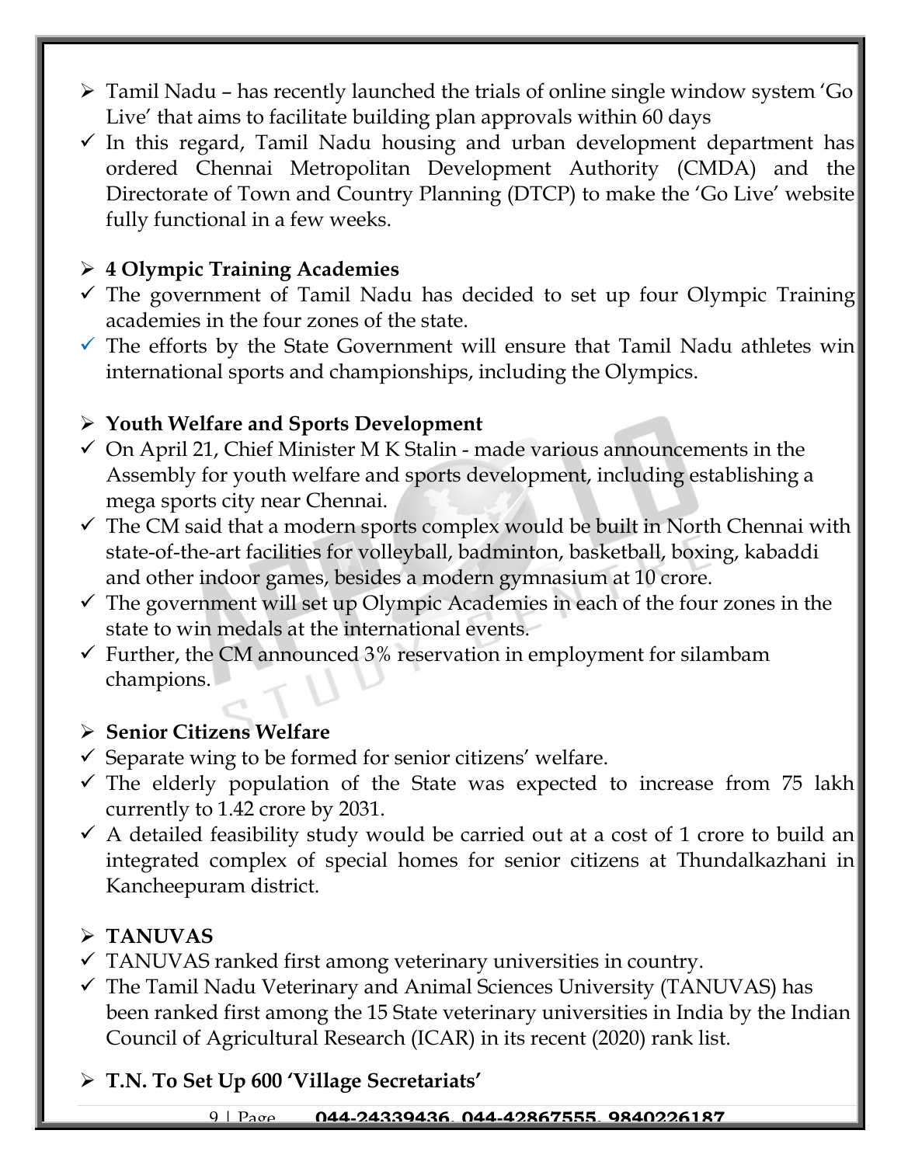- ➢ Tamil Nadu has recently launched the trials of online single window system 'Go Live' that aims to facilitate building plan approvals within 60 days
- $\checkmark$  In this regard, Tamil Nadu housing and urban development department has ordered Chennai Metropolitan Development Authority (CMDA) and the Directorate of Town and Country Planning (DTCP) to make the 'Go Live' website fully functional in a few weeks.

# ➢ **4 Olympic Training Academies**

- $\checkmark$  The government of Tamil Nadu has decided to set up four Olympic Training academies in the four zones of the state.
- $\checkmark$  The efforts by the State Government will ensure that Tamil Nadu athletes win international sports and championships, including the Olympics.

#### ➢ **Youth Welfare and Sports Development**

- $\checkmark$  On April 21, Chief Minister M K Stalin made various announcements in the Assembly for youth welfare and sports development, including establishing a mega sports city near Chennai.
- $\checkmark$  The CM said that a modern sports complex would be built in North Chennai with state-of-the-art facilities for volleyball, badminton, basketball, boxing, kabaddi and other indoor games, besides a modern gymnasium at 10 crore.
- $\checkmark$  The government will set up Olympic Academies in each of the four zones in the state to win medals at the international events.
- $\checkmark$  Further, the CM announced 3% reservation in employment for silambam champions.

#### ➢ **Senior Citizens Welfare**

- $\checkmark$  Separate wing to be formed for senior citizens' welfare.
- $\checkmark$  The elderly population of the State was expected to increase from 75 lakh currently to 1.42 crore by 2031.
- $\checkmark$  A detailed feasibility study would be carried out at a cost of 1 crore to build an integrated complex of special homes for senior citizens at Thundalkazhani in Kancheepuram district.

# ➢ **TANUVAS**

- $\checkmark$  TANUVAS ranked first among veterinary universities in country.
- $\checkmark$  The Tamil Nadu Veterinary and Animal Sciences University (TANUVAS) has been ranked first among the 15 State veterinary universities in India by the Indian Council of Agricultural Research (ICAR) in its recent (2020) rank list.

➢ **T.N. To Set Up 600 'Village Secretariats'**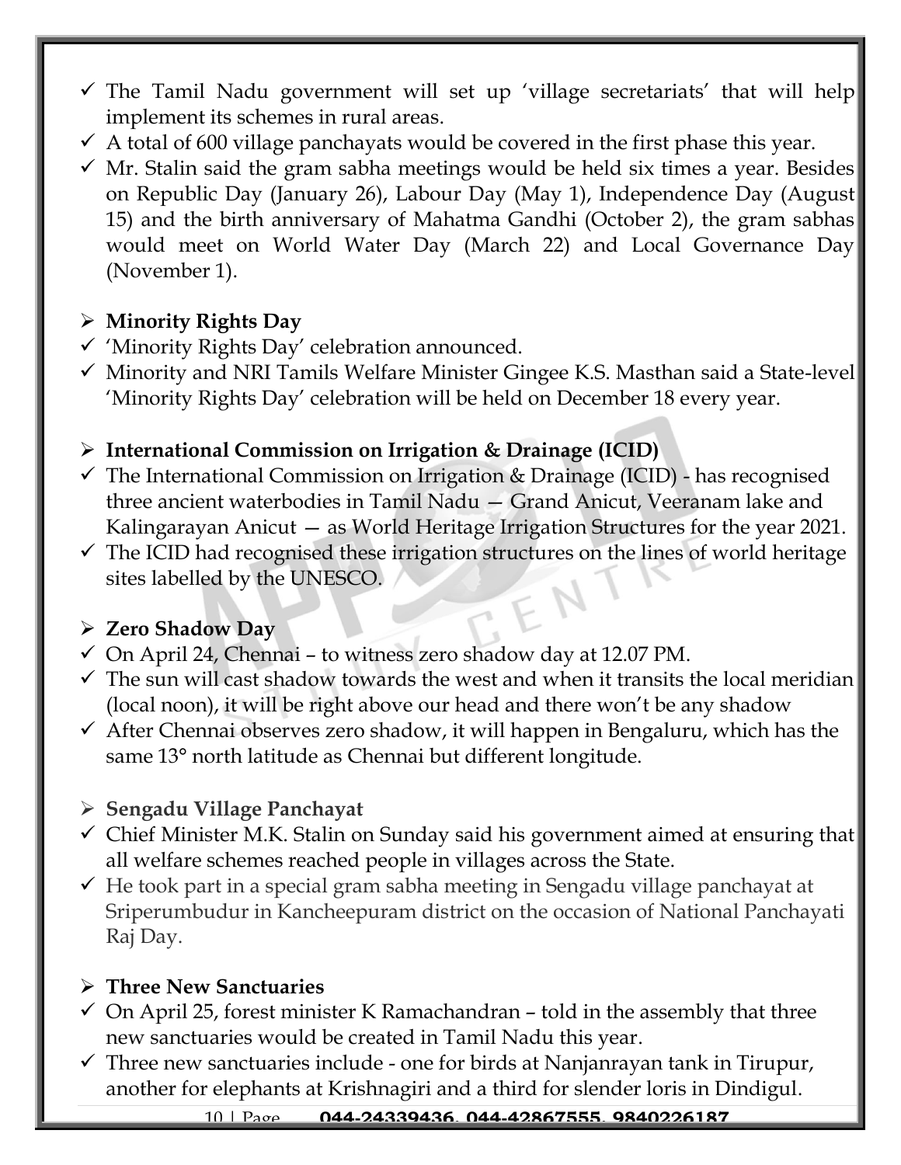- $\checkmark$  The Tamil Nadu government will set up 'village secretariats' that will help implement its schemes in rural areas.
- $\checkmark$  A total of 600 village panchayats would be covered in the first phase this year.
- $\checkmark$  Mr. Stalin said the gram sabha meetings would be held six times a year. Besides on Republic Day (January 26), Labour Day (May 1), Independence Day (August 15) and the birth anniversary of Mahatma Gandhi (October 2), the gram sabhas would meet on World Water Day (March 22) and Local Governance Day (November 1).

#### ➢ **Minority Rights Day**

- ✓ 'Minority Rights Day' celebration announced.
- ✓ Minority and NRI Tamils Welfare Minister Gingee K.S. Masthan said a State-level 'Minority Rights Day' celebration will be held on December 18 every year.

### ➢ **International Commission on Irrigation & Drainage (ICID)**

- $\checkmark$  The International Commission on Irrigation & Drainage (ICID) has recognised three ancient waterbodies in Tamil Nadu — Grand Anicut, Veeranam lake and Kalingarayan Anicut — as World Heritage Irrigation Structures for the year 2021.
- $\checkmark$  The ICID had recognised these irrigation structures on the lines of world heritage sites labelled by the UNESCO.

### ➢ **Zero Shadow Day**

- $\checkmark$  On April 24, Chennai to witness zero shadow day at 12.07 PM.
- $\checkmark$  The sun will cast shadow towards the west and when it transits the local meridian (local noon), it will be right above our head and there won't be any shadow
- $\checkmark$  After Chennai observes zero shadow, it will happen in Bengaluru, which has the same 13° north latitude as Chennai but different longitude.

### ➢ **Sengadu Village Panchayat**

- $\checkmark$  Chief Minister M.K. Stalin on Sunday said his government aimed at ensuring that all welfare schemes reached people in villages across the State.
- $\checkmark$  He took part in a special gram sabha meeting in Sengadu village panchayat at Sriperumbudur in Kancheepuram district on the occasion of National Panchayati Raj Day.

### ➢ **Three New Sanctuaries**

- $\checkmark$  On April 25, forest minister K Ramachandran told in the assembly that three new sanctuaries would be created in Tamil Nadu this year.
- $\checkmark$  Three new sanctuaries include one for birds at Nanjanrayan tank in Tirupur, another for elephants at Krishnagiri and a third for slender loris in Dindigul.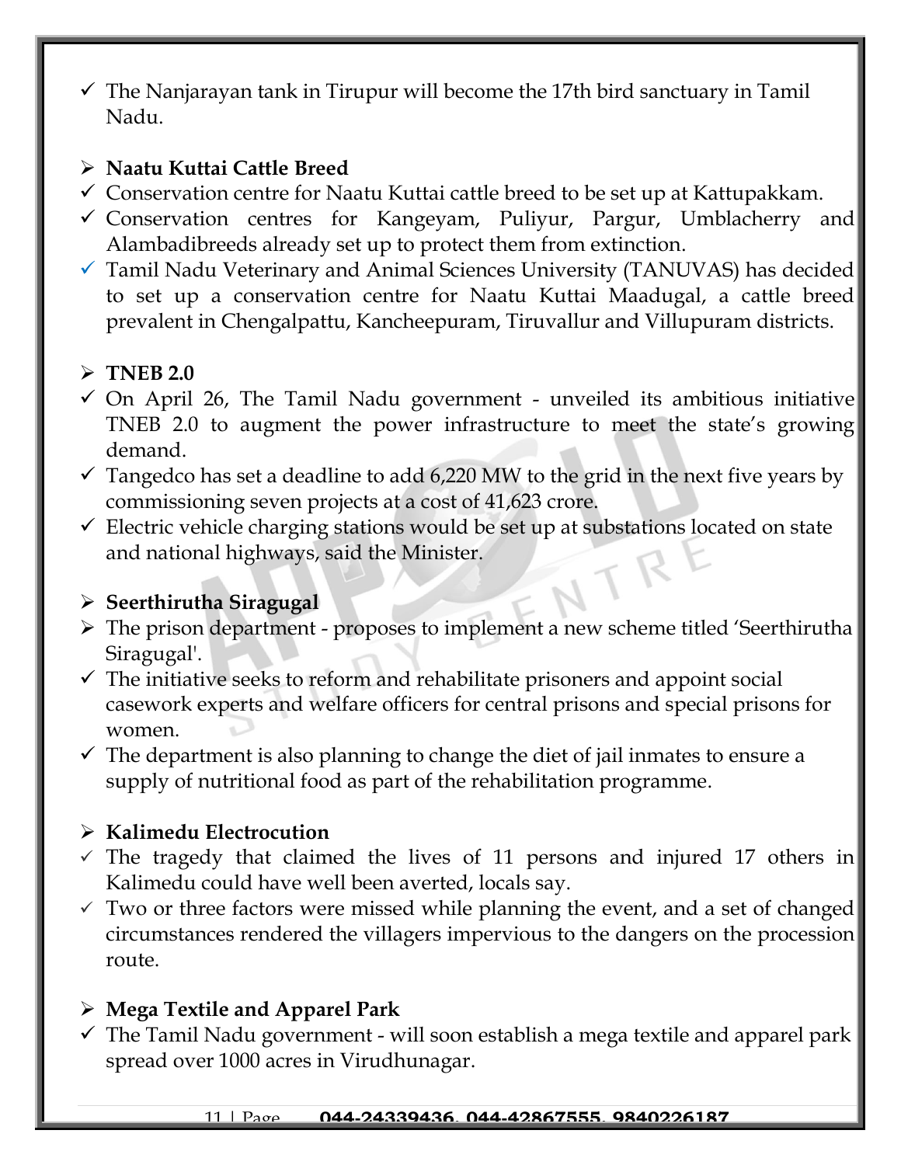$\checkmark$  The Nanjarayan tank in Tirupur will become the 17th bird sanctuary in Tamil Nadu.

#### ➢ **Naatu Kuttai Cattle Breed**

- $\checkmark$  Conservation centre for Naatu Kuttai cattle breed to be set up at Kattupakkam.
- ✓ Conservation centres for Kangeyam, Puliyur, Pargur, Umblacherry and Alambadibreeds already set up to protect them from extinction.
- ✓ Tamil Nadu Veterinary and Animal Sciences University (TANUVAS) has decided to set up a conservation centre for Naatu Kuttai Maadugal, a cattle breed prevalent in Chengalpattu, Kancheepuram, Tiruvallur and Villupuram districts.

# ➢ **TNEB 2.0**

- $\checkmark$  On April 26, The Tamil Nadu government unveiled its ambitious initiative TNEB 2.0 to augment the power infrastructure to meet the state's growing demand.
- $\checkmark$  Tangedco has set a deadline to add 6,220 MW to the grid in the next five years by commissioning seven projects at a cost of 41,623 crore.
- $\checkmark$  Electric vehicle charging stations would be set up at substations located on state and national highways, said the Minister.

# ➢ **Seerthirutha Siragugal**

- ➢ The prison department proposes to implement a new scheme titled 'Seerthirutha Siragugal'.
- $\checkmark$  The initiative seeks to reform and rehabilitate prisoners and appoint social casework experts and welfare officers for central prisons and special prisons for women.
- $\checkmark$  The department is also planning to change the diet of jail inmates to ensure a supply of nutritional food as part of the rehabilitation programme.

# ➢ **Kalimedu Electrocution**

- $\checkmark$  The tragedy that claimed the lives of 11 persons and injured 17 others in Kalimedu could have well been averted, locals say.
- $\checkmark$  Two or three factors were missed while planning the event, and a set of changed circumstances rendered the villagers impervious to the dangers on the procession route.

# ➢ **Mega Textile and Apparel Park**

 $\checkmark$  The Tamil Nadu government - will soon establish a mega textile and apparel park spread over 1000 acres in Virudhunagar.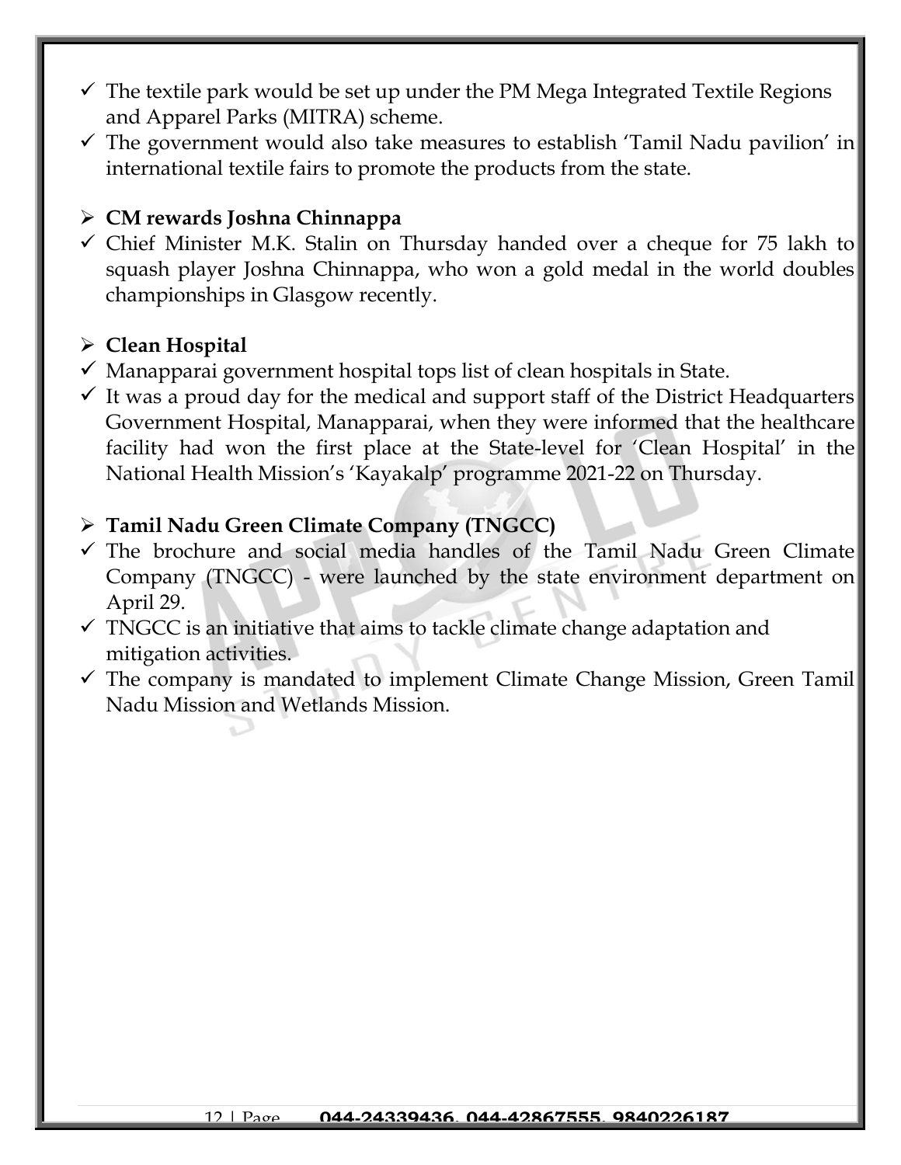- $\checkmark$  The textile park would be set up under the PM Mega Integrated Textile Regions and Apparel Parks (MITRA) scheme.
- $\checkmark$  The government would also take measures to establish 'Tamil Nadu pavilion' in international textile fairs to promote the products from the state.

#### ➢ **CM rewards Joshna Chinnappa**

✓ Chief Minister M.K. Stalin on Thursday handed over a cheque for 75 lakh to squash player Joshna Chinnappa, who won a gold medal in the world doubles championships in Glasgow recently.

### ➢ **Clean Hospital**

- $\checkmark$  Manapparai government hospital tops list of clean hospitals in State.
- $\checkmark$  It was a proud day for the medical and support staff of the District Headquarters Government Hospital, Manapparai, when they were informed that the healthcare facility had won the first place at the State-level for 'Clean Hospital' in the National Health Mission's 'Kayakalp' programme 2021-22 on Thursday.

#### ➢ **Tamil Nadu Green Climate Company (TNGCC)**

- $\checkmark$  The brochure and social media handles of the Tamil Nadu Green Climate Company (TNGCC) - were launched by the state environment department on April 29.
- $\checkmark$  TNGCC is an initiative that aims to tackle climate change adaptation and mitigation activities.
- $\checkmark$  The company is mandated to implement Climate Change Mission, Green Tamil Nadu Mission and Wetlands Mission.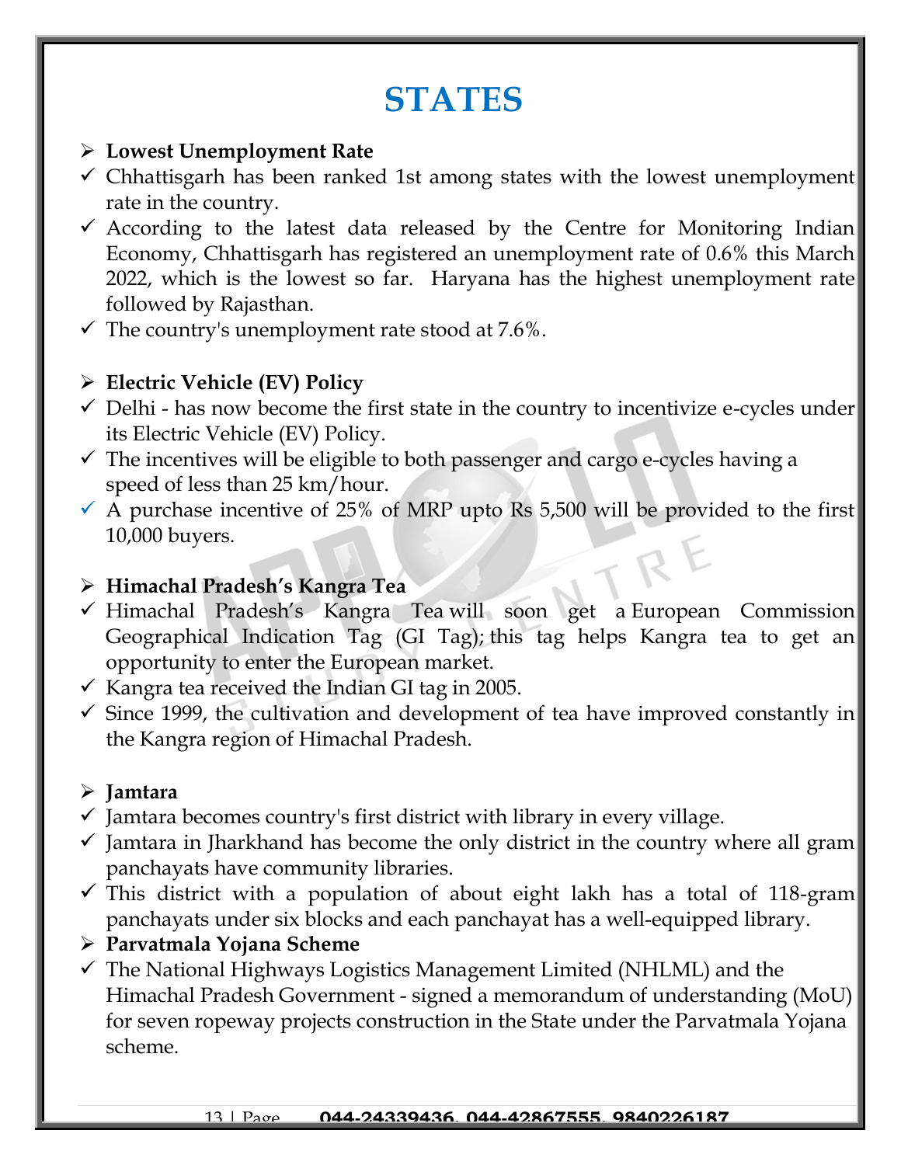# **STATES**

#### ➢ **Lowest Unemployment Rate**

- $\checkmark$  Chhattisgarh has been ranked 1st among states with the lowest unemployment rate in the country.
- $\checkmark$  According to the latest data released by the Centre for Monitoring Indian Economy, Chhattisgarh has registered an unemployment rate of 0.6% this March 2022, which is the lowest so far. Haryana has the highest unemployment rate followed by Rajasthan.
- $\checkmark$  The country's unemployment rate stood at 7.6%.

# ➢ **Electric Vehicle (EV) Policy**

- $\checkmark$  Delhi has now become the first state in the country to incentivize e-cycles under its Electric Vehicle (EV) Policy.
- $\checkmark$  The incentives will be eligible to both passenger and cargo e-cycles having a speed of less than 25 km/hour.
- $\checkmark$  A purchase incentive of 25% of MRP upto Rs 5,500 will be provided to the first 10,000 buyers.

# ➢ **Himachal Pradesh's Kangra Tea**

- ✓ Himachal Pradesh's Kangra Tea will soon get a European Commission Geographical Indication Tag (GI Tag); this tag helps Kangra tea to get an opportunity to enter the European market.
- $\checkmark$  Kangra tea received the Indian GI tag in 2005.
- $\checkmark$  Since 1999, the cultivation and development of tea have improved constantly in the Kangra region of Himachal Pradesh.

# ➢ **Jamtara**

- $\checkmark$  Jamtara becomes country's first district with library in every village.
- $\checkmark$  Jamtara in Jharkhand has become the only district in the country where all gram panchayats have community libraries.
- $\checkmark$  This district with a population of about eight lakh has a total of 118-gram panchayats under six blocks and each panchayat has a well-equipped library.
- ➢ **Parvatmala Yojana Scheme**
- $\checkmark$  The National Highways Logistics Management Limited (NHLML) and the Himachal Pradesh Government - signed a memorandum of understanding (MoU) for seven ropeway projects construction in the State under the Parvatmala Yojana scheme.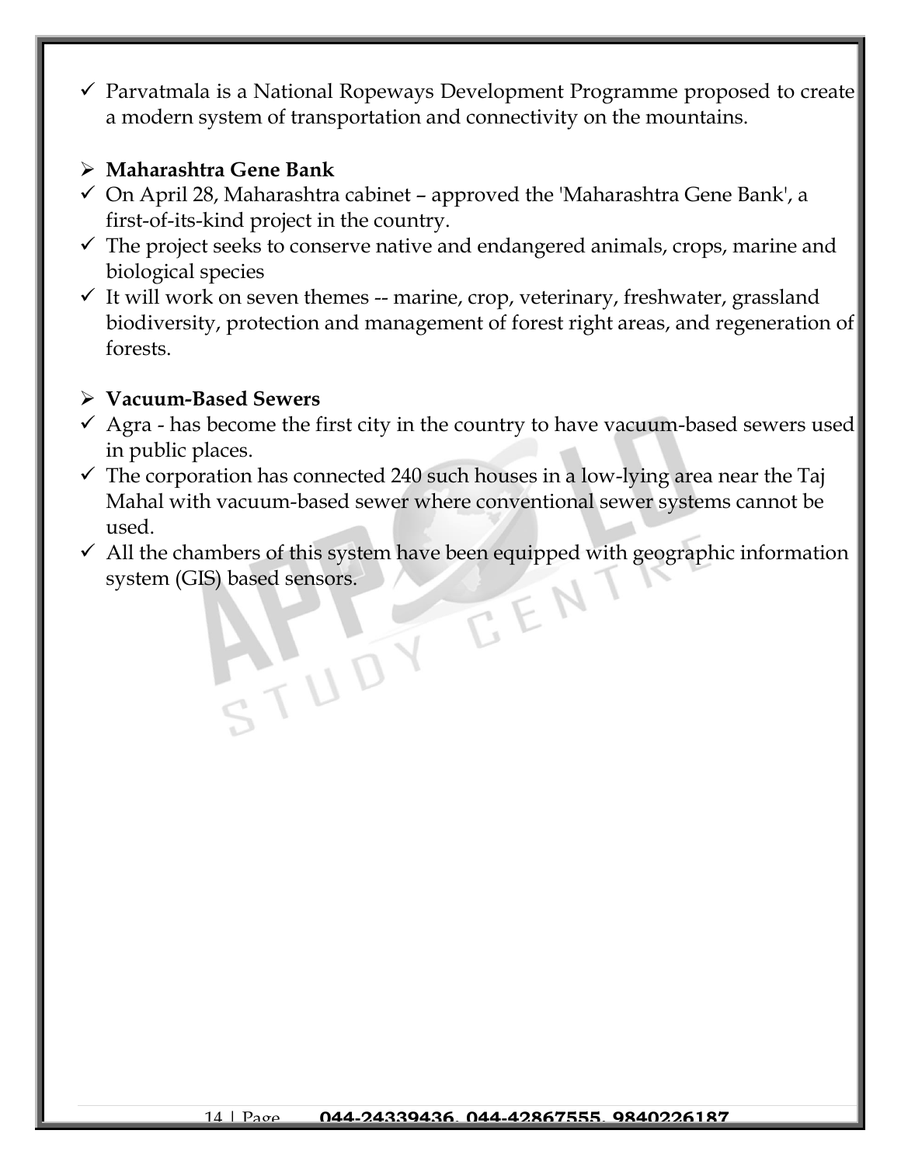$\checkmark$  Parvatmala is a National Ropeways Development Programme proposed to create a modern system of transportation and connectivity on the mountains.

#### ➢ **Maharashtra Gene Bank**

- $\checkmark$  On April 28, Maharashtra cabinet approved the 'Maharashtra Gene Bank', a first-of-its-kind project in the country.
- $\checkmark$  The project seeks to conserve native and endangered animals, crops, marine and biological species
- $\checkmark$  It will work on seven themes -- marine, crop, veterinary, freshwater, grassland biodiversity, protection and management of forest right areas, and regeneration of forests.

#### ➢ **Vacuum-Based Sewers**

- $\checkmark$  Agra has become the first city in the country to have vacuum-based sewers used in public places.
- $\checkmark$  The corporation has connected 240 such houses in a low-lying area near the Taj Mahal with vacuum-based sewer where conventional sewer systems cannot be used.
- $\checkmark$  All the chambers of this system have been equipped with geographic information system (GIS) based sensors. EEN

TUDY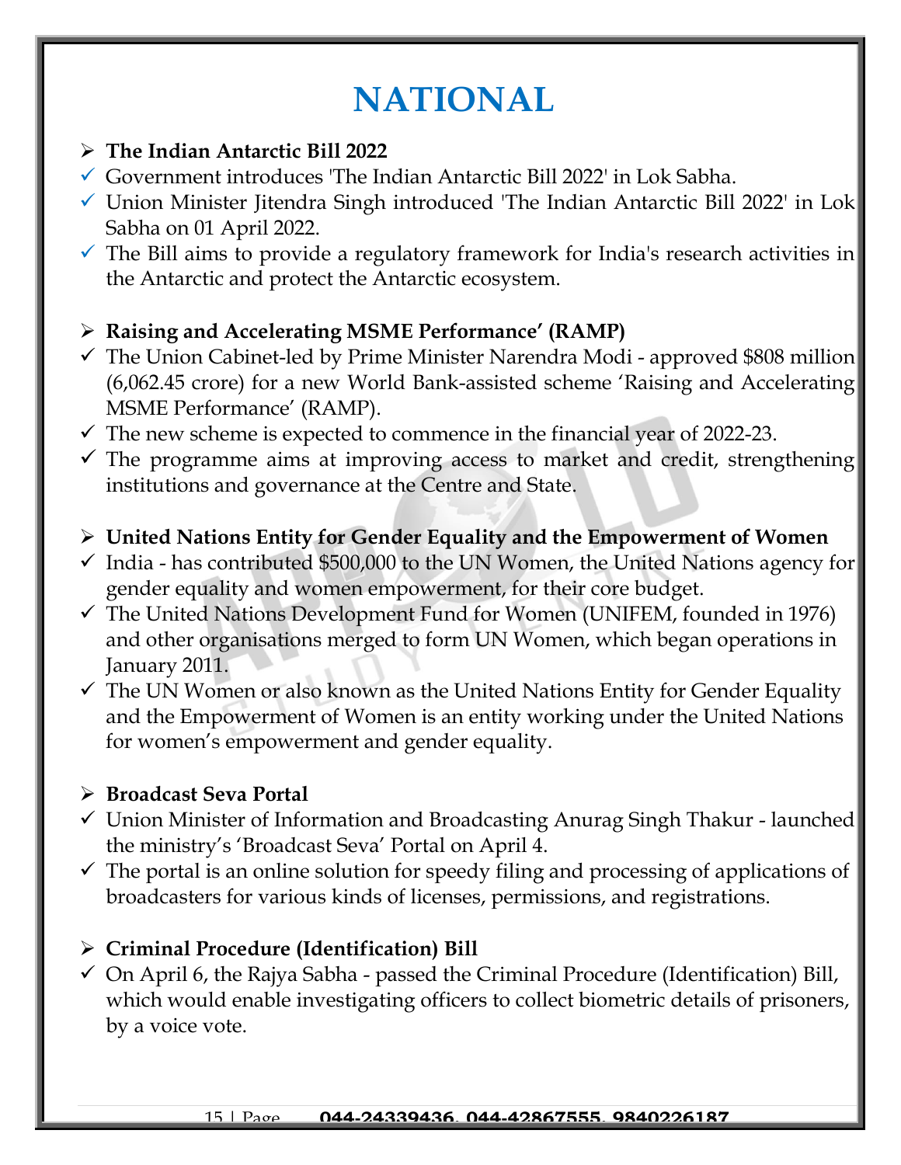# **NATIONAL**

#### ➢ **The Indian Antarctic Bill 2022**

- ✓ Government introduces 'The Indian Antarctic Bill 2022' in Lok Sabha.
- $\checkmark$  Union Minister Jitendra Singh introduced 'The Indian Antarctic Bill 2022' in Lok Sabha on 01 April 2022.
- $\checkmark$  The Bill aims to provide a regulatory framework for India's research activities in the Antarctic and protect the Antarctic ecosystem.

# ➢ **Raising and Accelerating MSME Performance' (RAMP)**

- $\checkmark$  The Union Cabinet-led by Prime Minister Narendra Modi approved \$808 million (6,062.45 crore) for a new World Bank-assisted scheme 'Raising and Accelerating MSME Performance' (RAMP).
- $\checkmark$  The new scheme is expected to commence in the financial year of 2022-23.
- $\checkmark$  The programme aims at improving access to market and credit, strengthening institutions and governance at the Centre and State.

# ➢ **United Nations Entity for Gender Equality and the Empowerment of Women**

- $\checkmark$  India has contributed \$500,000 to the UN Women, the United Nations agency for gender equality and women empowerment, for their core budget.
- $\checkmark$  The United Nations Development Fund for Women (UNIFEM, founded in 1976) and other organisations merged to form UN Women, which began operations in January 2011.
- $\checkmark$  The UN Women or also known as the United Nations Entity for Gender Equality and the Empowerment of Women is an entity working under the United Nations for women's empowerment and gender equality.

### ➢ **Broadcast Seva Portal**

- ✓ Union Minister of Information and Broadcasting Anurag Singh Thakur launched the ministry's 'Broadcast Seva' Portal on April 4.
- $\checkmark$  The portal is an online solution for speedy filing and processing of applications of broadcasters for various kinds of licenses, permissions, and registrations.

# ➢ **Criminal Procedure (Identification) Bill**

 $\checkmark$  On April 6, the Rajya Sabha - passed the Criminal Procedure (Identification) Bill, which would enable investigating officers to collect biometric details of prisoners, by a voice vote.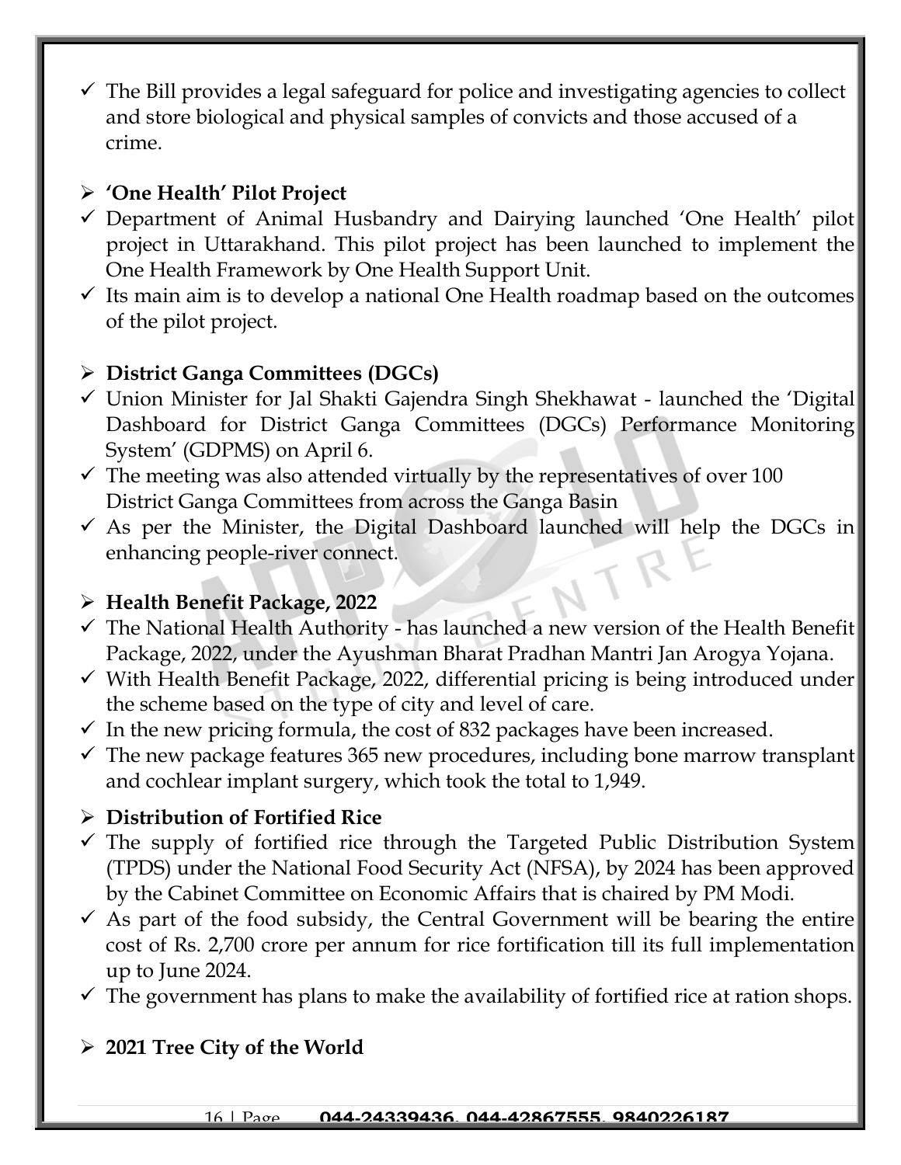$\checkmark$  The Bill provides a legal safeguard for police and investigating agencies to collect and store biological and physical samples of convicts and those accused of a crime.

### ➢ **'One Health' Pilot Project**

- ✓ Department of Animal Husbandry and Dairying launched 'One Health' pilot project in Uttarakhand. This pilot project has been launched to implement the One Health Framework by One Health Support Unit.
- $\checkmark$  Its main aim is to develop a national One Health roadmap based on the outcomes of the pilot project.

### ➢ **District Ganga Committees (DGCs)**

- ✓ Union Minister for Jal Shakti Gajendra Singh Shekhawat launched the 'Digital Dashboard for District Ganga Committees (DGCs) Performance Monitoring System' (GDPMS) on April 6.
- $\checkmark$  The meeting was also attended virtually by the representatives of over 100 District Ganga Committees from across the Ganga Basin
- $\checkmark$  As per the Minister, the Digital Dashboard launched will help the DGCs in enhancing people-river connect.

# ➢ **Health Benefit Package, 2022**

- ✓ The National Health Authority has launched a new version of the Health Benefit Package, 2022, under the Ayushman Bharat Pradhan Mantri Jan Arogya Yojana.
- ✓ With Health Benefit Package, 2022, differential pricing is being introduced under the scheme based on the type of city and level of care.
- $\checkmark$  In the new pricing formula, the cost of 832 packages have been increased.
- $\checkmark$  The new package features 365 new procedures, including bone marrow transplant and cochlear implant surgery, which took the total to 1,949.

# ➢ **Distribution of Fortified Rice**

- $\checkmark$  The supply of fortified rice through the Targeted Public Distribution System (TPDS) under the National Food Security Act (NFSA), by 2024 has been approved by the Cabinet Committee on Economic Affairs that is chaired by PM Modi.
- $\checkmark$  As part of the food subsidy, the Central Government will be bearing the entire cost of Rs. 2,700 crore per annum for rice fortification till its full implementation up to June 2024.
- $\checkmark$  The government has plans to make the availability of fortified rice at ration shops.

# ➢ **2021 Tree City of the World**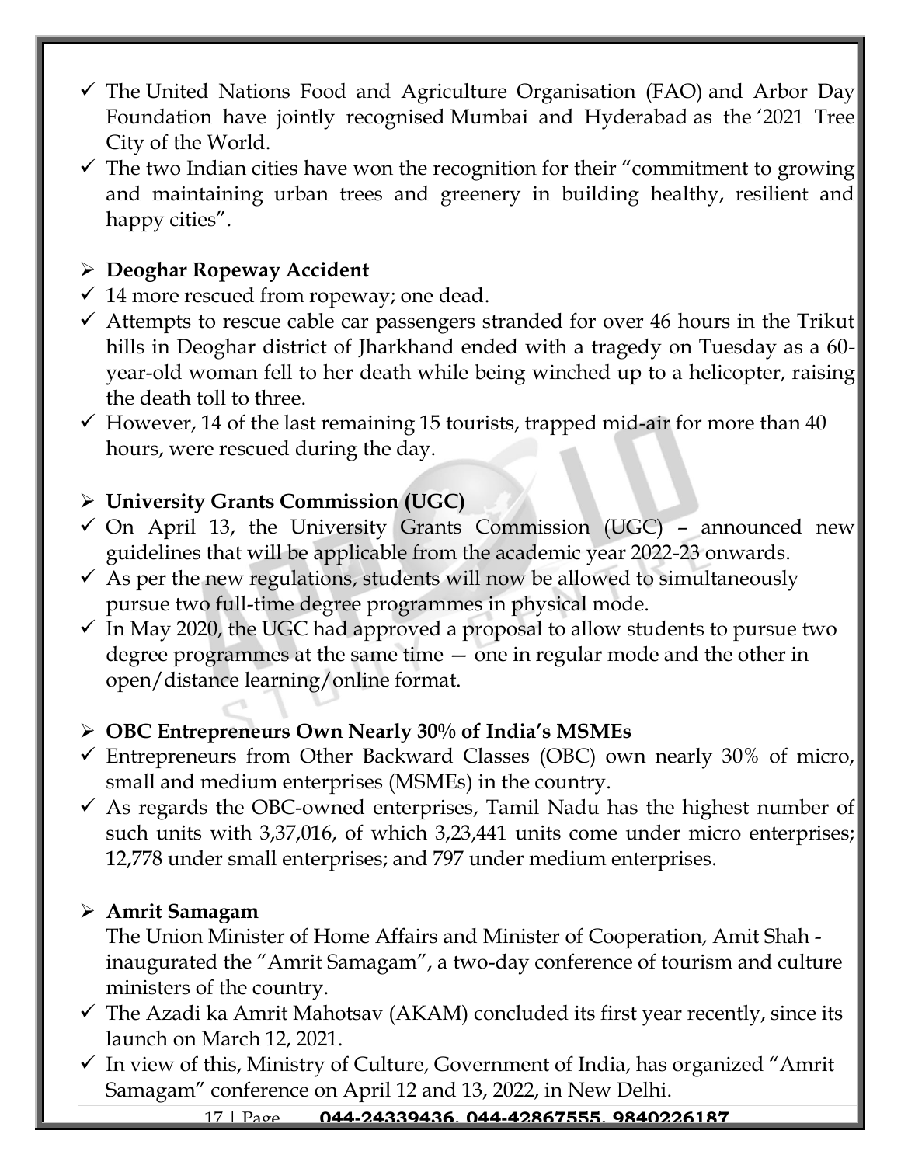- $\checkmark$  The United Nations Food and Agriculture Organisation (FAO) and Arbor Day Foundation have jointly recognised Mumbai and Hyderabad as the '2021 Tree City of the World.
- $\checkmark$  The two Indian cities have won the recognition for their "commitment to growing and maintaining urban trees and greenery in building healthy, resilient and happy cities".

### ➢ **Deoghar Ropeway Accident**

- $\checkmark$  14 more rescued from ropeway; one dead.
- $\checkmark$  Attempts to rescue cable car passengers stranded for over 46 hours in the Trikut hills in Deoghar district of Jharkhand ended with a tragedy on Tuesday as a 60year-old woman fell to her death while being winched up to a helicopter, raising the death toll to three.
- $\checkmark$  However, 14 of the last remaining 15 tourists, trapped mid-air for more than 40 hours, were rescued during the day.

### ➢ **University Grants Commission (UGC)**

- $\checkmark$  On April 13, the University Grants Commission (UGC) announced new guidelines that will be applicable from the academic year 2022-23 onwards.
- $\checkmark$  As per the new regulations, students will now be allowed to simultaneously pursue two full-time degree programmes in physical mode.
- $\checkmark$  In May 2020, the UGC had approved a proposal to allow students to pursue two degree programmes at the same time — one in regular mode and the other in open/distance learning/online format.

# ➢ **OBC Entrepreneurs Own Nearly 30% of India's MSMEs**

- $\checkmark$  Entrepreneurs from Other Backward Classes (OBC) own nearly 30% of micro, small and medium enterprises (MSMEs) in the country.
- $\checkmark$  As regards the OBC-owned enterprises, Tamil Nadu has the highest number of such units with 3,37,016, of which 3,23,441 units come under micro enterprises; 12,778 under small enterprises; and 797 under medium enterprises.

### ➢ **Amrit Samagam**

The Union Minister of Home Affairs and Minister of Cooperation, Amit Shah inaugurated the "Amrit Samagam", a two-day conference of tourism and culture ministers of the country.

- $\checkmark$  The Azadi ka Amrit Mahotsav (AKAM) concluded its first year recently, since its launch on March 12, 2021.
- $\checkmark$  In view of this, Ministry of Culture, Government of India, has organized "Amrit Samagam" conference on April 12 and 13, 2022, in New Delhi.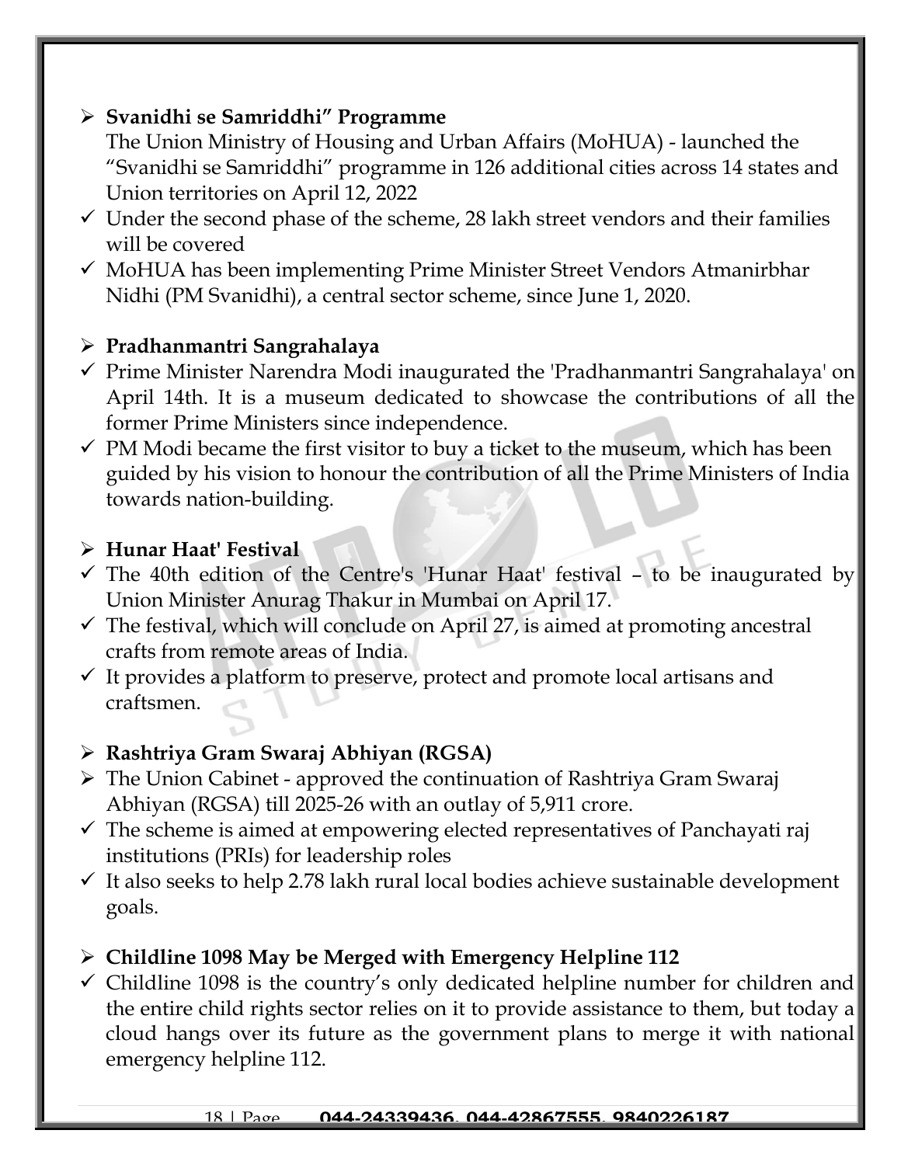### ➢ **Svanidhi se Samriddhi" Programme**

The Union Ministry of Housing and Urban Affairs (MoHUA) - launched the "Svanidhi se Samriddhi" programme in 126 additional cities across 14 states and Union territories on April 12, 2022

- $\checkmark$  Under the second phase of the scheme, 28 lakh street vendors and their families will be covered
- ✓ MoHUA has been implementing Prime Minister Street Vendors Atmanirbhar Nidhi (PM Svanidhi), a central sector scheme, since June 1, 2020.

# ➢ **[Pradhanmantri Sangrahalaya](https://www.jagranjosh.com/current-affairs/pradhanmantri-sangrahalaya-inauguration-all-you-need-to-know-1649830230-1?ref=list_ca)**

- ✓ Prime Minister Narendra Modi inaugurated the 'Pradhanmantri Sangrahalaya' on April 14th. It is a museum dedicated to showcase the contributions of all the former Prime Ministers since independence.
- $\checkmark$  PM Modi became the first visitor to buy a ticket to the museum, which has been guided by his vision to honour the contribution of all the Prime Ministers of India towards nation-building.

#### ➢ **Hunar Haat' Festival**

- ✓ The 40th edition of the Centre's 'Hunar Haat' festival to be inaugurated by Union Minister Anurag Thakur in Mumbai on April 17.
- $\checkmark$  The festival, which will conclude on April 27, is aimed at promoting ancestral crafts from remote areas of India.
- $\checkmark$  It provides a platform to preserve, protect and promote local artisans and craftsmen.

# ➢ **Rashtriya Gram Swaraj Abhiyan (RGSA)**

- ➢ The Union Cabinet approved the continuation of Rashtriya Gram Swaraj Abhiyan (RGSA) till 2025-26 with an outlay of 5,911 crore.
- $\checkmark$  The scheme is aimed at empowering elected representatives of Panchayati raj institutions (PRIs) for leadership roles
- $\checkmark$  It also seeks to help 2.78 lakh rural local bodies achieve sustainable development goals.
- ➢ **Childline 1098 May be Merged with Emergency Helpline 112**
- $\checkmark$  Childline 1098 is the country's only dedicated helpline number for children and the entire child rights sector relies on it to provide assistance to them, but today a cloud hangs over its future as the government plans to merge it with national emergency helpline 112.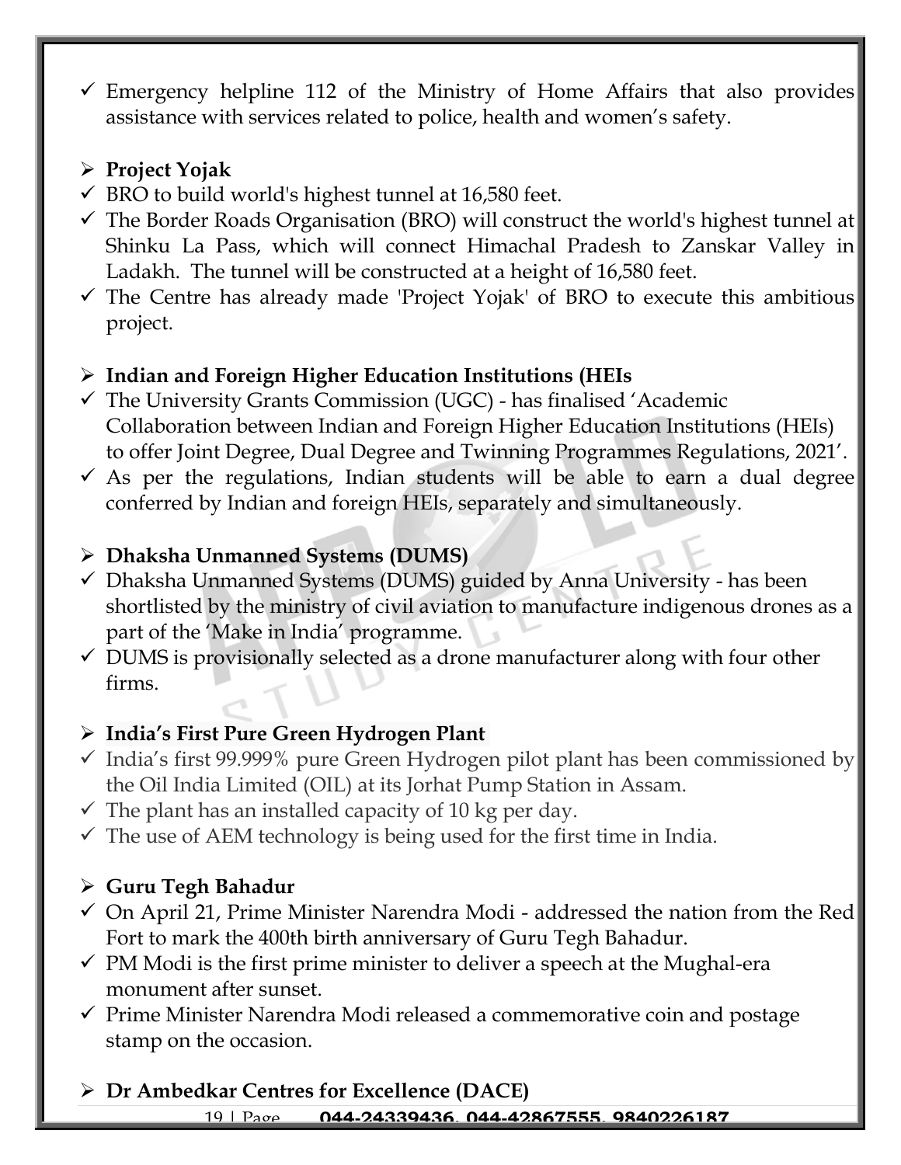$\checkmark$  Emergency helpline 112 of the Ministry of Home Affairs that also provides assistance with services related to police, health and women's safety.

# ➢ **Project Yojak**

- $\checkmark$  BRO to build world's highest tunnel at 16,580 feet.
- $\checkmark$  The Border Roads Organisation (BRO) will construct the world's highest tunnel at Shinku La Pass, which will connect Himachal Pradesh to Zanskar Valley in Ladakh. The tunnel will be constructed at a height of 16,580 feet.
- $\checkmark$  The Centre has already made 'Project Yojak' of BRO to execute this ambitious project.

# ➢ **Indian and Foreign Higher Education Institutions (HEIs**

- $\checkmark$  The University Grants Commission (UGC) has finalised 'Academic Collaboration between Indian and Foreign Higher Education Institutions (HEIs) to offer Joint Degree, Dual Degree and Twinning Programmes Regulations, 2021'.
- $\checkmark$  As per the regulations, Indian students will be able to earn a dual degree conferred by Indian and foreign HEIs, separately and simultaneously.

# ➢ **Dhaksha Unmanned Systems (DUMS)**

- $\checkmark$  Dhaksha Unmanned Systems (DUMS) guided by Anna University has been shortlisted by the ministry of civil aviation to manufacture indigenous drones as a part of the 'Make in India' programme.
- $\checkmark$  DUMS is provisionally selected as a drone manufacturer along with four other firms.

# ➢ **India's First Pure Green Hydrogen Plant**

- ✓ India's first 99.999% pure Green Hydrogen pilot plant has been commissioned by the Oil India Limited (OIL) at its Jorhat Pump Station in Assam.
- $\checkmark$  The plant has an installed capacity of 10 kg per day.
- $\checkmark$  The use of AEM technology is being used for the first time in India.

# ➢ **Guru Tegh Bahadur**

- $\checkmark$  On April 21, Prime Minister Narendra Modi addressed the nation from the Red Fort to mark the 400th birth anniversary of Guru Tegh Bahadur.
- $\checkmark$  PM Modi is the first prime minister to deliver a speech at the Mughal-era monument after sunset.
- ✓ Prime Minister Narendra Modi released a commemorative coin and postage stamp on the occasion.

19 | Page **044-24339436, 044-42867555, 9840226187** ➢ **Dr Ambedkar Centres for Excellence (DACE)**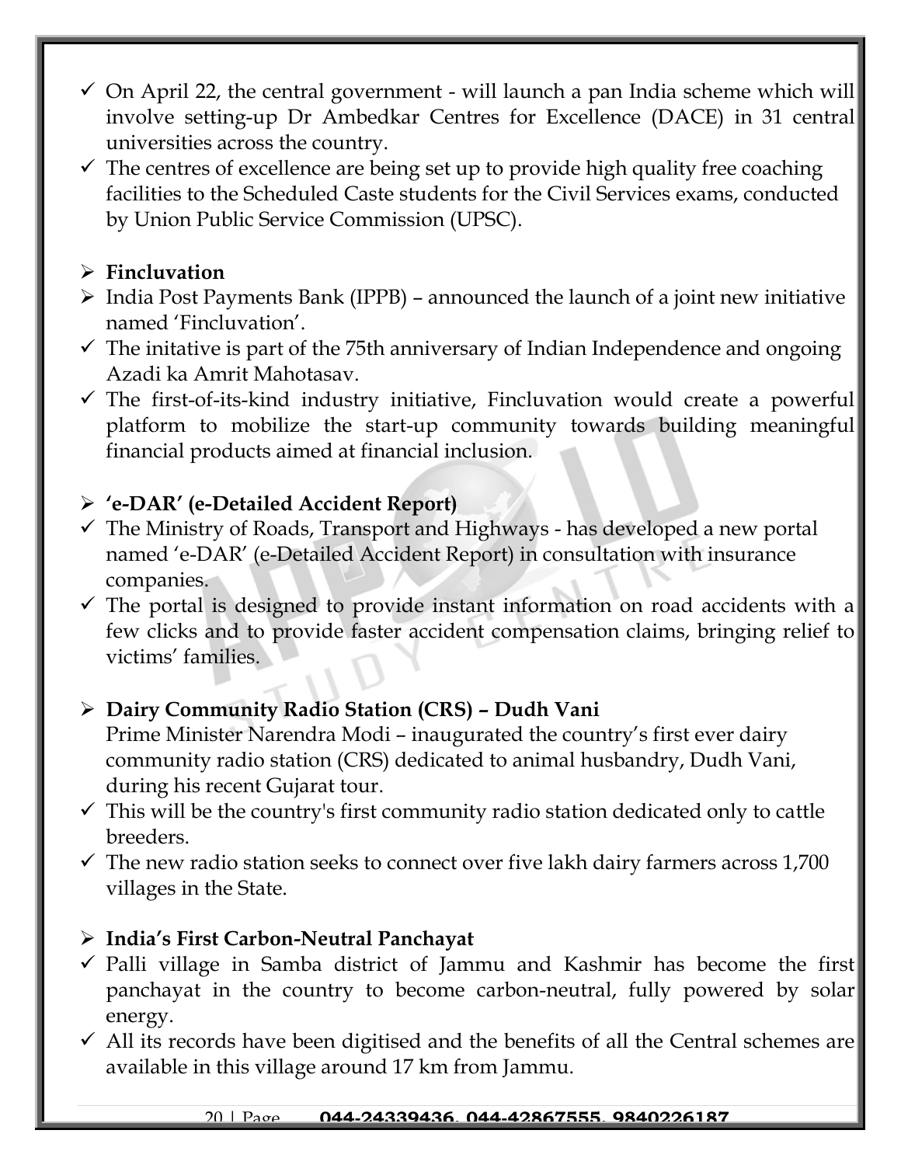- $\checkmark$  On April 22, the central government will launch a pan India scheme which will involve setting-up Dr Ambedkar Centres for Excellence (DACE) in 31 central universities across the country.
- $\checkmark$  The centres of excellence are being set up to provide high quality free coaching facilities to the Scheduled Caste students for the Civil Services exams, conducted by Union Public Service Commission (UPSC).

### ➢ **Fincluvation**

- ➢ India Post Payments Bank (IPPB) announced the launch of a joint new initiative named 'Fincluvation'.
- $\checkmark$  The initative is part of the 75th anniversary of Indian Independence and ongoing Azadi ka Amrit Mahotasav.
- $\checkmark$  The first-of-its-kind industry initiative, Fincluvation would create a powerful platform to mobilize the start-up community towards building meaningful financial products aimed at financial inclusion.

# ➢ **'e-DAR' (e-Detailed Accident Report)**

- $\checkmark$  The Ministry of Roads, Transport and Highways has developed a new portal named 'e-DAR' (e-Detailed Accident Report) in consultation with insurance companies.
- $\checkmark$  The portal is designed to provide instant information on road accidents with a few clicks and to provide faster accident compensation claims, bringing relief to victims' families.

# ➢ **Dairy Community Radio Station (CRS) – Dudh Vani**

Prime Minister Narendra Modi – inaugurated the country's first ever dairy community radio station (CRS) dedicated to animal husbandry, Dudh Vani, during his recent Gujarat tour.

- $\checkmark$  This will be the country's first community radio station dedicated only to cattle breeders.
- $\checkmark$  The new radio station seeks to connect over five lakh dairy farmers across 1,700 villages in the State.

### ➢ **India's First Carbon-Neutral Panchayat**

- $\checkmark$  Palli village in Samba district of Jammu and Kashmir has become the first panchayat in the country to become carbon-neutral, fully powered by solar energy.
- $\checkmark$  All its records have been digitised and the benefits of all the Central schemes are available in this village around 17 km from Jammu.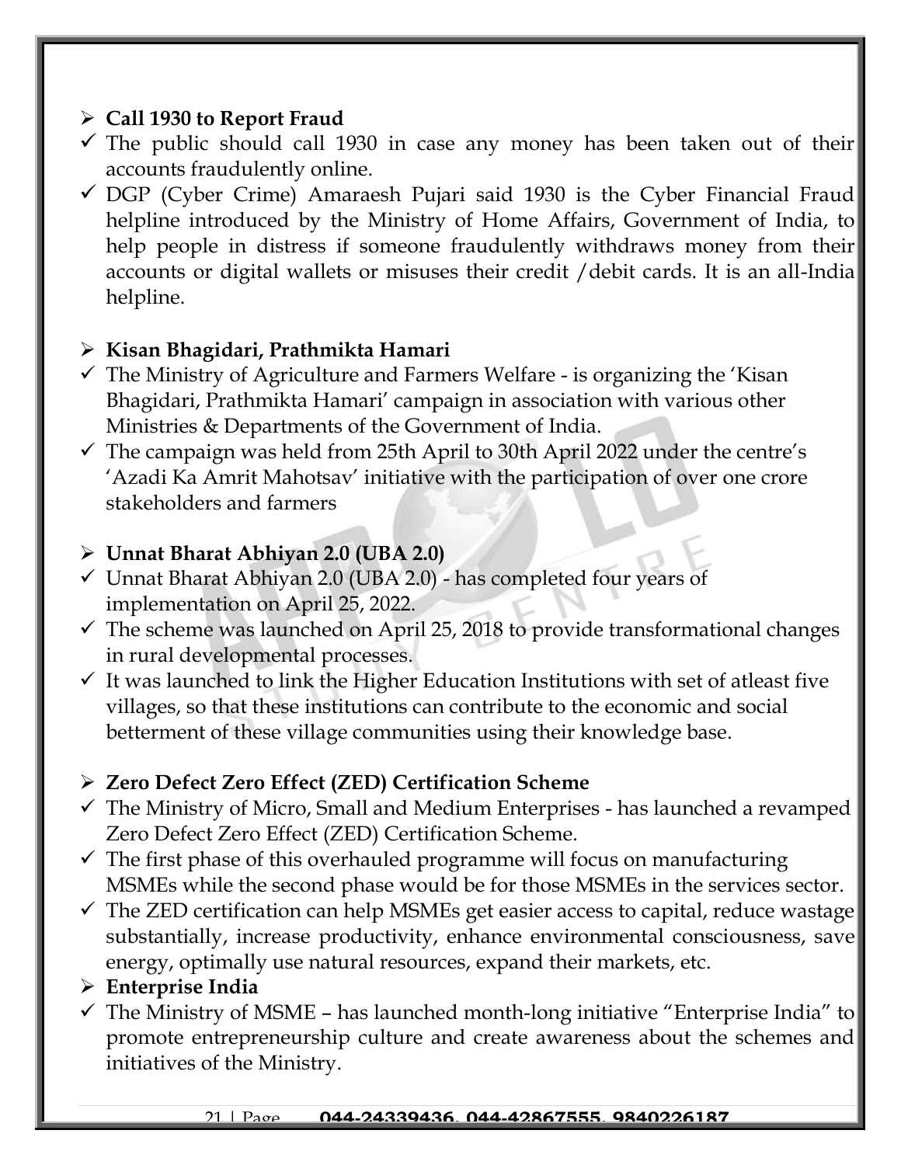### ➢ **Call 1930 to Report Fraud**

- $\checkmark$  The public should call 1930 in case any money has been taken out of their accounts fraudulently online.
- $\checkmark$  DGP (Cyber Crime) Amaraesh Pujari said 1930 is the Cyber Financial Fraud helpline introduced by the Ministry of Home Affairs, Government of India, to help people in distress if someone fraudulently withdraws money from their accounts or digital wallets or misuses their credit /debit cards. It is an all-India helpline.

# ➢ **Kisan Bhagidari, Prathmikta Hamari**

- $\checkmark$  The Ministry of Agriculture and Farmers Welfare is organizing the 'Kisan Bhagidari, Prathmikta Hamari' campaign in association with various other Ministries & Departments of the Government of India.
- $\checkmark$  The campaign was held from 25th April to 30th April 2022 under the centre's 'Azadi Ka Amrit Mahotsav' initiative with the participation of over one crore stakeholders and farmers

### ➢ **Unnat Bharat Abhiyan 2.0 (UBA 2.0)**

- $\checkmark$  Unnat Bharat Abhiyan 2.0 (UBA 2.0) has completed four years of implementation on April 25, 2022.
- $\checkmark$  The scheme was launched on April 25, 2018 to provide transformational changes in rural developmental processes.
- $\checkmark$  It was launched to link the Higher Education Institutions with set of atleast five villages, so that these institutions can contribute to the economic and social betterment of these village communities using their knowledge base.

# ➢ **Zero Defect Zero Effect (ZED) Certification Scheme**

- $\checkmark$  The Ministry of Micro, Small and Medium Enterprises has launched a revamped Zero Defect Zero Effect (ZED) Certification Scheme.
- $\checkmark$  The first phase of this overhauled programme will focus on manufacturing MSMEs while the second phase would be for those MSMEs in the services sector.
- $\checkmark$  The ZED certification can help MSMEs get easier access to capital, reduce wastage substantially, increase productivity, enhance environmental consciousness, save energy, optimally use natural resources, expand their markets, etc.

# ➢ **Enterprise India**

 $\checkmark$  The Ministry of MSME – has launched month-long initiative "Enterprise India" to promote entrepreneurship culture and create awareness about the schemes and initiatives of the Ministry.

#### 21 | Page **044-24339436, 044-42867555, 9840226187**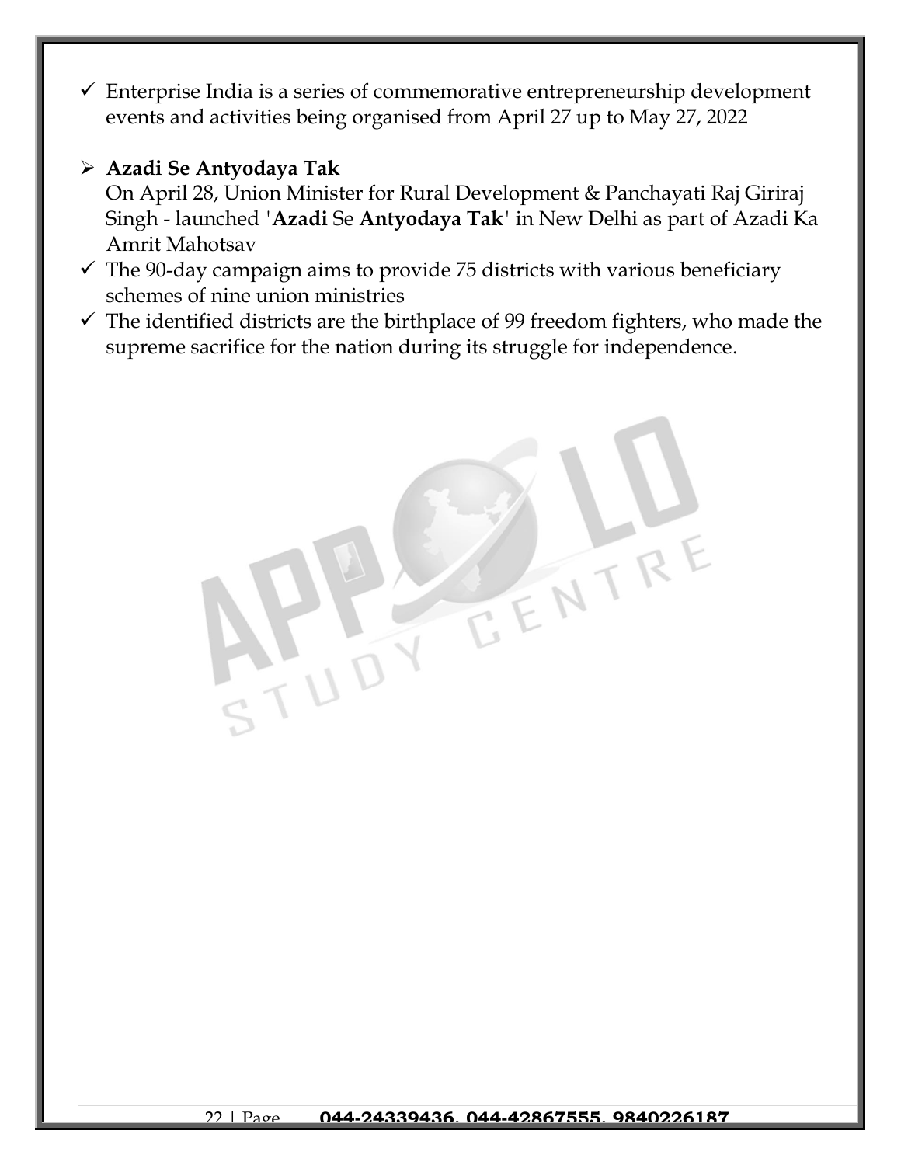$\checkmark$  Enterprise India is a series of commemorative entrepreneurship development events and activities being organised from April 27 up to May 27, 2022

#### ➢ **Azadi Se Antyodaya Tak**

On April 28, Union Minister for Rural Development & Panchayati Raj Giriraj Singh - launched *'***Azadi** Se **Antyodaya Tak***'* in New Delhi as part of Azadi Ka Amrit Mahotsav

- $\checkmark$  The 90-day campaign aims to provide 75 districts with various beneficiary schemes of nine union ministries
- $\checkmark$  The identified districts are the birthplace of 99 freedom fighters, who made the supreme sacrifice for the nation during its struggle for independence.

EENTR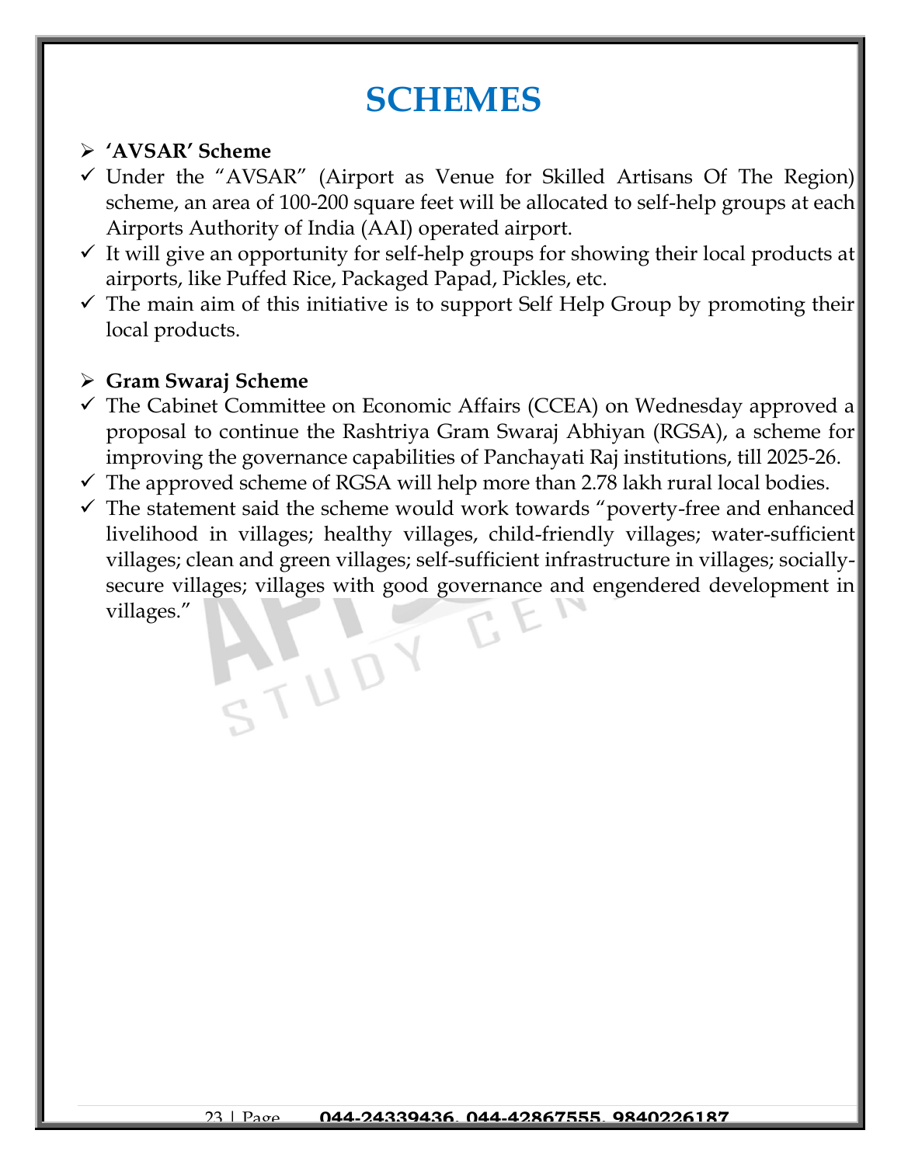# **SCHEMES**

#### ➢ **'AVSAR' Scheme**

- $\checkmark$  Under the "AVSAR" (Airport as Venue for Skilled Artisans Of The Region) scheme, an area of 100-200 square feet will be allocated to self-help groups at each Airports Authority of India (AAI) operated airport.
- $\checkmark$  It will give an opportunity for self-help groups for showing their local products at airports, like Puffed Rice, Packaged Papad, Pickles, etc.
- $\checkmark$  The main aim of this initiative is to support Self Help Group by promoting their local products.

#### ➢ **Gram Swaraj Scheme**

- $\checkmark$  The Cabinet Committee on Economic Affairs (CCEA) on Wednesday approved a proposal to continue the Rashtriya Gram Swaraj Abhiyan (RGSA), a scheme for improving the governance capabilities of Panchayati Raj institutions, till 2025-26.
- $\checkmark$  The approved scheme of RGSA will help more than 2.78 lakh rural local bodies.
- $\checkmark$  The statement said the scheme would work towards "poverty-free and enhanced livelihood in villages; healthy villages, child-friendly villages; water-sufficient villages; clean and green villages; self-sufficient infrastructure in villages; sociallysecure villages; villages with good governance and engendered development in villages."

STUDY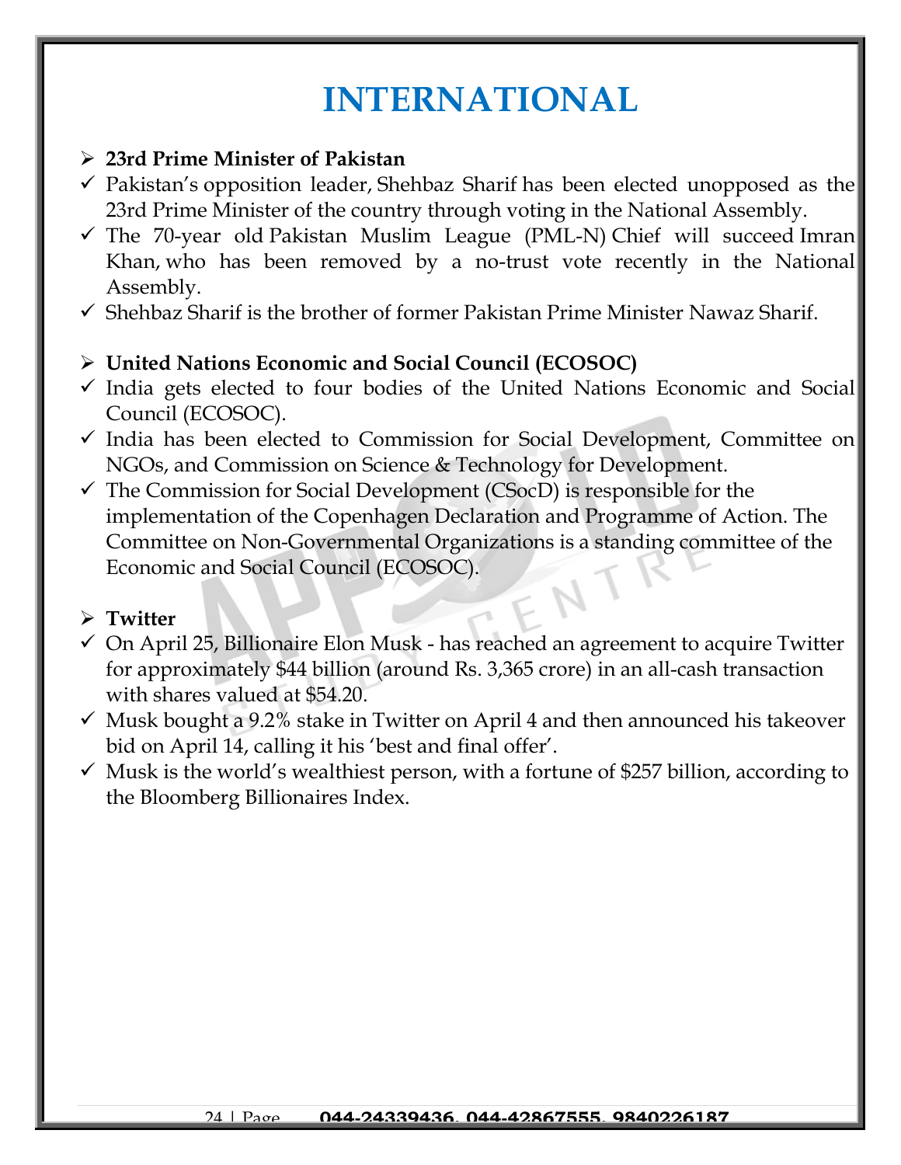# **INTERNATIONAL**

#### ➢ **23rd Prime Minister of Pakistan**

- $\checkmark$  Pakistan's opposition leader, Shehbaz Sharif has been elected unopposed as the 23rd Prime Minister of the country through voting in the National Assembly.
- $\checkmark$  The 70-year old Pakistan Muslim League (PML-N) Chief will succeed Imran Khan, who has been removed by a no-trust vote recently in the National Assembly.
- $\checkmark$  Shehbaz Sharif is the brother of former Pakistan Prime Minister Nawaz Sharif.

#### ➢ **United Nations Economic and Social Council (ECOSOC)**

- $\checkmark$  India gets elected to four bodies of the United Nations Economic and Social Council (ECOSOC).
- ✓ India has been elected to Commission for Social Development, Committee on NGOs, and Commission on Science & Technology for Development.
- $\checkmark$  The Commission for Social Development (CSocD) is responsible for the implementation of the Copenhagen Declaration and Programme of Action. The Committee on Non-Governmental Organizations is a standing committee of the Economic and Social Council (ECOSOC).

#### ➢ **Twitter**

- $\checkmark$  On April 25, Billionaire Elon Musk has reached an agreement to acquire Twitter for approximately \$44 billion (around Rs. 3,365 crore) in an all-cash transaction with shares valued at \$54.20.
- $\checkmark$  Musk bought a 9.2% stake in Twitter on April 4 and then announced his takeover bid on April 14, calling it his 'best and final offer'.
- $\checkmark$  Musk is the world's wealthiest person, with a fortune of \$257 billion, according to the Bloomberg Billionaires Index.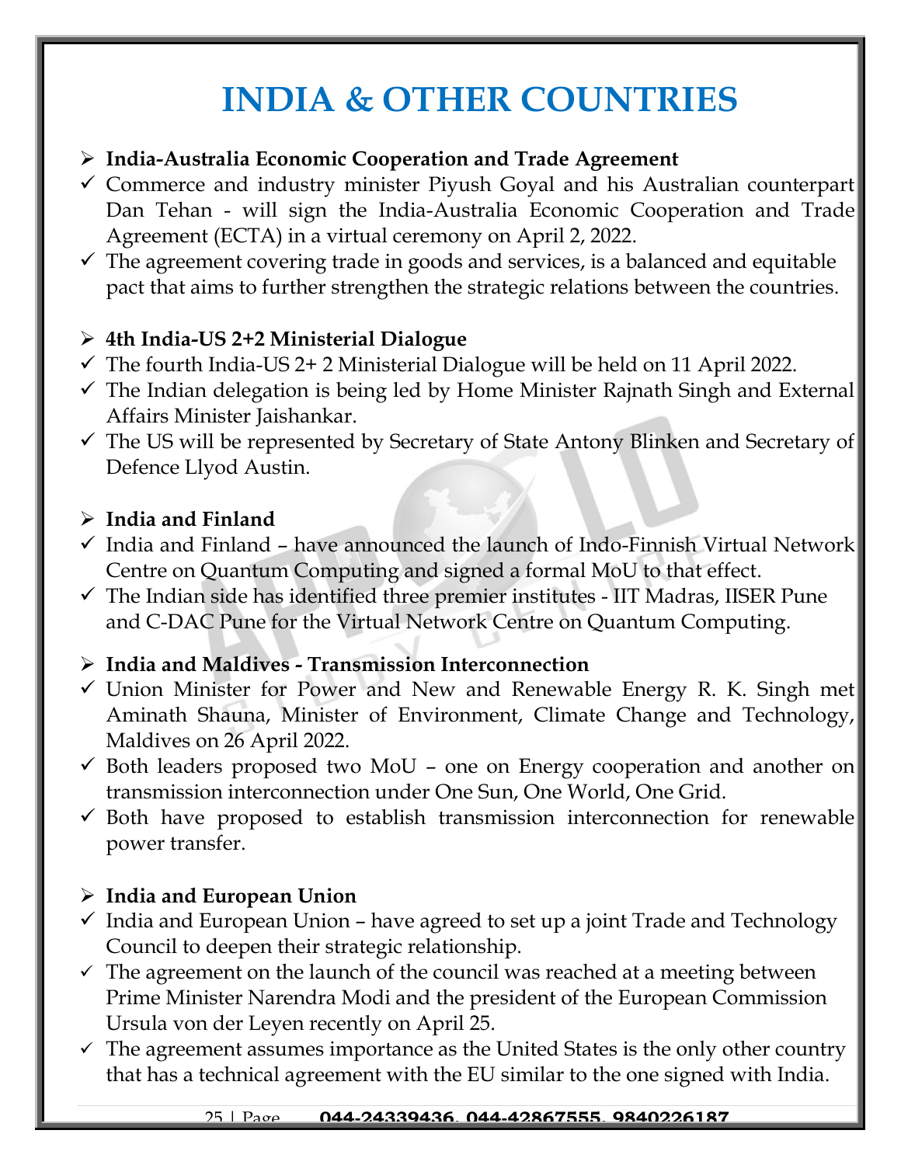# **INDIA & OTHER COUNTRIES**

#### ➢ **India-Australia Economic Cooperation and Trade Agreement**

- ✓ Commerce and industry minister Piyush Goyal and his Australian counterpart Dan Tehan - will sign the India-Australia Economic Cooperation and Trade Agreement (ECTA) in a virtual ceremony on April 2, 2022.
- $\checkmark$  The agreement covering trade in goods and services, is a balanced and equitable pact that aims to further strengthen the strategic relations between the countries.

### ➢ **4th India-US 2+2 Ministerial Dialogue**

- $\checkmark$  The fourth India-US 2+2 Ministerial Dialogue will be held on 11 April 2022.
- ✓ The Indian delegation is being led by Home Minister Rajnath Singh and External Affairs Minister Jaishankar.
- $\checkmark$  The US will be represented by Secretary of State Antony Blinken and Secretary of Defence Llyod Austin.

#### ➢ **India and Finland**

- $\checkmark$  India and Finland have announced the launch of Indo-Finnish Virtual Network Centre on Quantum Computing and signed a formal MoU to that effect.
- $\checkmark$  The Indian side has identified three premier institutes IIT Madras, IISER Pune and C-DAC Pune for the Virtual Network Centre on Quantum Computing.

### ➢ **India and Maldives - Transmission Interconnection**

- $\checkmark$  Union Minister for Power and New and Renewable Energy R. K. Singh met Aminath Shauna, Minister of Environment, Climate Change and Technology, Maldives on 26 April 2022.
- $\checkmark$  Both leaders proposed two MoU one on Energy cooperation and another on transmission interconnection under One Sun, One World, One Grid.
- $\checkmark$  Both have proposed to establish transmission interconnection for renewable power transfer.

# ➢ **India and European Union**

- $\checkmark$  India and European Union have agreed to set up a joint Trade and Technology Council to deepen their strategic relationship.
- $\checkmark$  The agreement on the launch of the council was reached at a meeting between Prime Minister Narendra Modi and the president of the European Commission Ursula von der Leyen recently on April 25.
- $\checkmark$  The agreement assumes importance as the United States is the only other country that has a technical agreement with the EU similar to the one signed with India.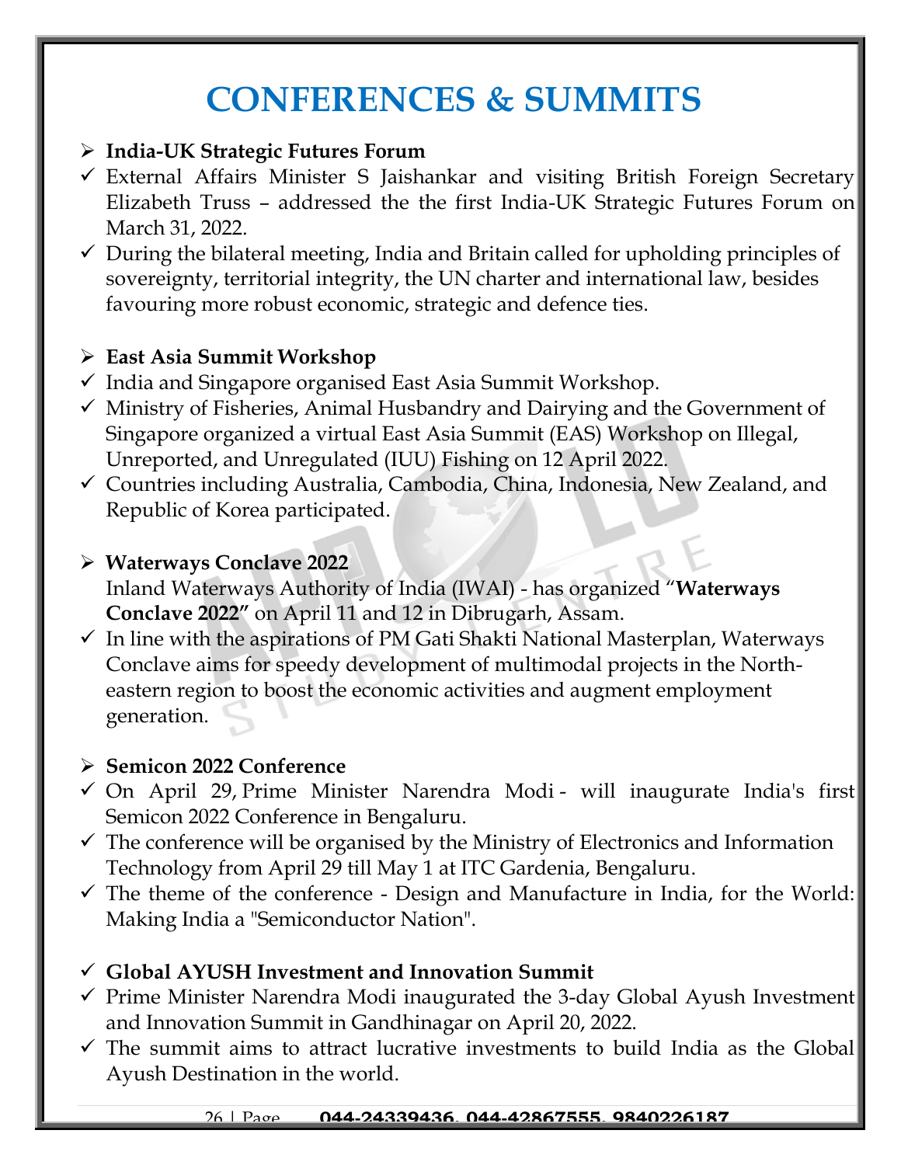# **CONFERENCES & SUMMITS**

#### ➢ **India-UK Strategic Futures Forum**

- ✓ External Affairs Minister S Jaishankar and visiting British Foreign Secretary Elizabeth Truss – addressed the the first India-UK Strategic Futures Forum on March 31, 2022.
- $\checkmark$  During the bilateral meeting, India and Britain called for upholding principles of sovereignty, territorial integrity, the UN charter and international law, besides favouring more robust economic, strategic and defence ties.

#### ➢ **East Asia Summit Workshop**

- ✓ India and Singapore organised East Asia Summit Workshop.
- ✓ Ministry of Fisheries, Animal Husbandry and Dairying and the Government of Singapore organized a virtual East Asia Summit (EAS) Workshop on Illegal, Unreported, and Unregulated (IUU) Fishing on 12 April 2022.
- ✓ Countries including Australia, Cambodia, China, Indonesia, New Zealand, and Republic of Korea participated.

#### ➢ **Waterways Conclave 2022**

Inland Waterways Authority of India (IWAI) - has organized "**Waterways Conclave 2022"** on April 11 and 12 in Dibrugarh, Assam.

 $\checkmark$  In line with the aspirations of PM Gati Shakti National Masterplan, Waterways Conclave aims for speedy development of multimodal projects in the Northeastern region to boost the economic activities and augment employment generation.

#### ➢ **Semicon 2022 Conference**

- ✓ On April 29, Prime Minister Narendra Modi will inaugurate India's first Semicon 2022 Conference in Bengaluru.
- $\checkmark$  The conference will be organised by the Ministry of Electronics and Information Technology from April 29 till May 1 at ITC Gardenia, Bengaluru.
- $\checkmark$  The theme of the conference Design and Manufacture in India, for the World: Making India a "Semiconductor Nation".

### ✓ **[Global AYUSH Investment and Innovation Summit](https://www.jagranjosh.com/current-affairs/pms-gujarat-visit-global-ayush-investment-and-innovation-summit-and-khel-mahakumbh-1650438080-1?ref=list_ca)**

- $\checkmark$  Prime Minister Narendra Modi inaugurated the 3-day Global Ayush Investment and Innovation Summit in Gandhinagar on April 20, 2022.
- $\checkmark$  The summit aims to attract lucrative investments to build India as the Global Ayush Destination in the world.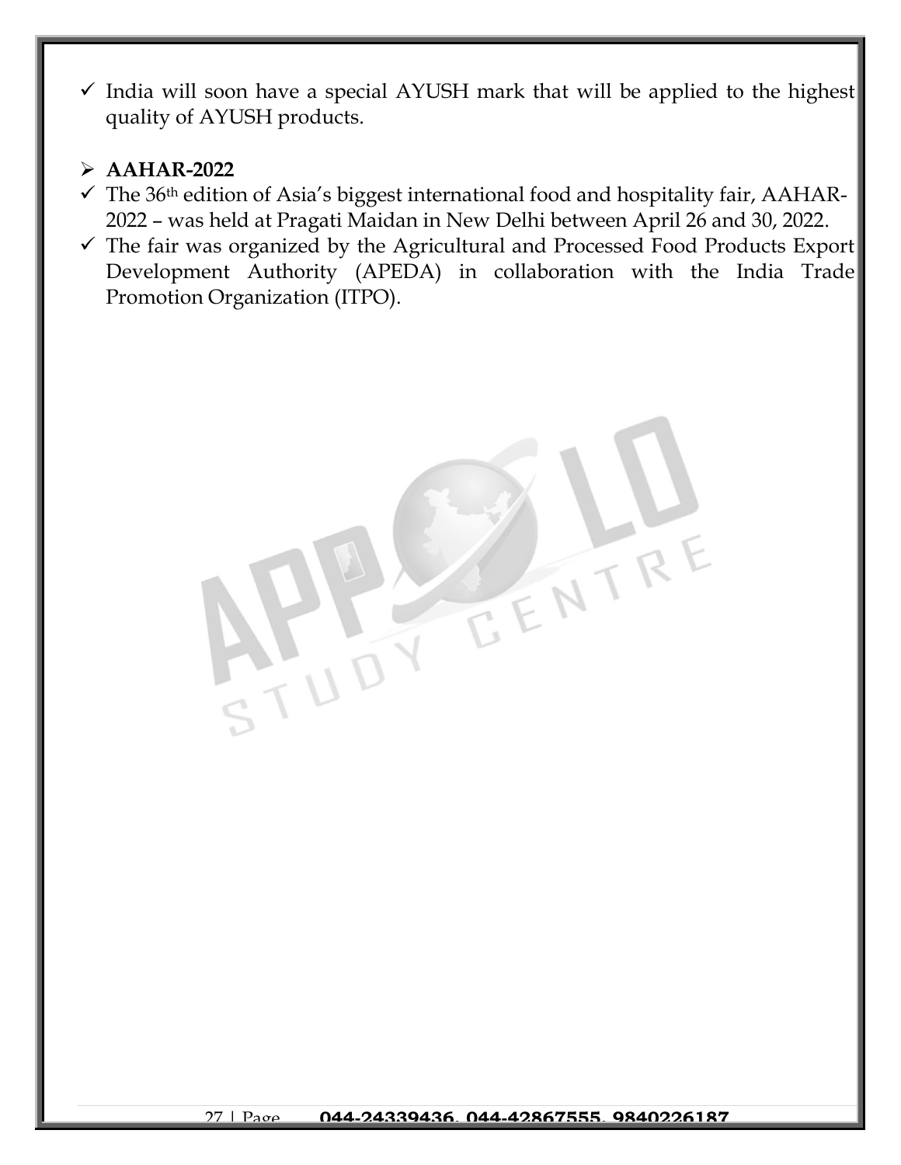$\checkmark$  India will soon have a special AYUSH mark that will be applied to the highest quality of AYUSH products.

#### ➢ **AAHAR-2022**

- $\checkmark$  The 36<sup>th</sup> edition of Asia's biggest international food and hospitality fair, AAHAR-2022 – was held at Pragati Maidan in New Delhi between April 26 and 30, 2022.
- ✓ The fair was organized by the Agricultural and Processed Food Products Export Development Authority (APEDA) in collaboration with the India Trade Promotion Organization (ITPO).

 $\frac{11}{3140}$ 

E ENTR

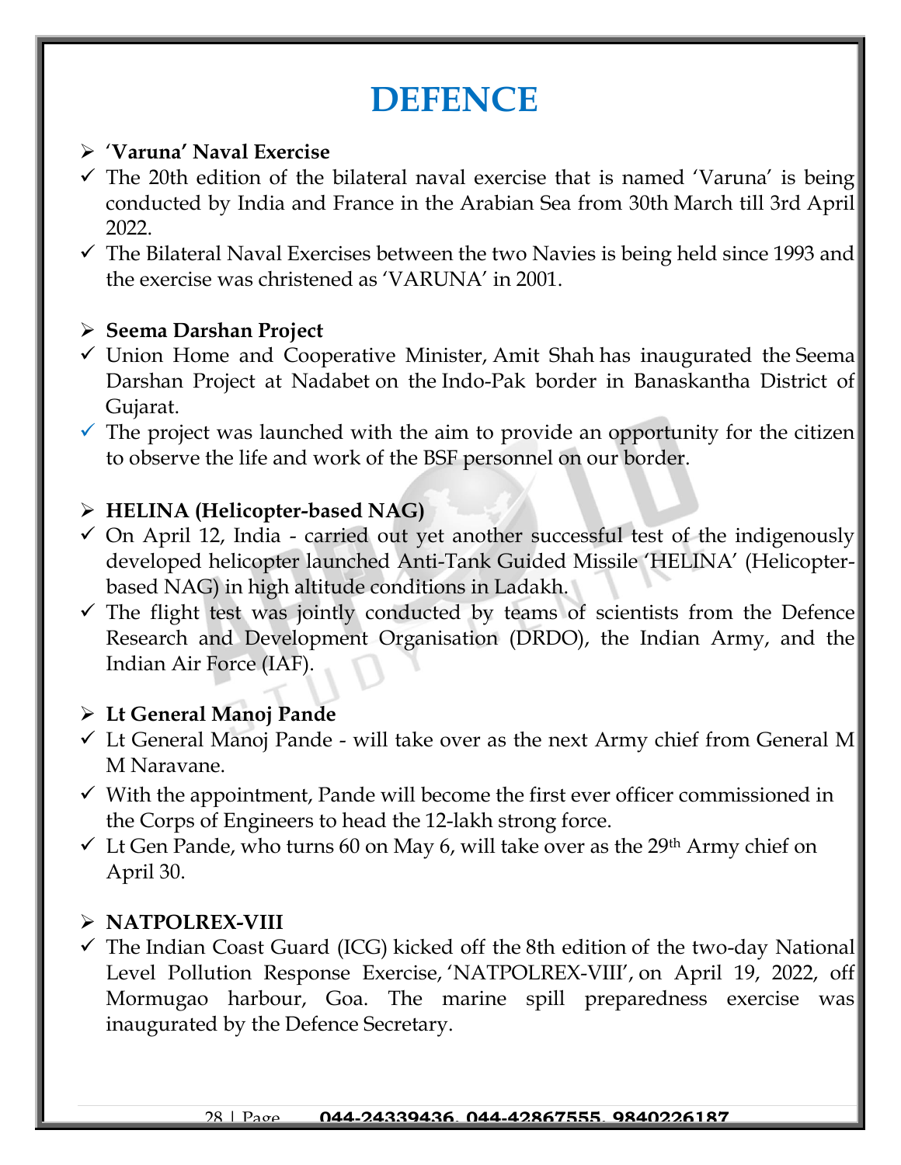# **DEFENCE**

#### ➢ '**Varuna' Naval Exercise**

- $\checkmark$  The 20th edition of the bilateral naval exercise that is named 'Varuna' is being conducted by India and France in the Arabian Sea from 30th March till 3rd April 2022.
- $\checkmark$  The Bilateral Naval Exercises between the two Navies is being held since 1993 and the exercise was christened as 'VARUNA' in 2001.

#### ➢ **Seema Darshan Project**

- $\checkmark$  Union Home and Cooperative Minister, Amit Shah has inaugurated the Seema Darshan Project at Nadabet on the Indo-Pak border in Banaskantha District of Gujarat.
- $\checkmark$  The project was launched with the aim to provide an opportunity for the citizen to observe the life and work of the BSF personnel on our border.

### ➢ **HELINA (Helicopter-based NAG)**

- $\checkmark$  On April 12, India carried out yet another successful test of the indigenously developed helicopter launched Anti-Tank Guided Missile 'HELINA' (Helicopterbased NAG) in high altitude conditions in Ladakh.
- $\checkmark$  The flight test was jointly conducted by teams of scientists from the Defence Research and Development Organisation (DRDO), the Indian Army, and the Indian Air Force (IAF).

### ➢ **Lt General Manoj Pande**

- $\checkmark$  Lt General Manoj Pande will take over as the next Army chief from General M M Naravane.
- $\checkmark$  With the appointment, Pande will become the first ever officer commissioned in the Corps of Engineers to head the 12-lakh strong force.
- $\checkmark$  Lt Gen Pande, who turns 60 on May 6, will take over as the 29<sup>th</sup> Army chief on April 30.

### ➢ **NATPOLREX-VIII**

✓ The Indian Coast Guard (ICG) kicked off the 8th edition of the two-day National Level Pollution Response Exercise, 'NATPOLREX-VIII', on April 19, 2022, off Mormugao harbour, Goa. The marine spill preparedness exercise was inaugurated by the Defence Secretary.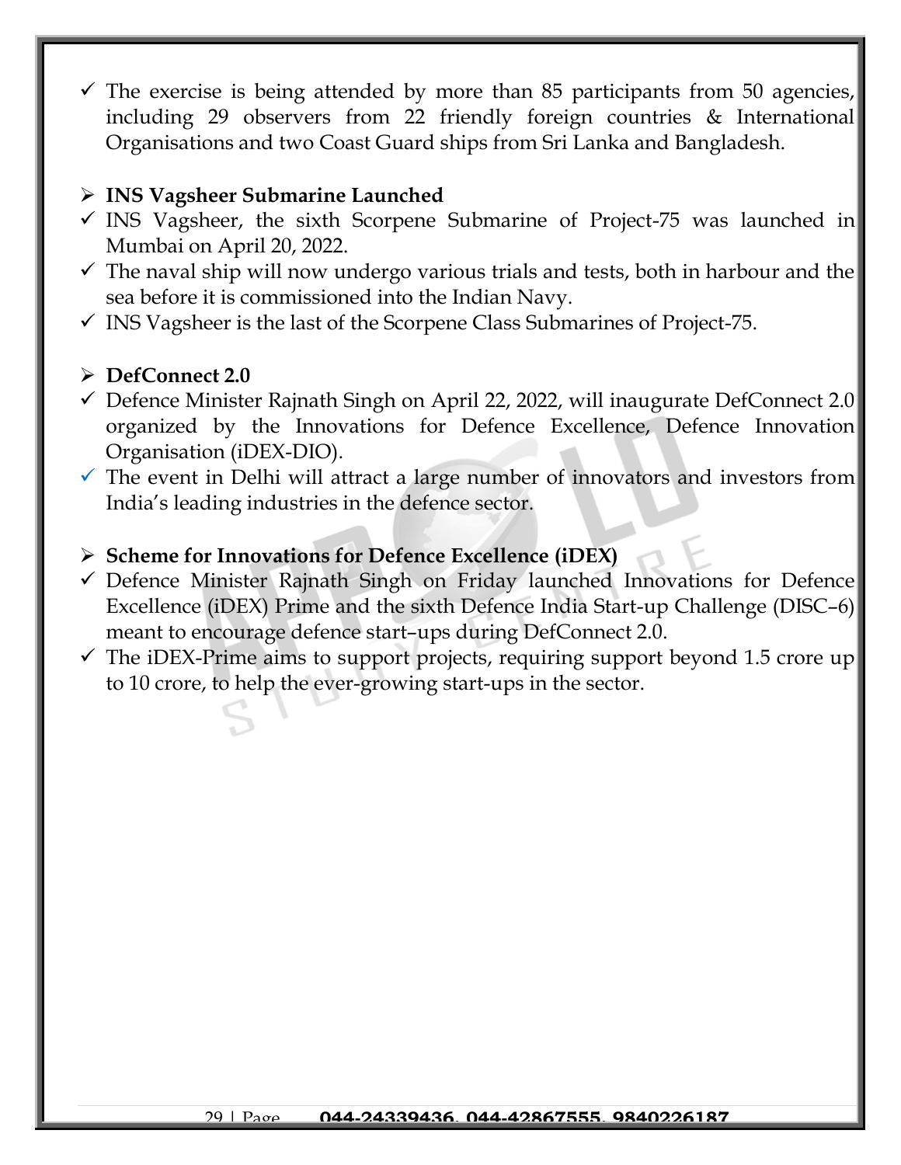$\checkmark$  The exercise is being attended by more than 85 participants from 50 agencies, including 29 observers from 22 friendly foreign countries & International Organisations and two Coast Guard ships from Sri Lanka and Bangladesh.

#### ➢ **[INS Vagsheer Submarine Launched](https://www.jagranjosh.com/current-affairs/ins-vagsheer-submarine-sixth-scorpene-submarine-of-project-75-launched-check-details-1650446342-1?ref=list_ca)**

- $\checkmark$  INS Vagsheer, the sixth Scorpene Submarine of Project-75 was launched in Mumbai on April 20, 2022.
- $\checkmark$  The naval ship will now undergo various trials and tests, both in harbour and the sea before it is commissioned into the Indian Navy.
- $\checkmark$  INS Vagsheer is the last of the Scorpene Class Submarines of Project-75.

#### ➢ **DefConnect 2.0**

- $\checkmark$  Defence Minister Rajnath Singh on April 22, 2022, will inaugurate DefConnect 2.0 organized by the Innovations for Defence Excellence, Defence Innovation Organisation (iDEX-DIO).
- $\checkmark$  The event in Delhi will attract a large number of innovators and investors from India's leading industries in the defence sector.

#### ➢ **Scheme for Innovations for Defence Excellence (iDEX)**

- $\checkmark$  Defence Minister Rajnath Singh on Friday launched Innovations for Defence Excellence (iDEX) Prime and the sixth Defence India Start-up Challenge (DISC–6) meant to encourage defence start–ups during DefConnect 2.0.
- $\checkmark$  The iDEX-Prime aims to support projects, requiring support beyond 1.5 crore up to 10 crore, to help the ever-growing start-ups in the sector.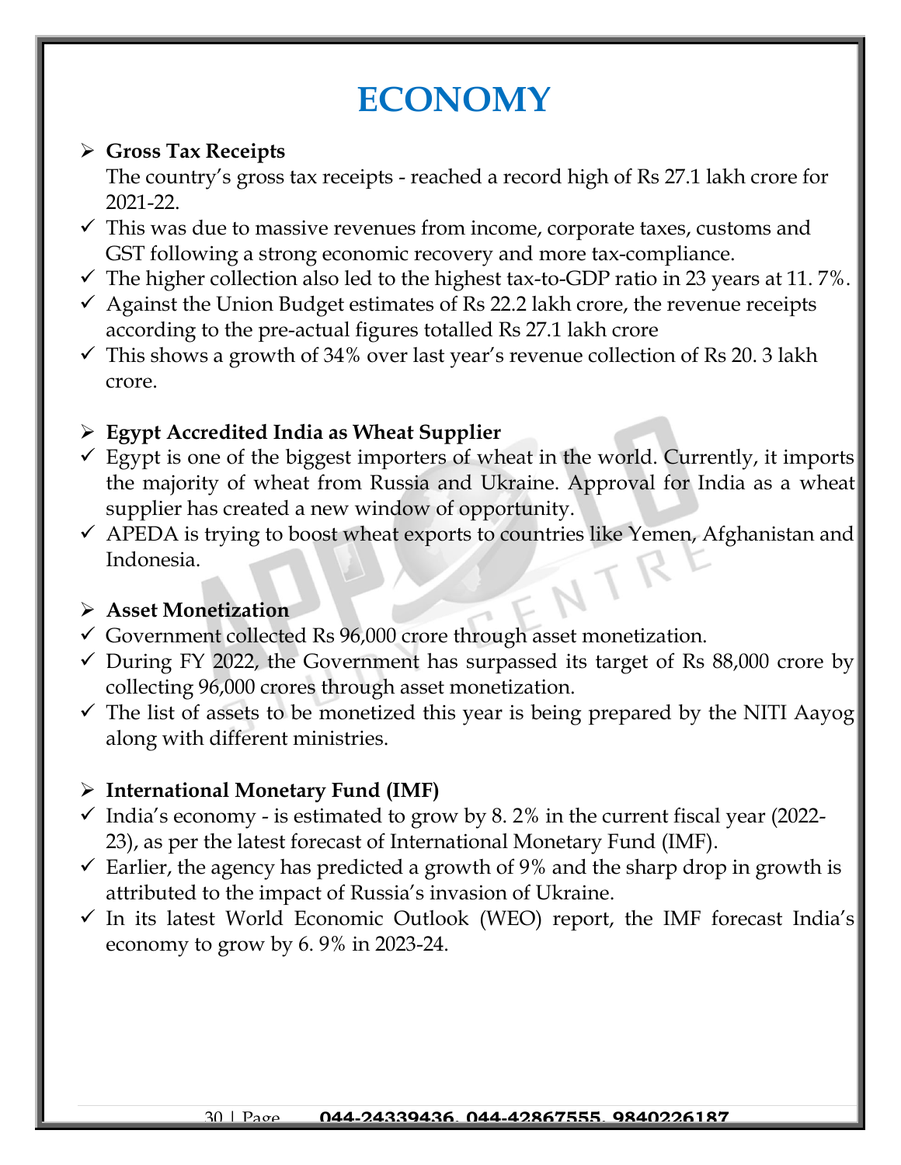# **ECONOMY**

#### ➢ **Gross Tax Receipts**

The country's gross tax receipts - reached a record high of Rs 27.1 lakh crore for 2021-22.

- $\checkmark$  This was due to massive revenues from income, corporate taxes, customs and GST following a strong economic recovery and more tax-compliance.
- $\checkmark$  The higher collection also led to the highest tax-to-GDP ratio in 23 years at 11.7%.
- $\checkmark$  Against the Union Budget estimates of Rs 22.2 lakh crore, the revenue receipts according to the pre-actual figures totalled Rs 27.1 lakh crore
- $\checkmark$  This shows a growth of 34% over last year's revenue collection of Rs 20. 3 lakh crore.

# ➢ **Egypt Accredited India as Wheat Supplier**

- $\checkmark$  Egypt is one of the biggest importers of wheat in the world. Currently, it imports the majority of wheat from Russia and Ukraine. Approval for India as a wheat supplier has created a new window of opportunity.
- $\checkmark$  APEDA is trying to boost wheat exports to countries like Yemen, Afghanistan and Indonesia.

### ➢ **Asset Monetization**

- $\checkmark$  Government collected Rs 96,000 crore through asset monetization.
- $\checkmark$  During FY 2022, the Government has surpassed its target of Rs 88,000 crore by collecting 96,000 crores through asset monetization.
- $\checkmark$  The list of assets to be monetized this year is being prepared by the NITI Aayog along with different ministries.

# ➢ **International Monetary Fund (IMF)**

- $\checkmark$  India's economy is estimated to grow by 8.2% in the current fiscal year (2022-23), as per the latest forecast of International Monetary Fund (IMF).
- $\checkmark$  Earlier, the agency has predicted a growth of 9% and the sharp drop in growth is attributed to the impact of Russia's invasion of Ukraine.
- $\checkmark$  In its latest World Economic Outlook (WEO) report, the IMF forecast India's economy to grow by 6. 9% in 2023-24.

#### 30 | Page **044-24339436, 044-42867555, 9840226187**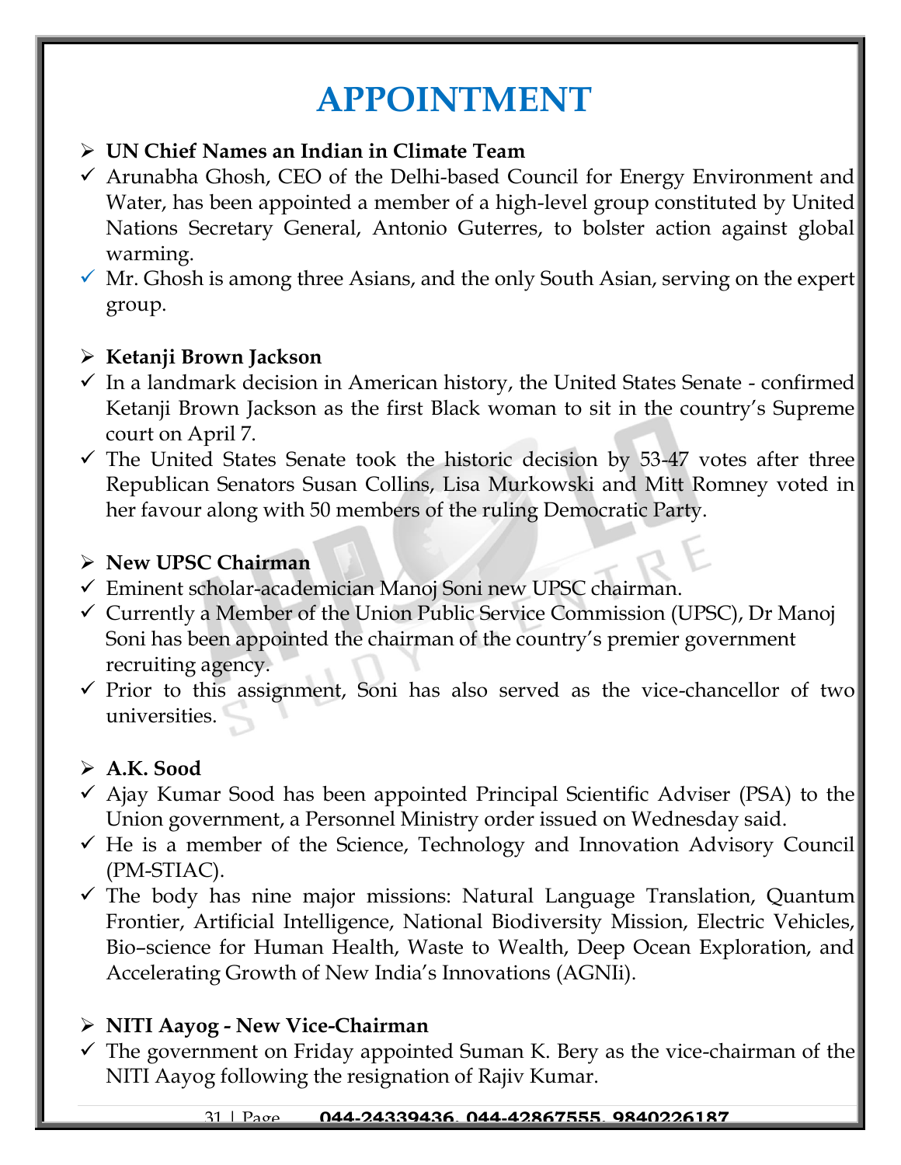# **APPOINTMENT**

#### ➢ **UN Chief Names an Indian in Climate Team**

- $\checkmark$  Arunabha Ghosh, CEO of the Delhi-based Council for Energy Environment and Water, has been appointed a member of a high-level group constituted by United Nations Secretary General, Antonio Guterres, to bolster action against global warming.
- $\checkmark$  Mr. Ghosh is among three Asians, and the only South Asian, serving on the expert group.

#### ➢ **Ketanji Brown Jackson**

- $\checkmark$  In a landmark decision in American history, the United States Senate confirmed Ketanji Brown Jackson as the first Black woman to sit in the country's Supreme court on April 7.
- $\checkmark$  The United States Senate took the historic decision by 53-47 votes after three Republican Senators Susan Collins, Lisa Murkowski and Mitt Romney voted in her favour along with 50 members of the ruling Democratic Party.

#### ➢ **New UPSC Chairman**

- ✓ Eminent scholar-academician Manoj Soni new UPSC chairman.
- ✓ Currently a Member of the Union Public Service Commission (UPSC), Dr Manoj Soni has been appointed the chairman of the country's premier government recruiting agency.
- $\checkmark$  Prior to this assignment, Soni has also served as the vice-chancellor of two universities.

#### ➢ **A.K. Sood**

- $\checkmark$  Ajay Kumar Sood has been appointed Principal Scientific Adviser (PSA) to the Union government, a Personnel Ministry order issued on Wednesday said.
- $\checkmark$  He is a member of the Science, Technology and Innovation Advisory Council (PM-STIAC).
- ✓ The body has nine major missions: Natural Language Translation, Quantum Frontier, Artificial Intelligence, National Biodiversity Mission, Electric Vehicles, Bio–science for Human Health, Waste to Wealth, Deep Ocean Exploration, and Accelerating Growth of New India's Innovations (AGNIi).

#### ➢ **NITI Aayog - New Vice-Chairman**

 $\checkmark$  The government on Friday appointed Suman K. Bery as the vice-chairman of the NITI Aayog following the resignation of Rajiv Kumar.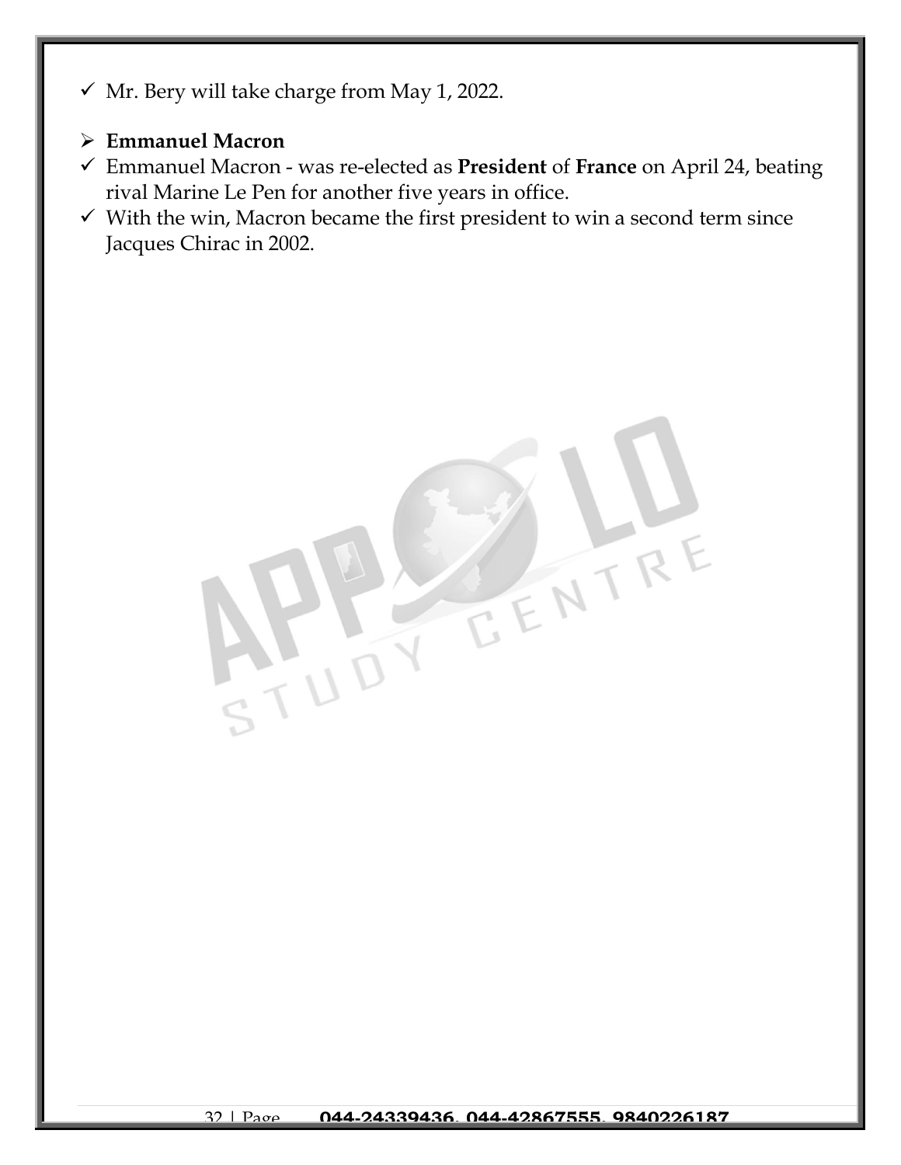- $\checkmark$  Mr. Bery will take charge from May 1, 2022.
- ➢ **Emmanuel Macron**
- ✓ Emmanuel Macron was re-elected as **President** of **France** on April 24, beating rival Marine Le Pen for another five years in office.
- $\checkmark$  With the win, Macron became the first president to win a second term since Jacques Chirac in 2002.

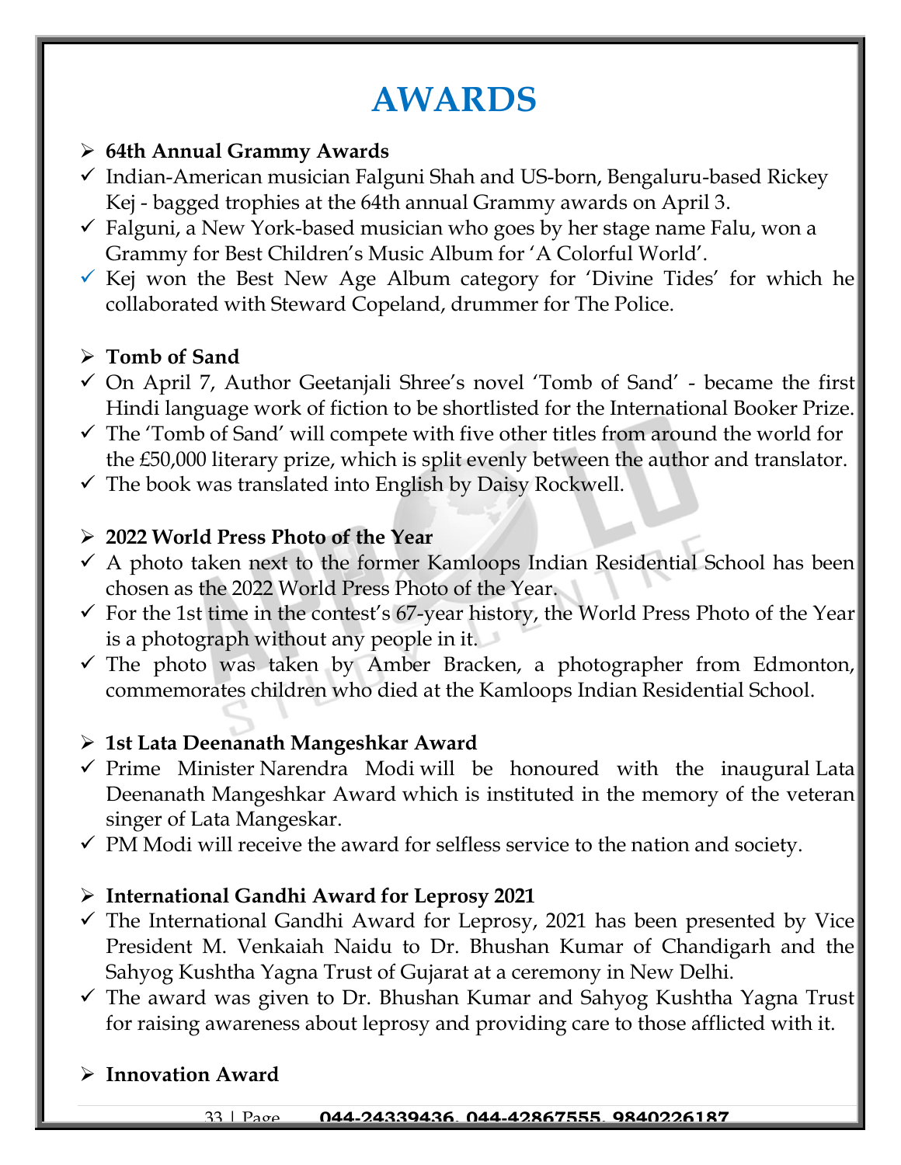# **AWARDS**

### ➢ **64th Annual Grammy Awards**

- $\checkmark$  Indian-American musician Falguni Shah and US-born, Bengaluru-based Rickey Kej - bagged trophies at the 64th annual Grammy awards on April 3.
- $\checkmark$  Falguni, a New York-based musician who goes by her stage name Falu, won a Grammy for Best Children's Music Album for 'A Colorful World'.
- $\checkmark$  Kej won the Best New Age Album category for 'Divine Tides' for which he collaborated with Steward Copeland, drummer for The Police.

### ➢ **Tomb of Sand**

- $\checkmark$  On April 7, Author Geetanjali Shree's novel 'Tomb of Sand' became the first Hindi language work of fiction to be shortlisted for the International Booker Prize.
- $\checkmark$  The 'Tomb of Sand' will compete with five other titles from around the world for the £50,000 literary prize, which is split evenly between the author and translator.
- $\checkmark$  The book was translated into English by Daisy Rockwell.

#### ➢ **2022 World Press Photo of the Year**

- $\checkmark$  A photo taken next to the former Kamloops Indian Residential School has been chosen as the 2022 World Press Photo of the Year.
- $\checkmark$  For the 1st time in the contest's 67-year history, the World Press Photo of the Year is a photograph without any people in it.
- $\checkmark$  The photo was taken by Amber Bracken, a photographer from Edmonton, commemorates children who died at the Kamloops Indian Residential School.

#### ➢ **1st Lata Deenanath Mangeshkar Award**

- ✓ Prime Minister Narendra Modi will be honoured with the inaugural Lata Deenanath Mangeshkar Award which is instituted in the memory of the veteran singer of Lata Mangeskar.
- $\checkmark$  PM Modi will receive the award for selfless service to the nation and society.

#### ➢ **International Gandhi Award for Leprosy 2021**

- $\checkmark$  The International Gandhi Award for Leprosy, 2021 has been presented by Vice President M. Venkaiah Naidu to Dr. Bhushan Kumar of Chandigarh and the Sahyog Kushtha Yagna Trust of Gujarat at a ceremony in New Delhi.
- ✓ The award was given to Dr. Bhushan Kumar and Sahyog Kushtha Yagna Trust for raising awareness about leprosy and providing care to those afflicted with it.

#### ➢ **Innovation Award**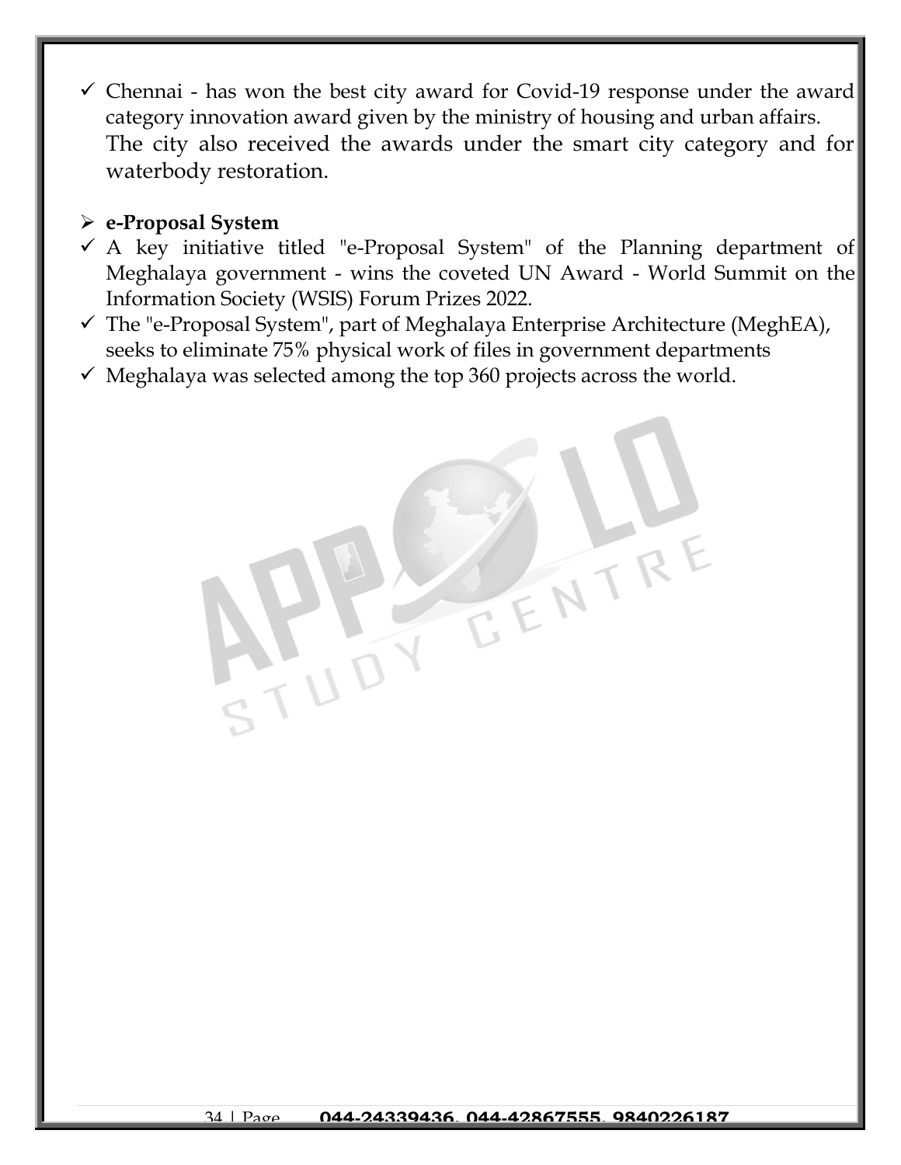$\checkmark$  Chennai - has won the best city award for Covid-19 response under the award category innovation award given by the ministry of housing and urban affairs. The city also received the awards under the smart city category and for waterbody restoration.

#### ➢ **e-Proposal System**

- $\checkmark$  A key initiative titled "e-Proposal System" of the Planning department of Meghalaya government - wins the coveted UN Award - World Summit on the Information Society (WSIS) Forum Prizes 2022.
- $\checkmark$  The "e-Proposal System", part of Meghalaya Enterprise Architecture (MeghEA), seeks to eliminate 75% physical work of files in government departments
- $\checkmark$  Meghalaya was selected among the top 360 projects across the world.

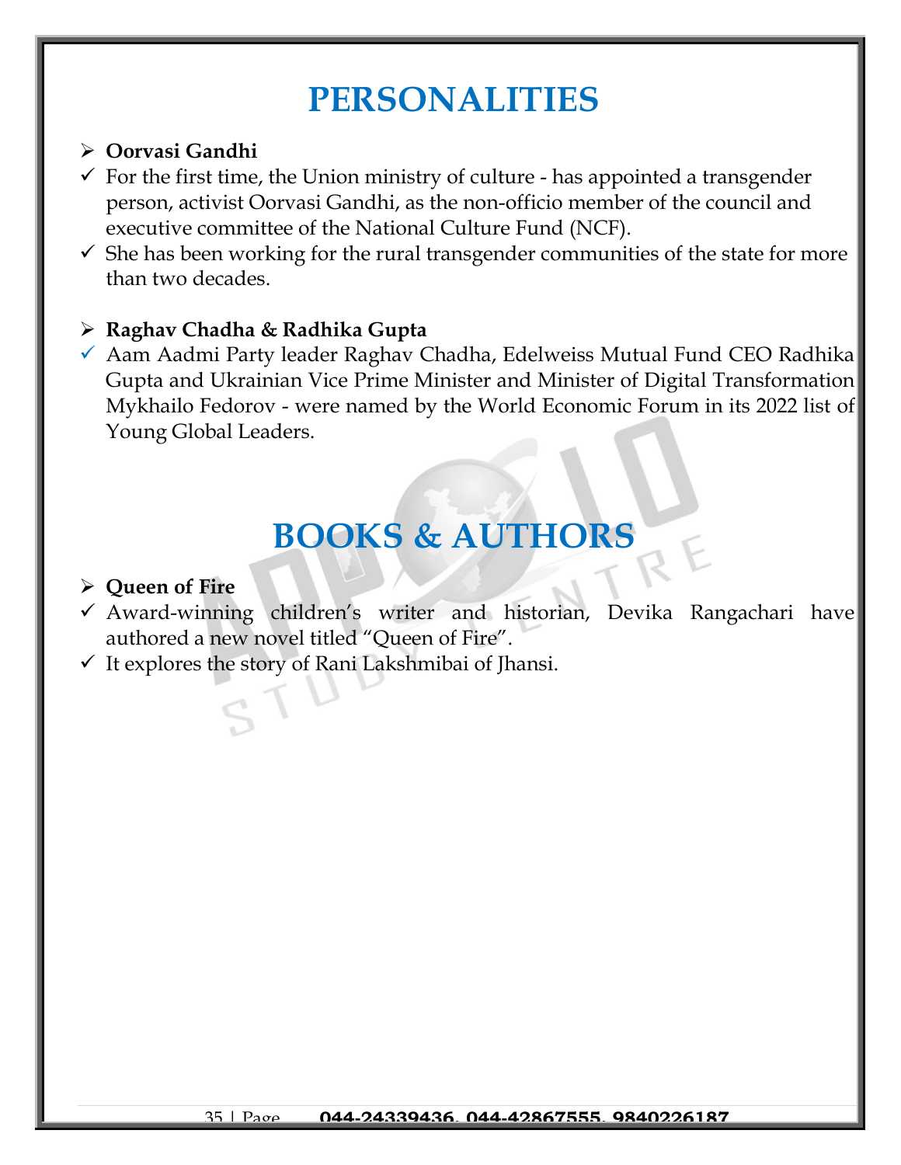# **PERSONALITIES**

#### ➢ **Oorvasi Gandhi**

- $\checkmark$  For the first time, the Union ministry of culture has appointed a transgender person, activist Oorvasi Gandhi, as the non-officio member of the council and executive committee of the National Culture Fund (NCF).
- $\checkmark$  She has been working for the rural transgender communities of the state for more than two decades.

#### ➢ **Raghav Chadha & Radhika Gupta**

✓ Aam Aadmi Party leader Raghav Chadha, Edelweiss Mutual Fund CEO Radhika Gupta and Ukrainian Vice Prime Minister and Minister of Digital Transformation Mykhailo Fedorov - were named by the World Economic Forum in its 2022 list of Young Global Leaders.

# **BOOKS & AUTHORS**

#### ➢ **Queen of Fire**

- ✓ Award-winning children's writer and historian, Devika Rangachari have authored a new novel titled "Queen of Fire".
- $\checkmark$  It explores the story of Rani Lakshmibai of Jhansi.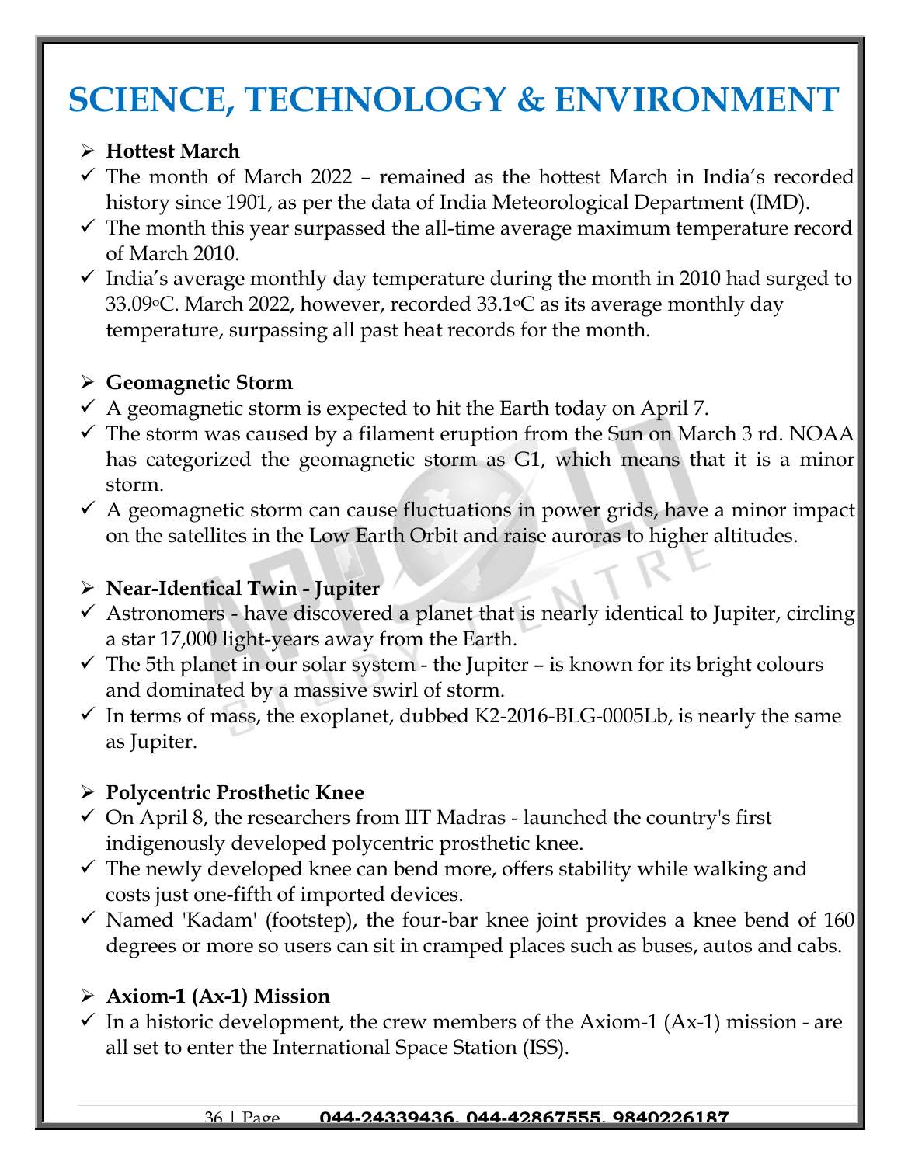# **SCIENCE, TECHNOLOGY & ENVIRONMENT**

#### ➢ **Hottest March**

- $\checkmark$  The month of March 2022 remained as the hottest March in India's recorded history since 1901, as per the data of India Meteorological Department (IMD).
- $\checkmark$  The month this year surpassed the all-time average maximum temperature record of March 2010.
- $\checkmark$  India's average monthly day temperature during the month in 2010 had surged to 33.09 °C. March 2022, however, recorded 33.1 °C as its average monthly day temperature, surpassing all past heat records for the month.

# ➢ **[Geomagnetic Storm](https://www.jagranjosh.com/current-affairs/geomagnetic-storm-2022-april-know-meaning-and-effect-on-earth-1649317951-1?ref=list_ca)**

- $\checkmark$  A geomagnetic storm is expected to hit the Earth today on April 7.
- $\checkmark$  The storm was caused by a filament eruption from the Sun on March 3 rd. NOAA has categorized the geomagnetic storm as G1, which means that it is a minor storm.
- $\checkmark$  A geomagnetic storm can cause fluctuations in power grids, have a minor impact on the satellites in the Low Earth Orbit and raise auroras to higher altitudes.

# ➢ **Near-Identical Twin - Jupiter**

- $\checkmark$  Astronomers have discovered a planet that is nearly identical to Jupiter, circling a star 17,000 light-years away from the Earth.
- $\checkmark$  The 5th planet in our solar system the Jupiter is known for its bright colours and dominated by a massive swirl of storm.
- $\checkmark$  In terms of mass, the exoplanet, dubbed K2-2016-BLG-0005Lb, is nearly the same as Jupiter.

### ➢ **Polycentric Prosthetic Knee**

- $\checkmark$  On April 8, the researchers from IIT Madras launched the country's first indigenously developed polycentric prosthetic knee.
- $\checkmark$  The newly developed knee can bend more, offers stability while walking and costs just one-fifth of imported devices.
- $\checkmark$  Named 'Kadam' (footstep), the four-bar knee joint provides a knee bend of 160 degrees or more so users can sit in cramped places such as buses, autos and cabs.

# ➢ **Axiom-1 (Ax-1) Mission**

 $\checkmark$  In a historic development, the crew members of the Axiom-1 (Ax-1) mission - are all set to enter the International Space Station (ISS).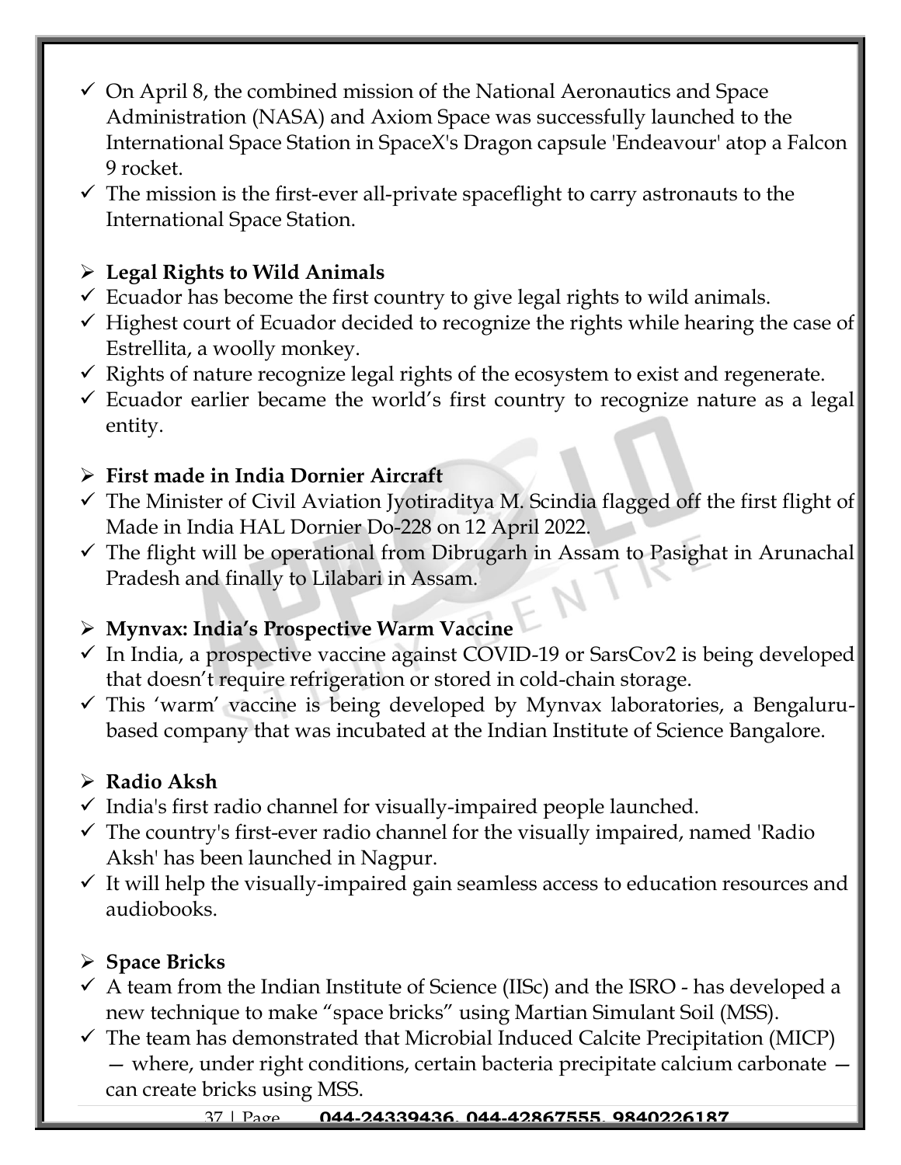- $\checkmark$  On April 8, the combined mission of the National Aeronautics and Space Administration (NASA) and Axiom Space was successfully launched to the International Space Station in SpaceX's Dragon capsule 'Endeavour' atop a Falcon 9 rocket.
- $\checkmark$  The mission is the first-ever all-private spaceflight to carry astronauts to the International Space Station.

# ➢ **Legal Rights to Wild Animals**

- $\checkmark$  Ecuador has become the first country to give legal rights to wild animals.
- $\checkmark$  Highest court of Ecuador decided to recognize the rights while hearing the case of Estrellita, a woolly monkey.
- $\checkmark$  Rights of nature recognize legal rights of the ecosystem to exist and regenerate.
- $\checkmark$  Ecuador earlier became the world's first country to recognize nature as a legal entity.

# ➢ **First made in India Dornier Aircraft**

- $\checkmark$  The Minister of Civil Aviation Jyotiraditya M. Scindia flagged off the first flight of Made in India HAL Dornier Do-228 on 12 April 2022.
- $\checkmark$  The flight will be operational from Dibrugarh in Assam to Pasighat in Arunachal Pradesh and finally to Lilabari in Assam.

# ➢ **Mynvax: India's Prospective Warm Vaccine**

- $\checkmark$  In India, a prospective vaccine against COVID-19 or SarsCov2 is being developed that doesn't require refrigeration or stored in cold-chain storage.
- $\checkmark$  This 'warm' vaccine is being developed by Mynvax laboratories, a Bengalurubased company that was incubated at the Indian Institute of Science Bangalore.

# ➢ **Radio Aksh**

- $\checkmark$  India's first radio channel for visually-impaired people launched.
- $\checkmark$  The country's first-ever radio channel for the visually impaired, named 'Radio Aksh' has been launched in Nagpur.
- $\checkmark$  It will help the visually-impaired gain seamless access to education resources and audiobooks.

# ➢ **Space Bricks**

- $\checkmark$  A team from the Indian Institute of Science (IISc) and the ISRO has developed a new technique to make "space bricks" using Martian Simulant Soil (MSS).
- $\checkmark$  The team has demonstrated that Microbial Induced Calcite Precipitation (MICP) — where, under right conditions, certain bacteria precipitate calcium carbonate can create bricks using MSS.

#### 37 | Page **044-24339436, 044-42867555, 9840226187**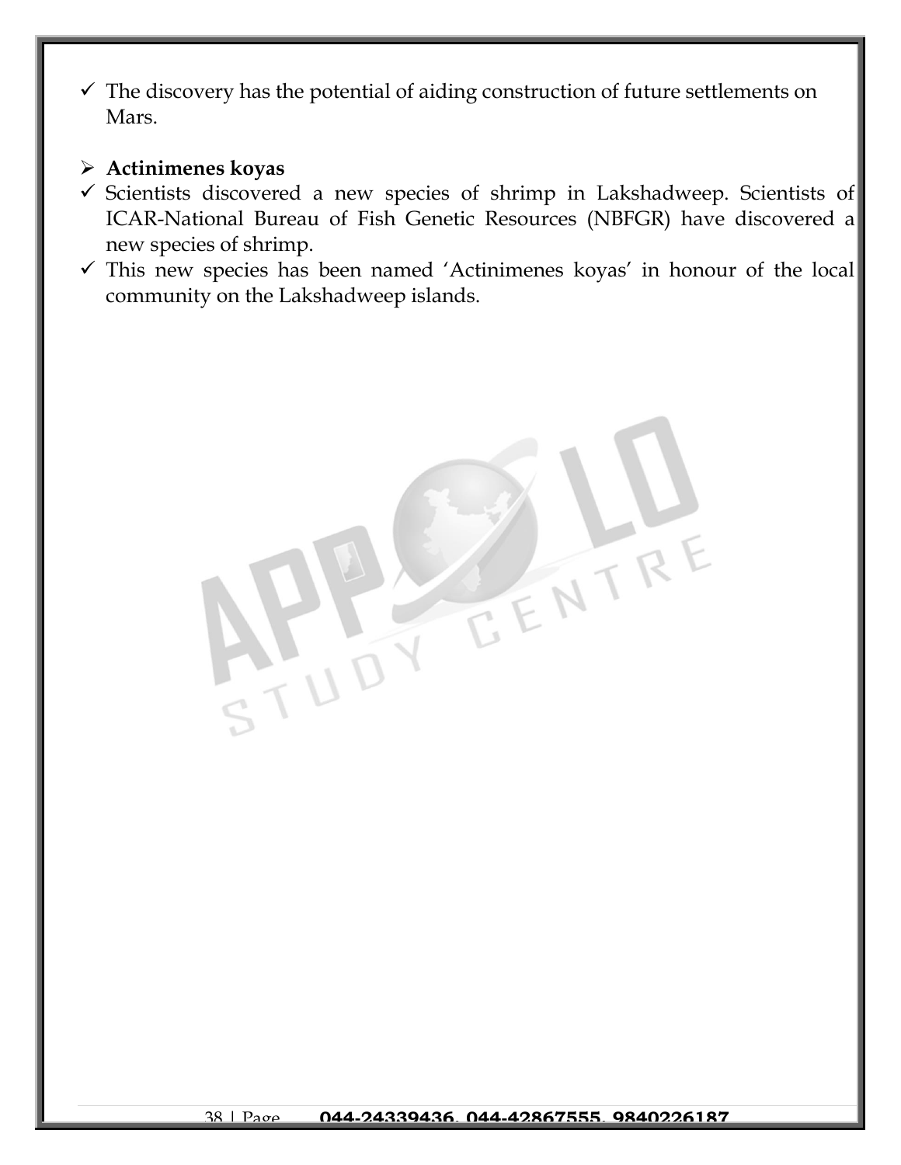$\checkmark$  The discovery has the potential of aiding construction of future settlements on Mars.

#### ➢ **Actinimenes koyas**

- ✓ Scientists discovered a new species of shrimp in Lakshadweep. Scientists of ICAR-National Bureau of Fish Genetic Resources (NBFGR) have discovered a new species of shrimp.
- $\checkmark$  This new species has been named 'Actinimenes koyas' in honour of the local community on the Lakshadweep islands.

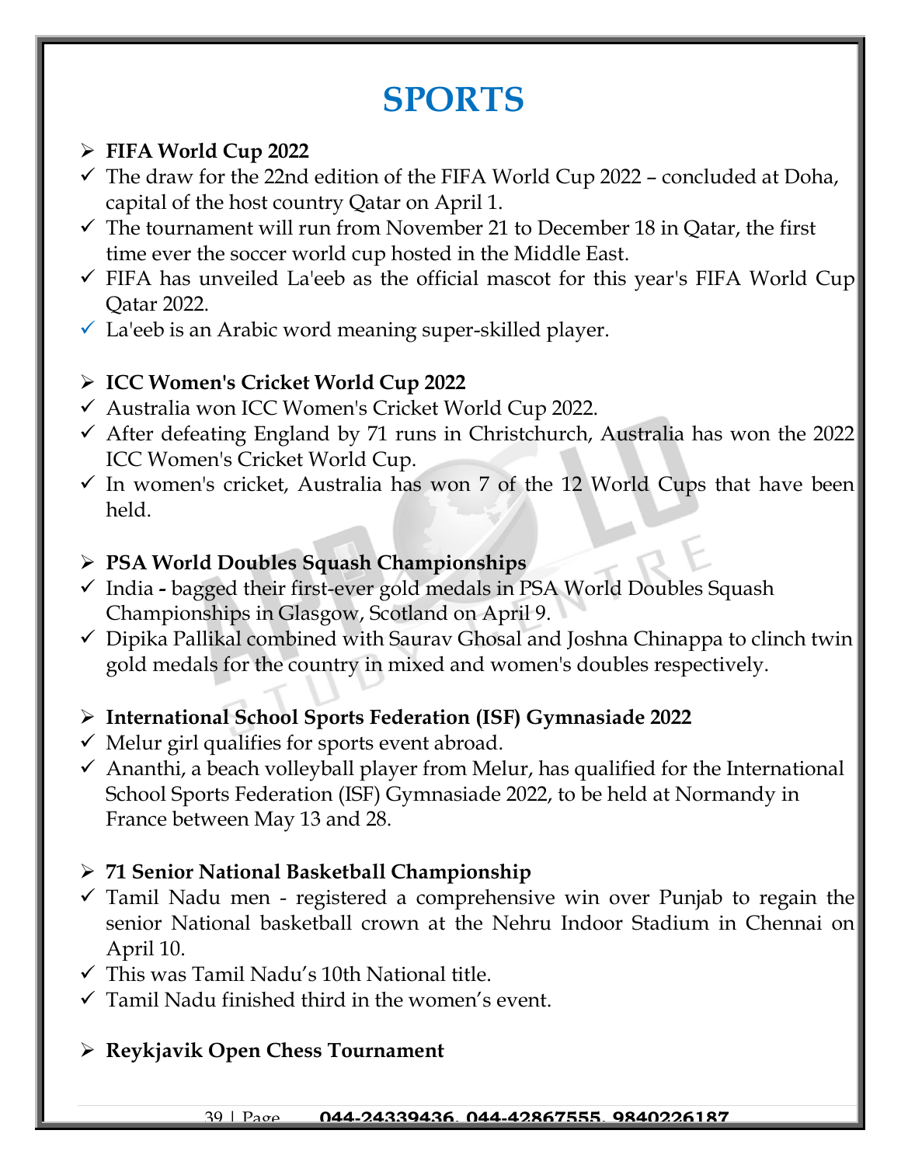# **SPORTS**

# ➢ **FIFA World Cup 2022**

- ✓ The draw for the 22nd edition of the FIFA World Cup 2022 concluded at Doha, capital of the host country Qatar on April 1.
- $\checkmark$  The tournament will run from November 21 to December 18 in Qatar, the first time ever the soccer world cup hosted in the Middle East.
- $\checkmark$  FIFA has unveiled La'eeb as the official mascot for this year's FIFA World Cup Qatar 2022.
- $\checkmark$  La'eeb is an Arabic word meaning super-skilled player.

# ➢ **ICC Women's Cricket World Cup 2022**

- ✓ Australia won ICC Women's Cricket World Cup 2022.
- ✓ After defeating England by 71 runs in Christchurch, Australia has won the 2022 ICC Women's Cricket World Cup.
- $\checkmark$  In women's cricket, Australia has won 7 of the 12 World Cups that have been held.

# ➢ **PSA World Doubles Squash Championships**

- ✓ India **-** bagged their first-ever gold medals in PSA World Doubles Squash Championships in Glasgow, Scotland on April 9.
- $\checkmark$  Dipika Pallikal combined with Saurav Ghosal and Joshna Chinappa to clinch twin gold medals for the country in mixed and women's doubles respectively.

# ➢ **International School Sports Federation (ISF) Gymnasiade 2022**

- ✓ Melur girl qualifies for sports event abroad.
- $\checkmark$  Ananthi, a beach volleyball player from Melur, has qualified for the International School Sports Federation (ISF) Gymnasiade 2022, to be held at Normandy in France between May 13 and 28.

# ➢ **71 Senior National Basketball Championship**

- $\checkmark$  Tamil Nadu men registered a comprehensive win over Punjab to regain the senior National basketball crown at the Nehru Indoor Stadium in Chennai on April 10.
- $\checkmark$  This was Tamil Nadu's 10th National title.
- $\checkmark$  Tamil Nadu finished third in the women's event.

# ➢ **Reykjavik Open Chess Tournament**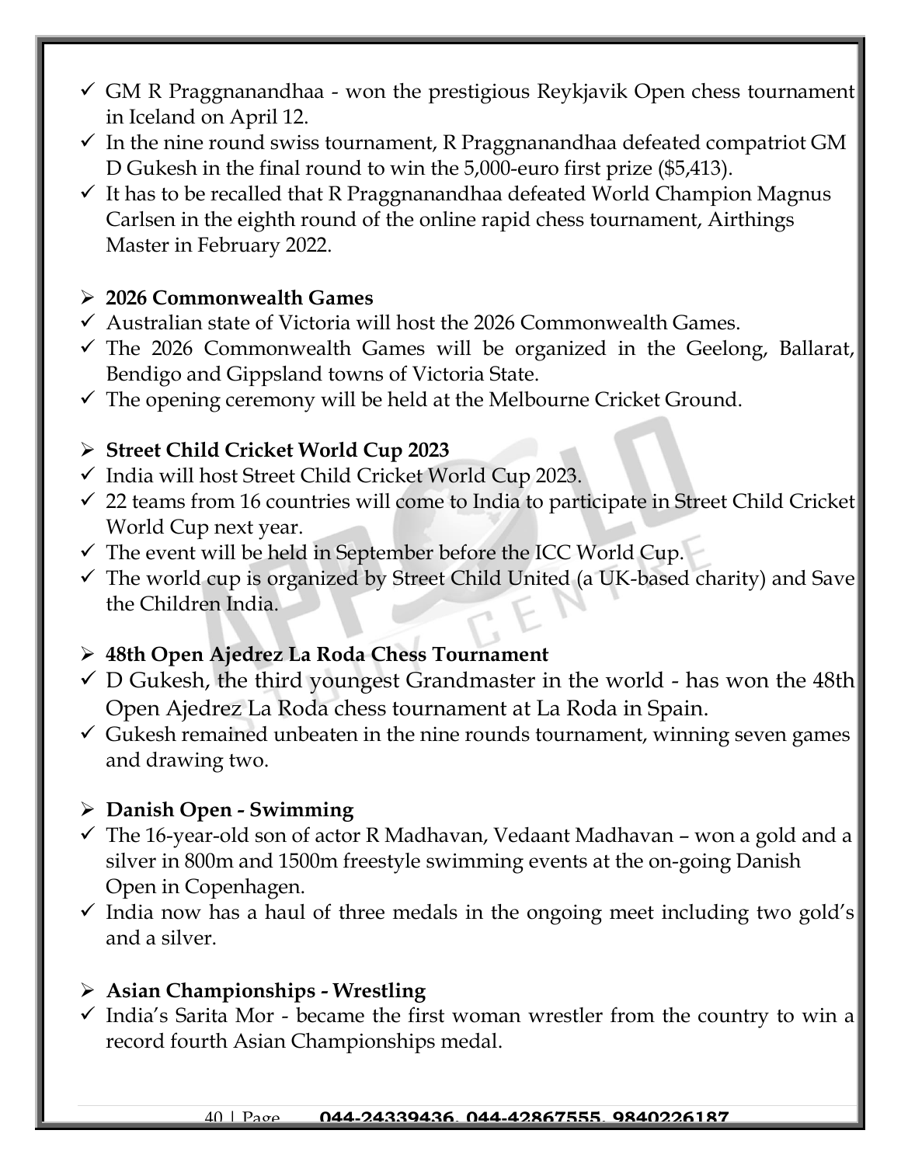- $\checkmark$  GM R Praggnanandhaa won the prestigious Reykjavik Open chess tournament in Iceland on April 12.
- $\checkmark$  In the nine round swiss tournament, R Praggnanandhaa defeated compatriot GM D Gukesh in the final round to win the 5,000-euro first prize (\$5,413).
- $\checkmark$  It has to be recalled that R Praggnanandhaa defeated World Champion Magnus Carlsen in the eighth round of the online rapid chess tournament, Airthings Master in February 2022.

#### ➢ **2026 Commonwealth Games**

- $\checkmark$  Australian state of Victoria will host the 2026 Commonwealth Games.
- $\checkmark$  The 2026 Commonwealth Games will be organized in the Geelong, Ballarat, Bendigo and Gippsland towns of Victoria State.
- $\checkmark$  The opening ceremony will be held at the Melbourne Cricket Ground.

### ➢ **Street Child Cricket World Cup 2023**

- ✓ India will host Street Child Cricket World Cup 2023.
- $\checkmark$  22 teams from 16 countries will come to India to participate in Street Child Cricket World Cup next year.
- $\checkmark$  The event will be held in September before the ICC World Cup.
- $\checkmark$  The world cup is organized by Street Child United (a UK-based charity) and Save the Children India.

### ➢ **48th Open Ajedrez La Roda Chess Tournament**

- $\checkmark$  D Gukesh, the third youngest Grandmaster in the world has won the 48th Open Ajedrez La Roda chess tournament at La Roda in Spain.
- $\checkmark$  Gukesh remained unbeaten in the nine rounds tournament, winning seven games and drawing two.

### ➢ **Danish Open - Swimming**

- $\checkmark$  The 16-year-old son of actor R Madhavan, Vedaant Madhavan won a gold and a silver in 800m and 1500m freestyle swimming events at the on-going Danish Open in Copenhagen.
- $\checkmark$  India now has a haul of three medals in the ongoing meet including two gold's and a silver.

### ➢ **Asian Championships - Wrestling**

 $\checkmark$  India's Sarita Mor - became the first woman wrestler from the country to win a record fourth Asian Championships medal.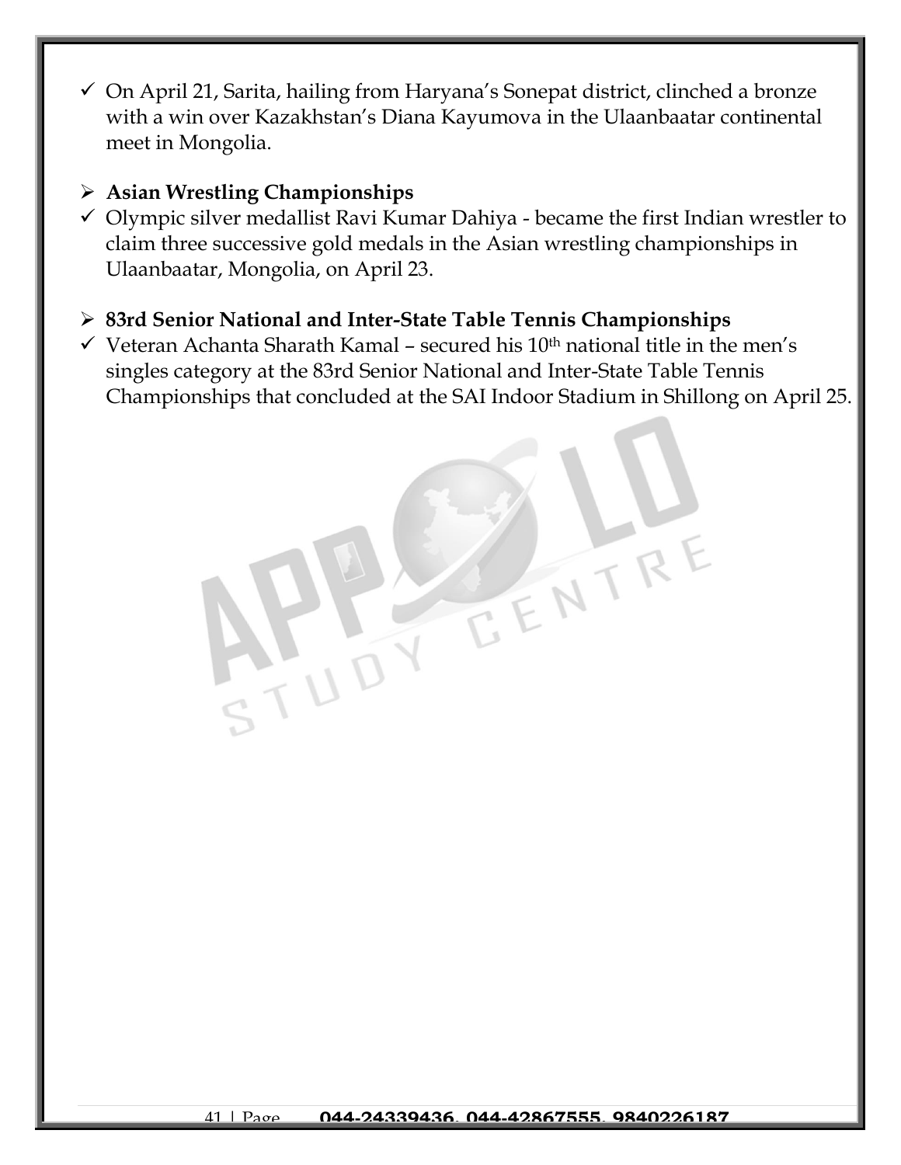- ✓ On April 21, Sarita, hailing from Haryana's Sonepat district, clinched a bronze with a win over Kazakhstan's Diana Kayumova in the Ulaanbaatar continental meet in Mongolia.
- ➢ **Asian Wrestling Championships**
- $\checkmark$  Olympic silver medallist Ravi Kumar Dahiya became the first Indian wrestler to claim three successive gold medals in the Asian wrestling championships in Ulaanbaatar, Mongolia, on April 23.
- ➢ **83rd Senior National and Inter-State Table Tennis Championships**
- $\checkmark$  Veteran Achanta Sharath Kamal secured his 10<sup>th</sup> national title in the men's singles category at the 83rd Senior National and Inter-State Table Tennis Championships that concluded at the SAI Indoor Stadium in Shillong on April 25.

EENTR

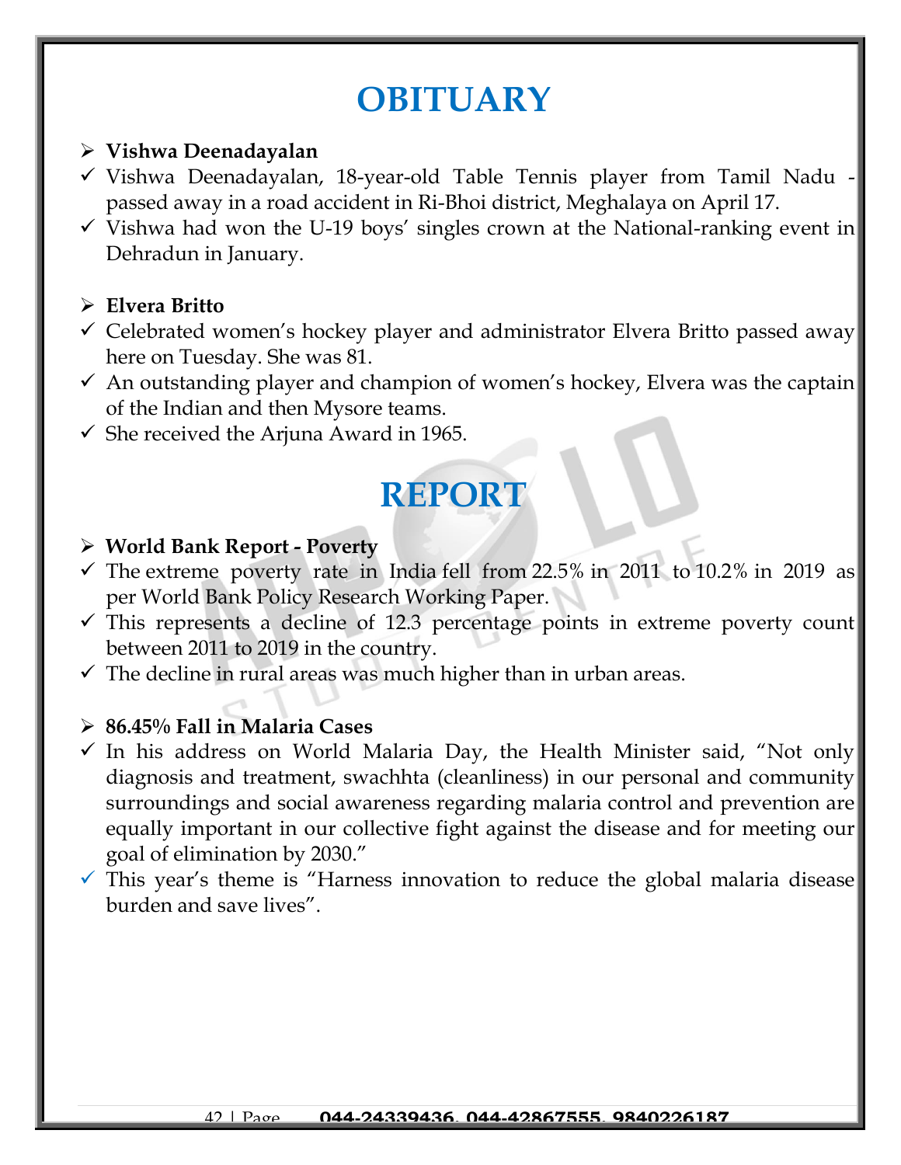# **OBITUARY**

#### ➢ **Vishwa Deenadayalan**

- ✓ Vishwa Deenadayalan, 18-year-old Table Tennis player from Tamil Nadu passed away in a road accident in Ri-Bhoi district, Meghalaya on April 17.
- $\checkmark$  Vishwa had won the U-19 boys' singles crown at the National-ranking event in Dehradun in January.

#### ➢ **Elvera Britto**

- $\checkmark$  Celebrated women's hockey player and administrator Elvera Britto passed away here on Tuesday. She was 81.
- $\checkmark$  An outstanding player and champion of women's hockey, Elvera was the captain of the Indian and then Mysore teams.
- $\checkmark$  She received the Arjuna Award in 1965.

# **REPORT**

#### ➢ **World Bank Report - Poverty**

- $\checkmark$  The extreme poverty rate in India fell from 22.5% in 2011 to 10.2% in 2019 as per World Bank Policy Research Working Paper.
- $\checkmark$  This represents a decline of 12.3 percentage points in extreme poverty count between 2011 to 2019 in the country.
- $\checkmark$  The decline in rural areas was much higher than in urban areas.

#### ➢ **86.45% Fall in Malaria Cases**

- $\checkmark$  In his address on World Malaria Day, the Health Minister said, "Not only diagnosis and treatment, swachhta (cleanliness) in our personal and community surroundings and social awareness regarding malaria control and prevention are equally important in our collective fight against the disease and for meeting our goal of elimination by 2030."
- $\checkmark$  This year's theme is "Harness innovation to reduce the global malaria disease burden and save lives".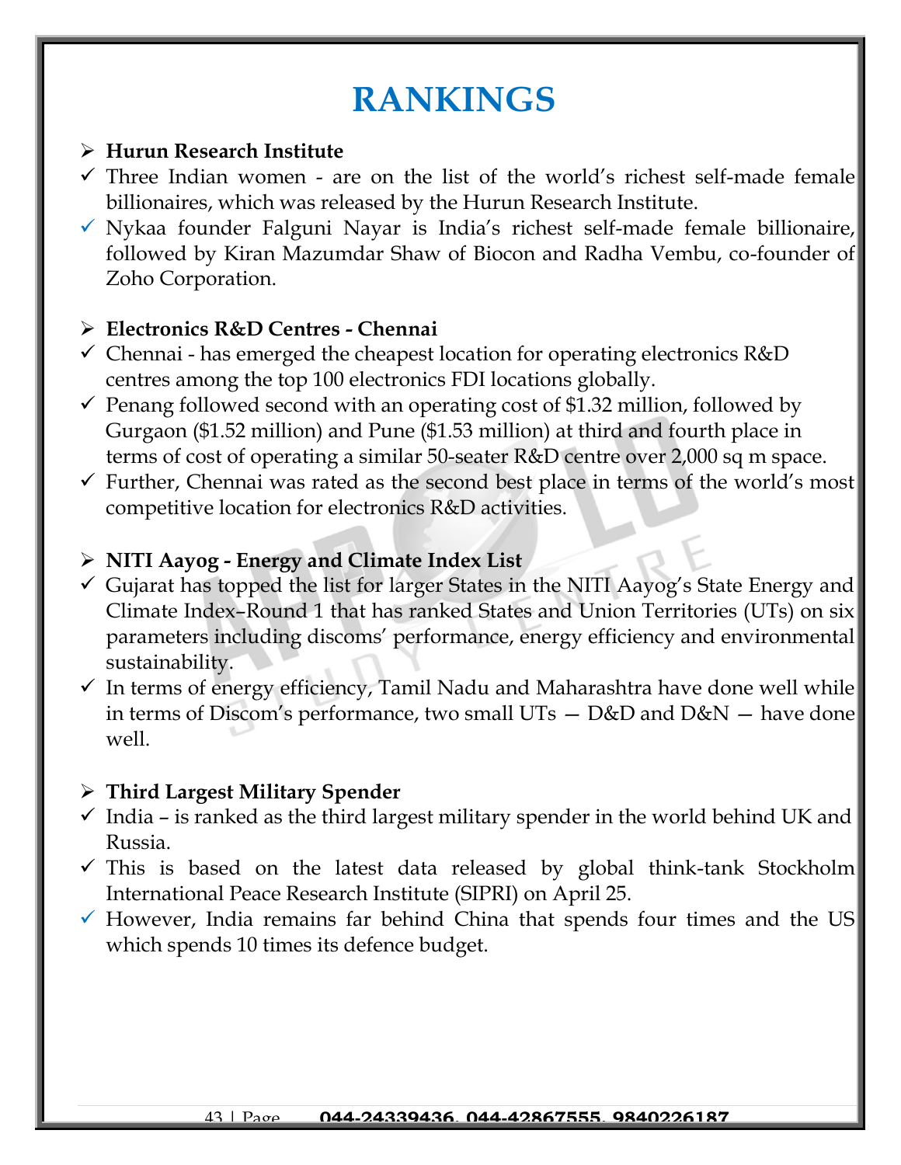# **RANKINGS**

#### ➢ **Hurun Research Institute**

- $\checkmark$  Three Indian women are on the list of the world's richest self-made female billionaires, which was released by the Hurun Research Institute.
- ✓ Nykaa founder Falguni Nayar is India's richest self-made female billionaire, followed by Kiran Mazumdar Shaw of Biocon and Radha Vembu, co-founder of Zoho Corporation.

#### ➢ **Electronics R&D Centres - Chennai**

- $\checkmark$  Chennai has emerged the cheapest location for operating electronics R&D centres among the top 100 electronics FDI locations globally.
- $\checkmark$  Penang followed second with an operating cost of \$1.32 million, followed by Gurgaon (\$1.52 million) and Pune (\$1.53 million) at third and fourth place in terms of cost of operating a similar 50-seater R&D centre over 2,000 sq m space.
- $\checkmark$  Further, Chennai was rated as the second best place in terms of the world's most competitive location for electronics R&D activities.

#### ➢ **NITI Aayog - Energy and Climate Index List**

- $\checkmark$  Gujarat has topped the list for larger States in the NITI Aayog's State Energy and Climate Index–Round 1 that has ranked States and Union Territories (UTs) on six parameters including discoms' performance, energy efficiency and environmental sustainability.
- $\checkmark$  In terms of energy efficiency, Tamil Nadu and Maharashtra have done well while in terms of Discom's performance, two small UTs — D&D and D&N — have done well.

### ➢ **Third Largest Military Spender**

- $\checkmark$  India is ranked as the third largest military spender in the world behind UK and Russia.
- $\checkmark$  This is based on the latest data released by global think-tank Stockholm International Peace Research Institute (SIPRI) on April 25.
- $\checkmark$  However, India remains far behind China that spends four times and the US which spends 10 times its defence budget.

#### 43 | Page **044-24339436, 044-42867555, 9840226187**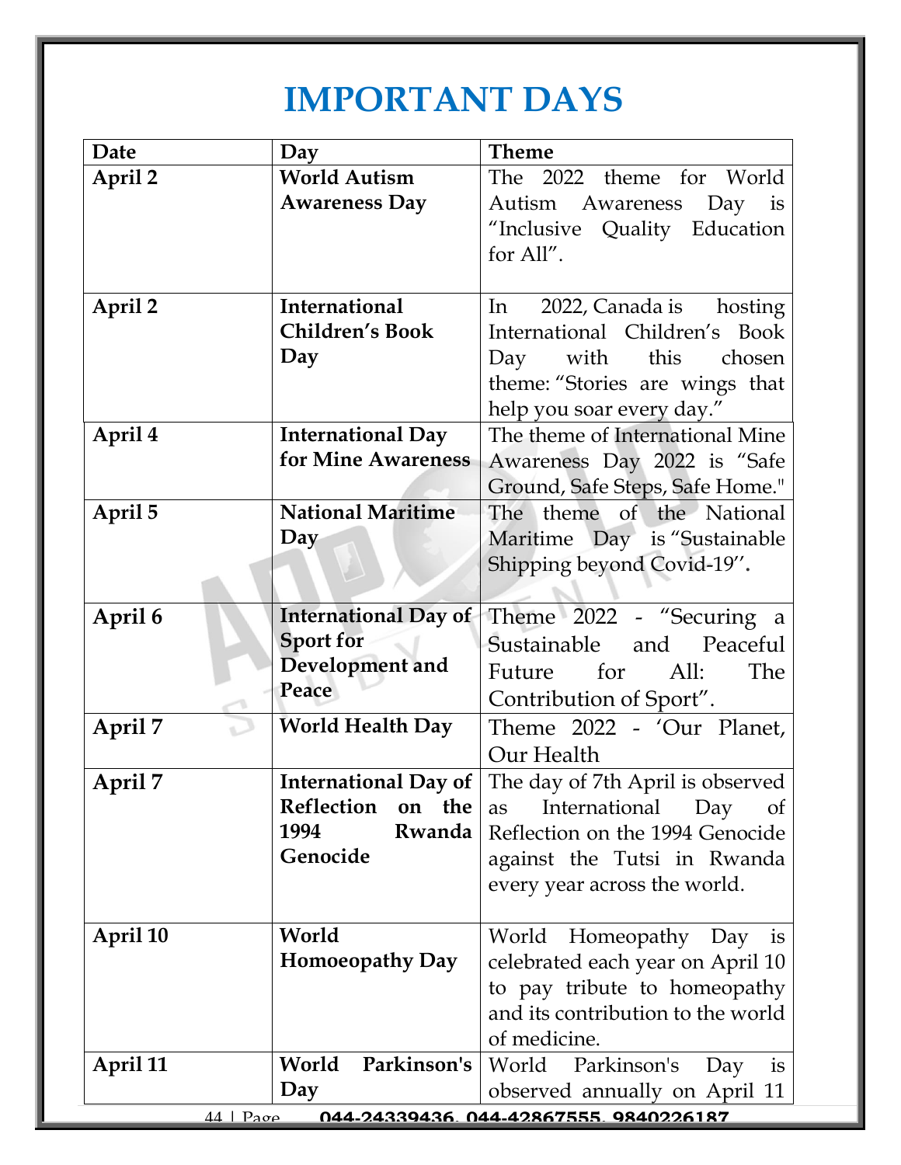# **IMPORTANT DAYS**

| April 2<br><b>World Autism</b><br>The 2022 theme for World<br><b>Awareness Day</b><br>Autism Awareness<br>Day is<br>"Inclusive Quality Education<br>for All".<br>International<br>April 2<br>2022, Canada is hosting<br>In<br><b>Children's Book</b><br>International Children's Book<br>Day<br>Day with this<br>chosen<br>theme: "Stories are wings that<br>help you soar every day."<br>April 4<br><b>International Day</b><br>The theme of International Mine<br>for Mine Awareness<br>Awareness Day 2022 is "Safe<br>Ground, Safe Steps, Safe Home."<br><b>National Maritime</b><br>April 5<br>The theme of the National<br>Day<br>Maritime Day is "Sustainable<br>Shipping beyond Covid-19".<br><b>International Day of</b><br>Theme 2022 - "Securing a<br>April 6<br><b>Sport for</b><br>Sustainable<br>and Peaceful<br>Development and<br>Future for<br>All:<br>The<br>Peace<br>Contribution of Sport".<br>April 7<br><b>World Health Day</b><br>Theme 2022 - 'Our Planet,<br>Our Health<br><b>International Day of</b><br>The day of 7th April is observed<br>April 7<br>Reflection<br>the<br>on<br>International<br>Day<br>as<br><sub>of</sub><br>Rwanda<br>1994<br>Reflection on the 1994 Genocide<br>Genocide<br>against the Tutsi in Rwanda<br>every year across the world.<br>World<br>April 10<br>World Homeopathy Day<br><b>1S</b><br><b>Homoeopathy Day</b><br>celebrated each year on April 10<br>to pay tribute to homeopathy<br>and its contribution to the world<br>of medicine.<br>Parkinson's<br>World Parkinson's<br>April 11<br>World<br>Day | Date | Day | <b>Theme</b>    |
|----------------------------------------------------------------------------------------------------------------------------------------------------------------------------------------------------------------------------------------------------------------------------------------------------------------------------------------------------------------------------------------------------------------------------------------------------------------------------------------------------------------------------------------------------------------------------------------------------------------------------------------------------------------------------------------------------------------------------------------------------------------------------------------------------------------------------------------------------------------------------------------------------------------------------------------------------------------------------------------------------------------------------------------------------------------------------------------------------------------------------------------------------------------------------------------------------------------------------------------------------------------------------------------------------------------------------------------------------------------------------------------------------------------------------------------------------------------------------------------------------------------------------------------------------------------------|------|-----|-----------------|
|                                                                                                                                                                                                                                                                                                                                                                                                                                                                                                                                                                                                                                                                                                                                                                                                                                                                                                                                                                                                                                                                                                                                                                                                                                                                                                                                                                                                                                                                                                                                                                      |      |     |                 |
|                                                                                                                                                                                                                                                                                                                                                                                                                                                                                                                                                                                                                                                                                                                                                                                                                                                                                                                                                                                                                                                                                                                                                                                                                                                                                                                                                                                                                                                                                                                                                                      |      |     |                 |
|                                                                                                                                                                                                                                                                                                                                                                                                                                                                                                                                                                                                                                                                                                                                                                                                                                                                                                                                                                                                                                                                                                                                                                                                                                                                                                                                                                                                                                                                                                                                                                      |      |     |                 |
|                                                                                                                                                                                                                                                                                                                                                                                                                                                                                                                                                                                                                                                                                                                                                                                                                                                                                                                                                                                                                                                                                                                                                                                                                                                                                                                                                                                                                                                                                                                                                                      |      |     |                 |
|                                                                                                                                                                                                                                                                                                                                                                                                                                                                                                                                                                                                                                                                                                                                                                                                                                                                                                                                                                                                                                                                                                                                                                                                                                                                                                                                                                                                                                                                                                                                                                      |      |     |                 |
|                                                                                                                                                                                                                                                                                                                                                                                                                                                                                                                                                                                                                                                                                                                                                                                                                                                                                                                                                                                                                                                                                                                                                                                                                                                                                                                                                                                                                                                                                                                                                                      |      |     |                 |
|                                                                                                                                                                                                                                                                                                                                                                                                                                                                                                                                                                                                                                                                                                                                                                                                                                                                                                                                                                                                                                                                                                                                                                                                                                                                                                                                                                                                                                                                                                                                                                      |      |     |                 |
|                                                                                                                                                                                                                                                                                                                                                                                                                                                                                                                                                                                                                                                                                                                                                                                                                                                                                                                                                                                                                                                                                                                                                                                                                                                                                                                                                                                                                                                                                                                                                                      |      |     |                 |
|                                                                                                                                                                                                                                                                                                                                                                                                                                                                                                                                                                                                                                                                                                                                                                                                                                                                                                                                                                                                                                                                                                                                                                                                                                                                                                                                                                                                                                                                                                                                                                      |      |     |                 |
|                                                                                                                                                                                                                                                                                                                                                                                                                                                                                                                                                                                                                                                                                                                                                                                                                                                                                                                                                                                                                                                                                                                                                                                                                                                                                                                                                                                                                                                                                                                                                                      |      |     |                 |
|                                                                                                                                                                                                                                                                                                                                                                                                                                                                                                                                                                                                                                                                                                                                                                                                                                                                                                                                                                                                                                                                                                                                                                                                                                                                                                                                                                                                                                                                                                                                                                      |      |     |                 |
|                                                                                                                                                                                                                                                                                                                                                                                                                                                                                                                                                                                                                                                                                                                                                                                                                                                                                                                                                                                                                                                                                                                                                                                                                                                                                                                                                                                                                                                                                                                                                                      |      |     |                 |
|                                                                                                                                                                                                                                                                                                                                                                                                                                                                                                                                                                                                                                                                                                                                                                                                                                                                                                                                                                                                                                                                                                                                                                                                                                                                                                                                                                                                                                                                                                                                                                      |      |     |                 |
|                                                                                                                                                                                                                                                                                                                                                                                                                                                                                                                                                                                                                                                                                                                                                                                                                                                                                                                                                                                                                                                                                                                                                                                                                                                                                                                                                                                                                                                                                                                                                                      |      |     |                 |
|                                                                                                                                                                                                                                                                                                                                                                                                                                                                                                                                                                                                                                                                                                                                                                                                                                                                                                                                                                                                                                                                                                                                                                                                                                                                                                                                                                                                                                                                                                                                                                      |      |     |                 |
|                                                                                                                                                                                                                                                                                                                                                                                                                                                                                                                                                                                                                                                                                                                                                                                                                                                                                                                                                                                                                                                                                                                                                                                                                                                                                                                                                                                                                                                                                                                                                                      |      |     |                 |
|                                                                                                                                                                                                                                                                                                                                                                                                                                                                                                                                                                                                                                                                                                                                                                                                                                                                                                                                                                                                                                                                                                                                                                                                                                                                                                                                                                                                                                                                                                                                                                      |      |     |                 |
|                                                                                                                                                                                                                                                                                                                                                                                                                                                                                                                                                                                                                                                                                                                                                                                                                                                                                                                                                                                                                                                                                                                                                                                                                                                                                                                                                                                                                                                                                                                                                                      |      |     |                 |
|                                                                                                                                                                                                                                                                                                                                                                                                                                                                                                                                                                                                                                                                                                                                                                                                                                                                                                                                                                                                                                                                                                                                                                                                                                                                                                                                                                                                                                                                                                                                                                      |      |     |                 |
|                                                                                                                                                                                                                                                                                                                                                                                                                                                                                                                                                                                                                                                                                                                                                                                                                                                                                                                                                                                                                                                                                                                                                                                                                                                                                                                                                                                                                                                                                                                                                                      |      |     |                 |
|                                                                                                                                                                                                                                                                                                                                                                                                                                                                                                                                                                                                                                                                                                                                                                                                                                                                                                                                                                                                                                                                                                                                                                                                                                                                                                                                                                                                                                                                                                                                                                      |      |     |                 |
|                                                                                                                                                                                                                                                                                                                                                                                                                                                                                                                                                                                                                                                                                                                                                                                                                                                                                                                                                                                                                                                                                                                                                                                                                                                                                                                                                                                                                                                                                                                                                                      |      |     |                 |
|                                                                                                                                                                                                                                                                                                                                                                                                                                                                                                                                                                                                                                                                                                                                                                                                                                                                                                                                                                                                                                                                                                                                                                                                                                                                                                                                                                                                                                                                                                                                                                      |      |     |                 |
|                                                                                                                                                                                                                                                                                                                                                                                                                                                                                                                                                                                                                                                                                                                                                                                                                                                                                                                                                                                                                                                                                                                                                                                                                                                                                                                                                                                                                                                                                                                                                                      |      |     |                 |
|                                                                                                                                                                                                                                                                                                                                                                                                                                                                                                                                                                                                                                                                                                                                                                                                                                                                                                                                                                                                                                                                                                                                                                                                                                                                                                                                                                                                                                                                                                                                                                      |      |     |                 |
|                                                                                                                                                                                                                                                                                                                                                                                                                                                                                                                                                                                                                                                                                                                                                                                                                                                                                                                                                                                                                                                                                                                                                                                                                                                                                                                                                                                                                                                                                                                                                                      |      |     |                 |
|                                                                                                                                                                                                                                                                                                                                                                                                                                                                                                                                                                                                                                                                                                                                                                                                                                                                                                                                                                                                                                                                                                                                                                                                                                                                                                                                                                                                                                                                                                                                                                      |      |     |                 |
|                                                                                                                                                                                                                                                                                                                                                                                                                                                                                                                                                                                                                                                                                                                                                                                                                                                                                                                                                                                                                                                                                                                                                                                                                                                                                                                                                                                                                                                                                                                                                                      |      |     |                 |
|                                                                                                                                                                                                                                                                                                                                                                                                                                                                                                                                                                                                                                                                                                                                                                                                                                                                                                                                                                                                                                                                                                                                                                                                                                                                                                                                                                                                                                                                                                                                                                      |      |     |                 |
|                                                                                                                                                                                                                                                                                                                                                                                                                                                                                                                                                                                                                                                                                                                                                                                                                                                                                                                                                                                                                                                                                                                                                                                                                                                                                                                                                                                                                                                                                                                                                                      |      |     |                 |
|                                                                                                                                                                                                                                                                                                                                                                                                                                                                                                                                                                                                                                                                                                                                                                                                                                                                                                                                                                                                                                                                                                                                                                                                                                                                                                                                                                                                                                                                                                                                                                      |      |     |                 |
|                                                                                                                                                                                                                                                                                                                                                                                                                                                                                                                                                                                                                                                                                                                                                                                                                                                                                                                                                                                                                                                                                                                                                                                                                                                                                                                                                                                                                                                                                                                                                                      |      |     |                 |
|                                                                                                                                                                                                                                                                                                                                                                                                                                                                                                                                                                                                                                                                                                                                                                                                                                                                                                                                                                                                                                                                                                                                                                                                                                                                                                                                                                                                                                                                                                                                                                      |      |     |                 |
|                                                                                                                                                                                                                                                                                                                                                                                                                                                                                                                                                                                                                                                                                                                                                                                                                                                                                                                                                                                                                                                                                                                                                                                                                                                                                                                                                                                                                                                                                                                                                                      |      |     |                 |
|                                                                                                                                                                                                                                                                                                                                                                                                                                                                                                                                                                                                                                                                                                                                                                                                                                                                                                                                                                                                                                                                                                                                                                                                                                                                                                                                                                                                                                                                                                                                                                      |      |     |                 |
| Day                                                                                                                                                                                                                                                                                                                                                                                                                                                                                                                                                                                                                                                                                                                                                                                                                                                                                                                                                                                                                                                                                                                                                                                                                                                                                                                                                                                                                                                                                                                                                                  |      |     | $\overline{1}S$ |
| observed annually on April 11<br>044.04330436 044.40867555 0840006187<br>$44$   Page                                                                                                                                                                                                                                                                                                                                                                                                                                                                                                                                                                                                                                                                                                                                                                                                                                                                                                                                                                                                                                                                                                                                                                                                                                                                                                                                                                                                                                                                                 |      |     |                 |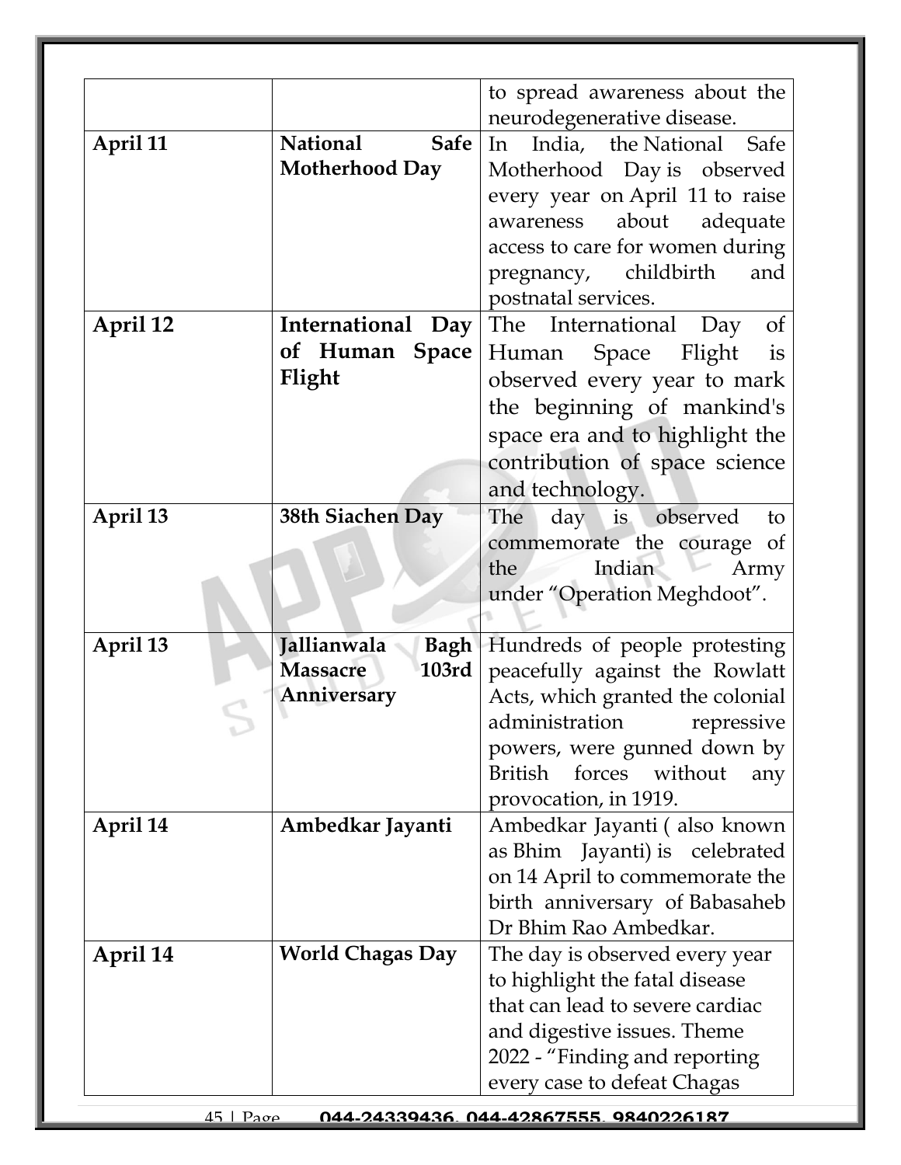|          |                                | to spread awareness about the          |
|----------|--------------------------------|----------------------------------------|
|          |                                | neurodegenerative disease.             |
| April 11 | <b>National</b><br><b>Safe</b> | India, the National Safe<br>In         |
|          | <b>Motherhood Day</b>          | Motherhood Day is observed             |
|          |                                | every year on April 11 to raise        |
|          |                                | about<br>adequate<br>awareness         |
|          |                                | access to care for women during        |
|          |                                | pregnancy, childbirth<br>and           |
|          |                                | postnatal services.                    |
| April 12 | International Day              | The International Day<br><sub>of</sub> |
|          | of Human Space                 | Flight<br>Human Space<br>is            |
|          | Flight                         | observed every year to mark            |
|          |                                | the beginning of mankind's             |
|          |                                |                                        |
|          |                                | space era and to highlight the         |
|          |                                | contribution of space science          |
|          |                                | and technology.                        |
| April 13 | 38th Siachen Day               | day is observed<br>The<br>to           |
|          |                                | commemorate the courage of             |
|          |                                | Indian<br>Army<br>the                  |
|          |                                | under "Operation Meghdoot".            |
|          |                                |                                        |
| April 13 | Jallianwala<br><b>Bagh</b>     | Hundreds of people protesting          |
|          | 103rd<br><b>Massacre</b>       | peacefully against the Rowlatt         |
|          | Anniversary                    | Acts, which granted the colonial       |
|          |                                | administration repressive              |
|          |                                | powers, were gunned down by            |
|          |                                | British forces<br>without<br>any       |
|          |                                | provocation, in 1919.                  |
| April 14 | Ambedkar Jayanti               | Ambedkar Jayanti (also known           |
|          |                                | as Bhim Jayanti) is celebrated         |
|          |                                | on 14 April to commemorate the         |
|          |                                | birth anniversary of Babasaheb         |
|          |                                | Dr Bhim Rao Ambedkar.                  |
| April 14 | <b>World Chagas Day</b>        | The day is observed every year         |
|          |                                | to highlight the fatal disease         |
|          |                                | that can lead to severe cardiac        |
|          |                                | and digestive issues. Theme            |
|          |                                | 2022 - "Finding and reporting          |
|          |                                | every case to defeat Chagas            |
|          |                                |                                        |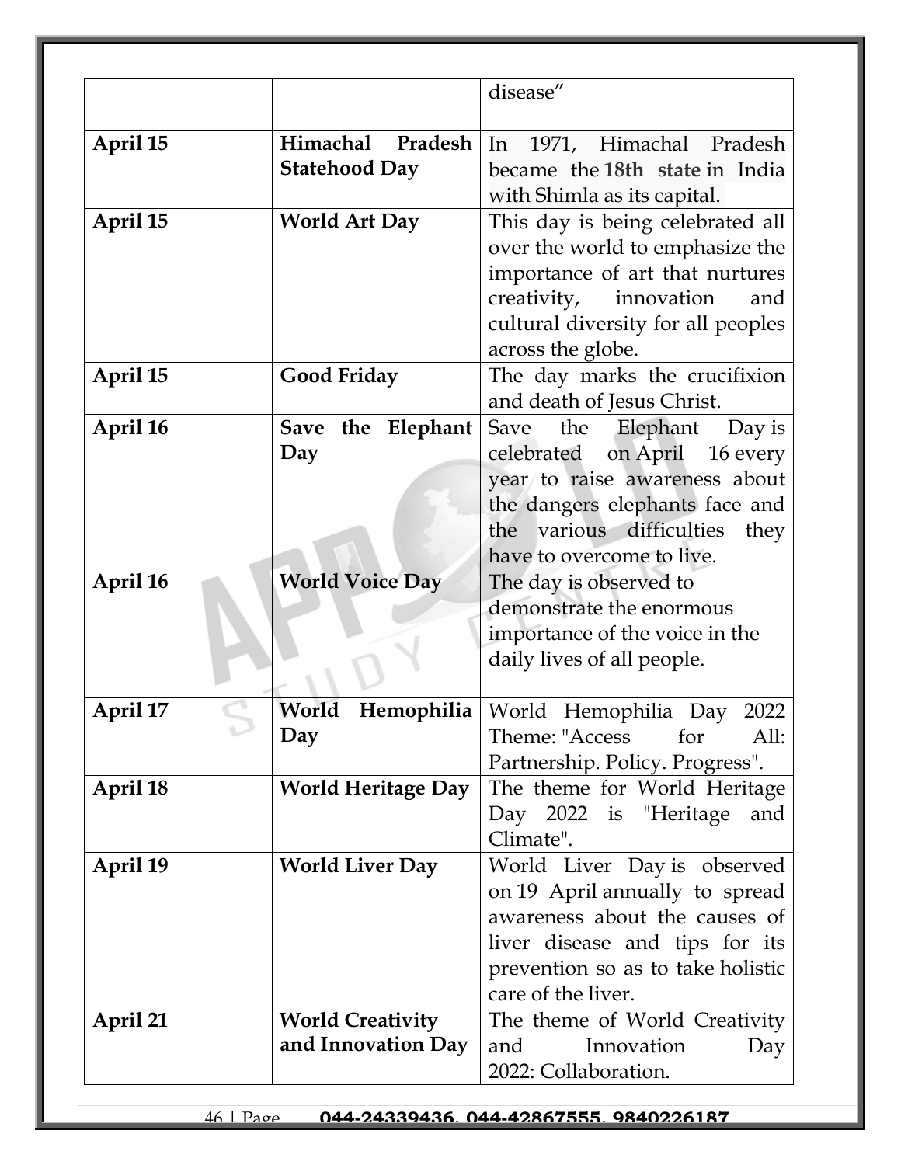|          |                           | disease"                                                         |
|----------|---------------------------|------------------------------------------------------------------|
|          |                           |                                                                  |
| April 15 | Himachal Pradesh          | In 1971, Himachal Pradesh                                        |
|          | <b>Statehood Day</b>      | became the 18th state in India                                   |
|          |                           | with Shimla as its capital.                                      |
| April 15 | <b>World Art Day</b>      | This day is being celebrated all                                 |
|          |                           | over the world to emphasize the                                  |
|          |                           | importance of art that nurtures                                  |
|          |                           | creativity, innovation<br>and                                    |
|          |                           | cultural diversity for all peoples                               |
|          |                           | across the globe.                                                |
| April 15 | <b>Good Friday</b>        | The day marks the crucifixion                                    |
|          |                           | and death of Jesus Christ.                                       |
| April 16 | Save the Elephant         | the Elephant<br>Save<br>Day is                                   |
|          | Day                       | on April 16 every<br>celebrated<br>year to raise awareness about |
|          |                           | the dangers elephants face and                                   |
|          |                           | the various difficulties<br>they                                 |
|          |                           | have to overcome to live.                                        |
| April 16 | <b>World Voice Day</b>    | The day is observed to                                           |
|          |                           | demonstrate the enormous                                         |
|          |                           | importance of the voice in the                                   |
|          |                           | daily lives of all people.                                       |
|          |                           |                                                                  |
| April 17 | World                     | Hemophilia   World Hemophilia Day 2022                           |
|          | Day                       | Theme: "Access for<br>All:                                       |
|          |                           | Partnership. Policy. Progress".                                  |
| April 18 | <b>World Heritage Day</b> | The theme for World Heritage                                     |
|          |                           | Day 2022 is "Heritage<br>and                                     |
|          |                           | Climate".                                                        |
| April 19 | <b>World Liver Day</b>    | World Liver Day is observed                                      |
|          |                           | on 19 April annually to spread                                   |
|          |                           | awareness about the causes of                                    |
|          |                           | liver disease and tips for its                                   |
|          |                           | prevention so as to take holistic<br>care of the liver.          |
| April 21 | <b>World Creativity</b>   |                                                                  |
|          | and Innovation Day        | The theme of World Creativity<br>Innovation<br>and<br>Day        |
|          |                           | 2022: Collaboration.                                             |
|          |                           |                                                                  |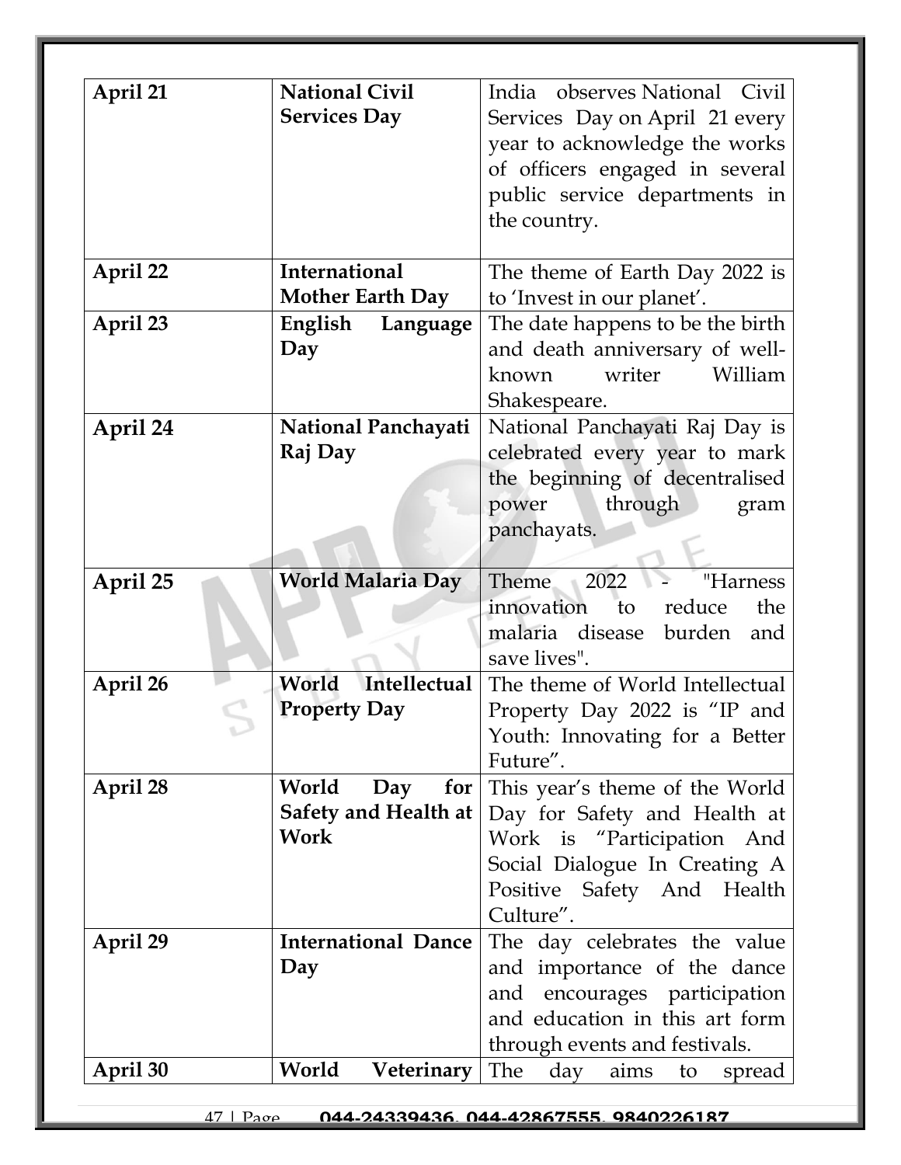| April 21 | <b>National Civil</b><br><b>Services Day</b>                   | India observes National Civil<br>Services Day on April 21 every<br>year to acknowledge the works<br>of officers engaged in several<br>public service departments in<br>the country. |
|----------|----------------------------------------------------------------|-------------------------------------------------------------------------------------------------------------------------------------------------------------------------------------|
| April 22 | International<br><b>Mother Earth Day</b>                       | The theme of Earth Day 2022 is<br>to 'Invest in our planet'.                                                                                                                        |
| April 23 | English<br>Language<br>Day                                     | The date happens to be the birth<br>and death anniversary of well-<br>writer<br>William<br>known<br>Shakespeare.                                                                    |
| April 24 | National Panchayati<br>Raj Day                                 | National Panchayati Raj Day is<br>celebrated every year to mark<br>the beginning of decentralised<br>power<br>through<br>gram<br>panchayats.                                        |
| April 25 | <b>World Malaria Day</b>                                       | Theme<br>2022<br>"Harness<br>reduce<br>innovation<br>the<br>to<br>burden<br>malaria disease<br>and<br>save lives".                                                                  |
| April 26 | Intellectual<br>World<br><b>Property Day</b>                   | The theme of World Intellectual<br>Property Day 2022 is "IP and<br>Youth: Innovating for a Better<br>Future".                                                                       |
| April 28 | World<br>for $ $<br>Day<br><b>Safety and Health at</b><br>Work | This year's theme of the World<br>Day for Safety and Health at<br>Work is "Participation And<br>Social Dialogue In Creating A<br>Positive Safety And Health<br>Culture".            |
| April 29 | <b>International Dance</b><br>Day                              | The day celebrates the value<br>and importance of the dance<br>and encourages participation<br>and education in this art form<br>through events and festivals.                      |
| April 30 | World<br>Veterinary                                            | The<br>day<br>aims<br>to<br>spread                                                                                                                                                  |

47 | Page **044-24339436, 044-42867555, 9840226187**